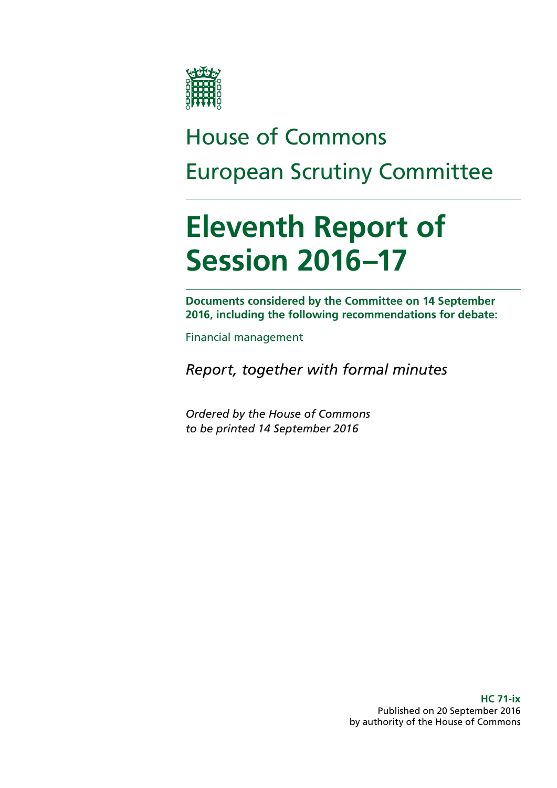

# House of Commons European Scrutiny Committee

# **Eleventh Report of Session 2016–17**

**Documents considered by the Committee on 14 September 2016, including the following recommendations for debate:**

Financial management

*Report, together with formal minutes*

*Ordered by the House of Commons to be printed 14 September 2016*

> **HC 71-ix** Published on 20 September 2016 by authority of the House of Commons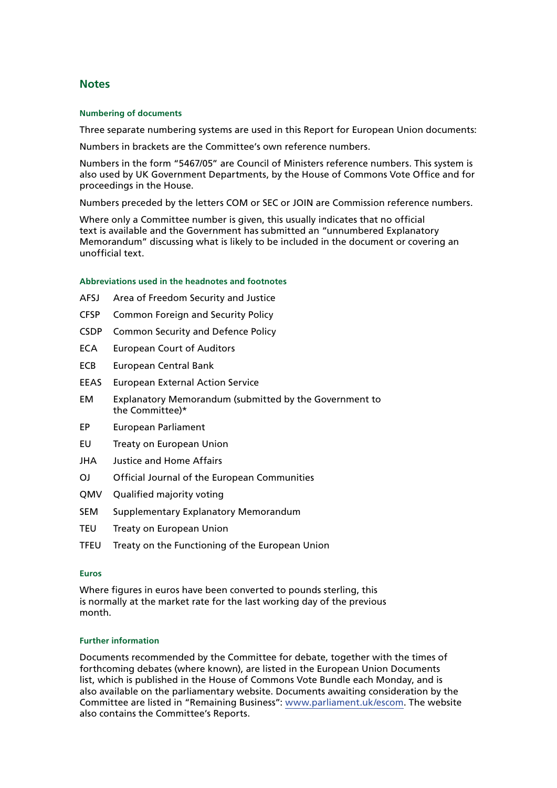#### **Notes**

#### **Numbering of documents**

Three separate numbering systems are used in this Report for European Union documents:

Numbers in brackets are the Committee's own reference numbers.

Numbers in the form "5467/05" are Council of Ministers reference numbers. This system is also used by UK Government Departments, by the House of Commons Vote Office and for proceedings in the House.

Numbers preceded by the letters COM or SEC or JOIN are Commission reference numbers.

Where only a Committee number is given, this usually indicates that no official text is available and the Government has submitted an "unnumbered Explanatory Memorandum" discussing what is likely to be included in the document or covering an unofficial text.

#### **Abbreviations used in the headnotes and footnotes**

- AFSJ Area of Freedom Security and Justice
- CFSP Common Foreign and Security Policy
- CSDP Common Security and Defence Policy
- ECA European Court of Auditors
- ECB European Central Bank
- EEAS European External Action Service
- EM Explanatory Memorandum (submitted by the Government to the Committee)\*
- EP European Parliament
- EU Treaty on European Union
- JHA Justice and Home Affairs
- OJ Official Journal of the European Communities
- QMV Qualified majority voting
- SEM Supplementary Explanatory Memorandum
- TEU Treaty on European Union
- TFEU Treaty on the Functioning of the European Union

#### **Euros**

Where figures in euros have been converted to pounds sterling, this is normally at the market rate for the last working day of the previous month.

#### **Further information**

Documents recommended by the Committee for debate, together with the times of forthcoming debates (where known), are listed in the European Union Documents list, which is published in the House of Commons Vote Bundle each Monday, and is also available on the parliamentary website. Documents awaiting consideration by the Committee are listed in "Remaining Business": [www.parliament.uk/escom.](http://www.parliament.uk/escom) The website also contains the Committee's Reports.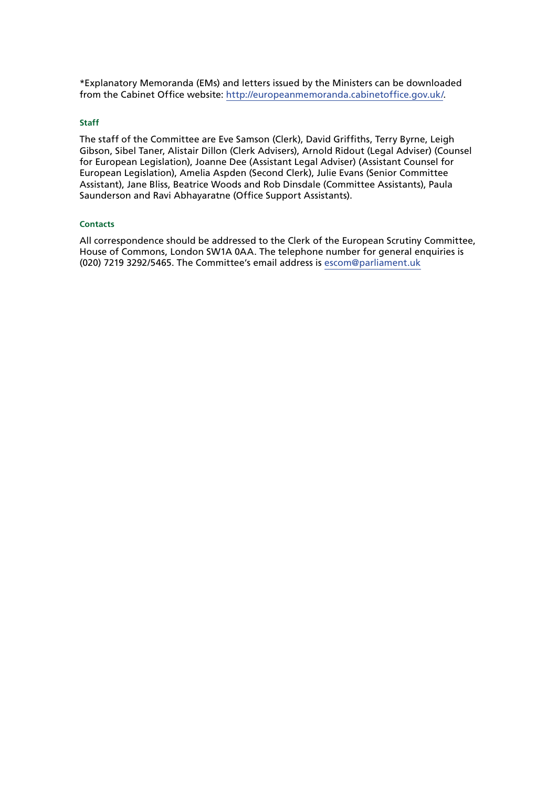\*Explanatory Memoranda (EMs) and letters issued by the Ministers can be downloaded from the Cabinet Office website: [http://europeanmemoranda.cabinetoffice.gov.uk/.](http://europeanmemoranda.cabinetoffice.gov.uk/)

#### **Staff**

The staff of the Committee are Eve Samson (Clerk), David Griffiths, Terry Byrne, Leigh Gibson, Sibel Taner, Alistair Dillon (Clerk Advisers), Arnold Ridout (Legal Adviser) (Counsel for European Legislation), Joanne Dee (Assistant Legal Adviser) (Assistant Counsel for European Legislation), Amelia Aspden (Second Clerk), Julie Evans (Senior Committee Assistant), Jane Bliss, Beatrice Woods and Rob Dinsdale (Committee Assistants), Paula Saunderson and Ravi Abhayaratne (Office Support Assistants).

#### **Contacts**

All correspondence should be addressed to the Clerk of the European Scrutiny Committee, House of Commons, London SW1A 0AA. The telephone number for general enquiries is (020) 7219 3292/5465. The Committee's email address is [escom@parliament.uk](mailto:escom@parliament.uk)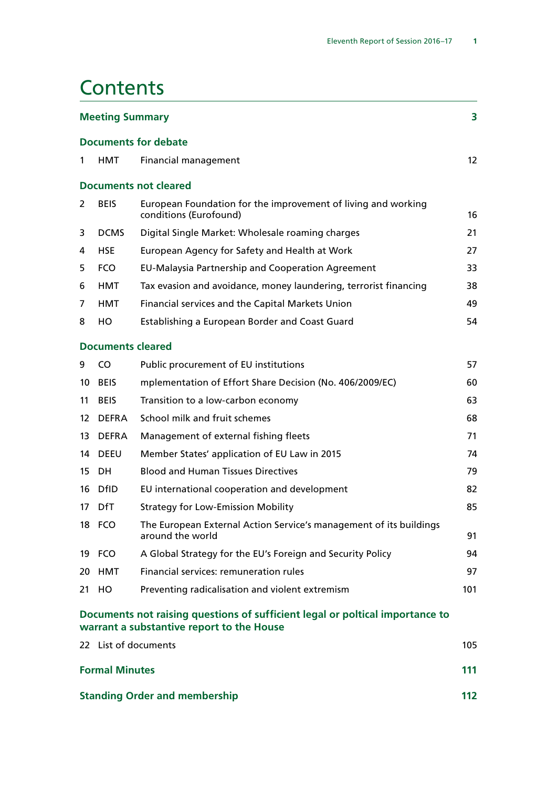## **Contents**

| <b>Meeting Summary</b>               |                          |                                                                                                                            |     |  |
|--------------------------------------|--------------------------|----------------------------------------------------------------------------------------------------------------------------|-----|--|
|                                      |                          | <b>Documents for debate</b>                                                                                                |     |  |
| 1                                    | HMT                      | Financial management                                                                                                       | 12  |  |
|                                      |                          | <b>Documents not cleared</b>                                                                                               |     |  |
| 2                                    | <b>BEIS</b>              | European Foundation for the improvement of living and working<br>conditions (Eurofound)                                    | 16  |  |
| 3                                    | <b>DCMS</b>              | Digital Single Market: Wholesale roaming charges                                                                           | 21  |  |
| 4                                    | <b>HSE</b>               | European Agency for Safety and Health at Work                                                                              | 27  |  |
| 5                                    | <b>FCO</b>               | EU-Malaysia Partnership and Cooperation Agreement                                                                          | 33  |  |
| 6                                    | <b>HMT</b>               | Tax evasion and avoidance, money laundering, terrorist financing                                                           | 38  |  |
| 7                                    | <b>HMT</b>               | Financial services and the Capital Markets Union                                                                           | 49  |  |
| 8                                    | HO                       | Establishing a European Border and Coast Guard                                                                             | 54  |  |
|                                      | <b>Documents cleared</b> |                                                                                                                            |     |  |
| 9                                    | CO.                      | Public procurement of EU institutions                                                                                      | 57  |  |
| 10                                   | <b>BEIS</b>              | mplementation of Effort Share Decision (No. 406/2009/EC)                                                                   | 60  |  |
| 11                                   | <b>BEIS</b>              | Transition to a low-carbon economy                                                                                         | 63  |  |
| 12                                   | <b>DEFRA</b>             | School milk and fruit schemes                                                                                              | 68  |  |
| 13                                   | <b>DEFRA</b>             | Management of external fishing fleets                                                                                      | 71  |  |
| 14                                   | <b>DEEU</b>              | Member States' application of EU Law in 2015                                                                               | 74  |  |
| 15                                   | DH.                      | <b>Blood and Human Tissues Directives</b>                                                                                  | 79  |  |
| 16                                   | <b>DfID</b>              | EU international cooperation and development                                                                               | 82  |  |
| 17                                   | <b>DfT</b>               | <b>Strategy for Low-Emission Mobility</b>                                                                                  | 85  |  |
|                                      | 18 FCO                   | The European External Action Service's management of its buildings<br>around the world                                     | 91  |  |
|                                      | 19 FCO                   | A Global Strategy for the EU's Foreign and Security Policy                                                                 | 94  |  |
|                                      | 20 HMT                   | Financial services: remuneration rules                                                                                     | 97  |  |
|                                      | 21 HO                    | Preventing radicalisation and violent extremism                                                                            | 101 |  |
|                                      |                          | Documents not raising questions of sufficient legal or poltical importance to<br>warrant a substantive report to the House |     |  |
|                                      | 22 List of documents     |                                                                                                                            | 105 |  |
|                                      | <b>Formal Minutes</b>    |                                                                                                                            |     |  |
| <b>Standing Order and membership</b> |                          |                                                                                                                            | 112 |  |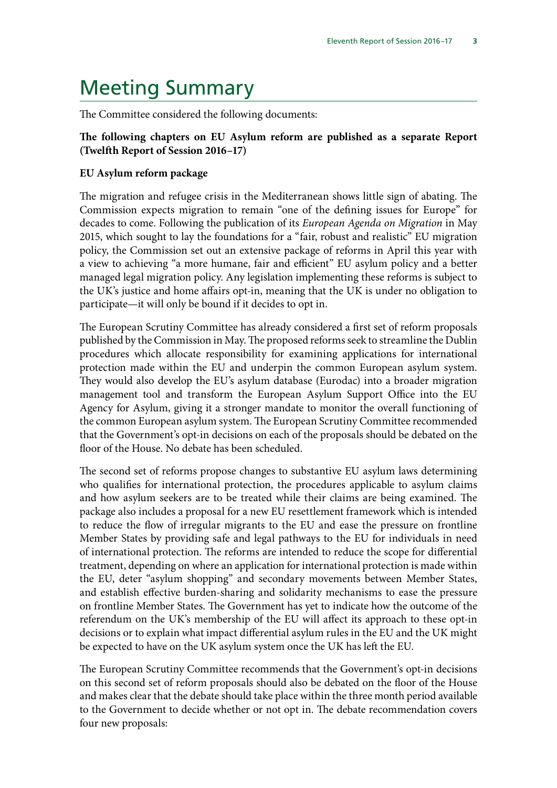## <span id="page-6-0"></span>Meeting Summary

The Committee considered the following documents:

### **The following chapters on EU Asylum reform are published as a separate Report (Twelfth Report of Session 2016–17)**

#### **EU Asylum reform package**

The migration and refugee crisis in the Mediterranean shows little sign of abating. The Commission expects migration to remain "one of the defining issues for Europe" for decades to come. Following the publication of its *European Agenda on Migration* in May 2015, which sought to lay the foundations for a "fair, robust and realistic" EU migration policy, the Commission set out an extensive package of reforms in April this year with a view to achieving "a more humane, fair and efficient" EU asylum policy and a better managed legal migration policy. Any legislation implementing these reforms is subject to the UK's justice and home affairs opt-in, meaning that the UK is under no obligation to participate—it will only be bound if it decides to opt in.

The European Scrutiny Committee has already considered a first set of reform proposals published by the Commission in May. The proposed reforms seek to streamline the Dublin procedures which allocate responsibility for examining applications for international protection made within the EU and underpin the common European asylum system. They would also develop the EU's asylum database (Eurodac) into a broader migration management tool and transform the European Asylum Support Office into the EU Agency for Asylum, giving it a stronger mandate to monitor the overall functioning of the common European asylum system. The European Scrutiny Committee recommended that the Government's opt-in decisions on each of the proposals should be debated on the floor of the House. No debate has been scheduled.

The second set of reforms propose changes to substantive EU asylum laws determining who qualifies for international protection, the procedures applicable to asylum claims and how asylum seekers are to be treated while their claims are being examined. The package also includes a proposal for a new EU resettlement framework which is intended to reduce the flow of irregular migrants to the EU and ease the pressure on frontline Member States by providing safe and legal pathways to the EU for individuals in need of international protection. The reforms are intended to reduce the scope for differential treatment, depending on where an application for international protection is made within the EU, deter "asylum shopping" and secondary movements between Member States, and establish effective burden-sharing and solidarity mechanisms to ease the pressure on frontline Member States. The Government has yet to indicate how the outcome of the referendum on the UK's membership of the EU will affect its approach to these opt-in decisions or to explain what impact differential asylum rules in the EU and the UK might be expected to have on the UK asylum system once the UK has left the EU.

The European Scrutiny Committee recommends that the Government's opt-in decisions on this second set of reform proposals should also be debated on the floor of the House and makes clear that the debate should take place within the three month period available to the Government to decide whether or not opt in. The debate recommendation covers four new proposals: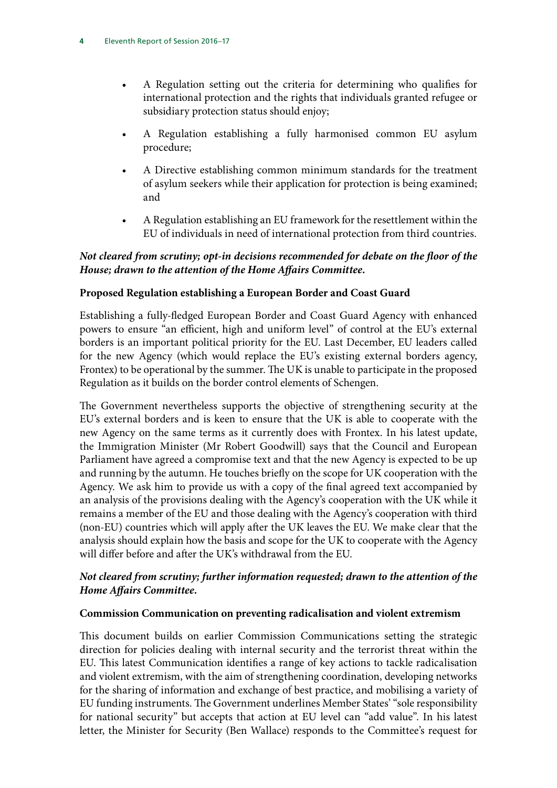- A Regulation setting out the criteria for determining who qualifies for international protection and the rights that individuals granted refugee or subsidiary protection status should enjoy;
- A Regulation establishing a fully harmonised common EU asylum procedure;
- A Directive establishing common minimum standards for the treatment of asylum seekers while their application for protection is being examined; and
- A Regulation establishing an EU framework for the resettlement within the EU of individuals in need of international protection from third countries.

## *Not cleared from scrutiny; opt-in decisions recommended for debate on the floor of the House; drawn to the attention of the Home Affairs Committee.*

## **Proposed Regulation establishing a European Border and Coast Guard**

Establishing a fully-fledged European Border and Coast Guard Agency with enhanced powers to ensure "an efficient, high and uniform level" of control at the EU's external borders is an important political priority for the EU. Last December, EU leaders called for the new Agency (which would replace the EU's existing external borders agency, Frontex) to be operational by the summer. The UK is unable to participate in the proposed Regulation as it builds on the border control elements of Schengen.

The Government nevertheless supports the objective of strengthening security at the EU's external borders and is keen to ensure that the UK is able to cooperate with the new Agency on the same terms as it currently does with Frontex. In his latest update, the Immigration Minister (Mr Robert Goodwill) says that the Council and European Parliament have agreed a compromise text and that the new Agency is expected to be up and running by the autumn. He touches briefly on the scope for UK cooperation with the Agency. We ask him to provide us with a copy of the final agreed text accompanied by an analysis of the provisions dealing with the Agency's cooperation with the UK while it remains a member of the EU and those dealing with the Agency's cooperation with third (non-EU) countries which will apply after the UK leaves the EU. We make clear that the analysis should explain how the basis and scope for the UK to cooperate with the Agency will differ before and after the UK's withdrawal from the EU.

## *Not cleared from scrutiny; further information requested; drawn to the attention of the Home Affairs Committee.*

### **Commission Communication on preventing radicalisation and violent extremism**

This document builds on earlier Commission Communications setting the strategic direction for policies dealing with internal security and the terrorist threat within the EU. This latest Communication identifies a range of key actions to tackle radicalisation and violent extremism, with the aim of strengthening coordination, developing networks for the sharing of information and exchange of best practice, and mobilising a variety of EU funding instruments. The Government underlines Member States' "sole responsibility for national security" but accepts that action at EU level can "add value". In his latest letter, the Minister for Security (Ben Wallace) responds to the Committee's request for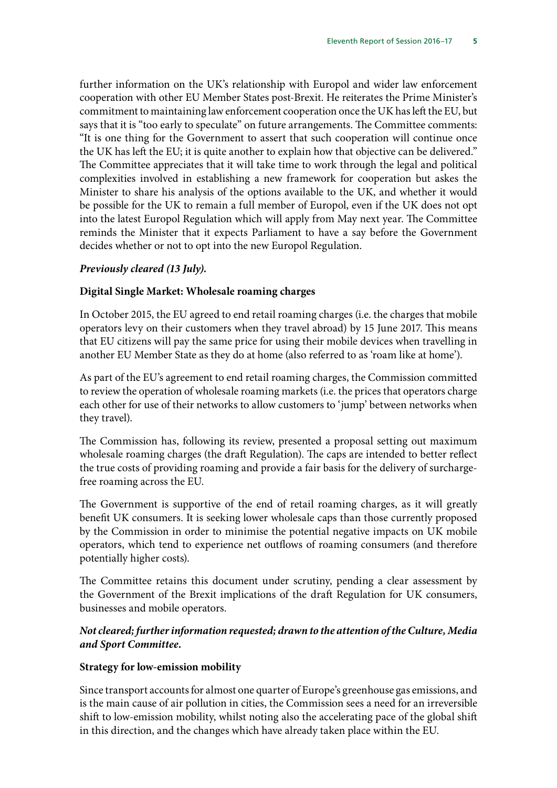further information on the UK's relationship with Europol and wider law enforcement cooperation with other EU Member States post-Brexit. He reiterates the Prime Minister's commitment to maintaining law enforcement cooperation once the UK has left the EU, but says that it is "too early to speculate" on future arrangements. The Committee comments: "It is one thing for the Government to assert that such cooperation will continue once the UK has left the EU; it is quite another to explain how that objective can be delivered." The Committee appreciates that it will take time to work through the legal and political complexities involved in establishing a new framework for cooperation but askes the Minister to share his analysis of the options available to the UK, and whether it would be possible for the UK to remain a full member of Europol, even if the UK does not opt into the latest Europol Regulation which will apply from May next year. The Committee reminds the Minister that it expects Parliament to have a say before the Government decides whether or not to opt into the new Europol Regulation.

#### *Previously cleared (13 July).*

#### **Digital Single Market: Wholesale roaming charges**

In October 2015, the EU agreed to end retail roaming charges (i.e. the charges that mobile operators levy on their customers when they travel abroad) by 15 June 2017. This means that EU citizens will pay the same price for using their mobile devices when travelling in another EU Member State as they do at home (also referred to as 'roam like at home').

As part of the EU's agreement to end retail roaming charges, the Commission committed to review the operation of wholesale roaming markets (i.e. the prices that operators charge each other for use of their networks to allow customers to 'jump' between networks when they travel).

The Commission has, following its review, presented a proposal setting out maximum wholesale roaming charges (the draft Regulation). The caps are intended to better reflect the true costs of providing roaming and provide a fair basis for the delivery of surchargefree roaming across the EU.

The Government is supportive of the end of retail roaming charges, as it will greatly benefit UK consumers. It is seeking lower wholesale caps than those currently proposed by the Commission in order to minimise the potential negative impacts on UK mobile operators, which tend to experience net outflows of roaming consumers (and therefore potentially higher costs).

The Committee retains this document under scrutiny, pending a clear assessment by the Government of the Brexit implications of the draft Regulation for UK consumers, businesses and mobile operators.

### *Not cleared; further information requested; drawn to the attention of the Culture, Media and Sport Committee.*

#### **Strategy for low-emission mobility**

Since transport accounts for almost one quarter of Europe's greenhouse gas emissions, and is the main cause of air pollution in cities, the Commission sees a need for an irreversible shift to low-emission mobility, whilst noting also the accelerating pace of the global shift in this direction, and the changes which have already taken place within the EU.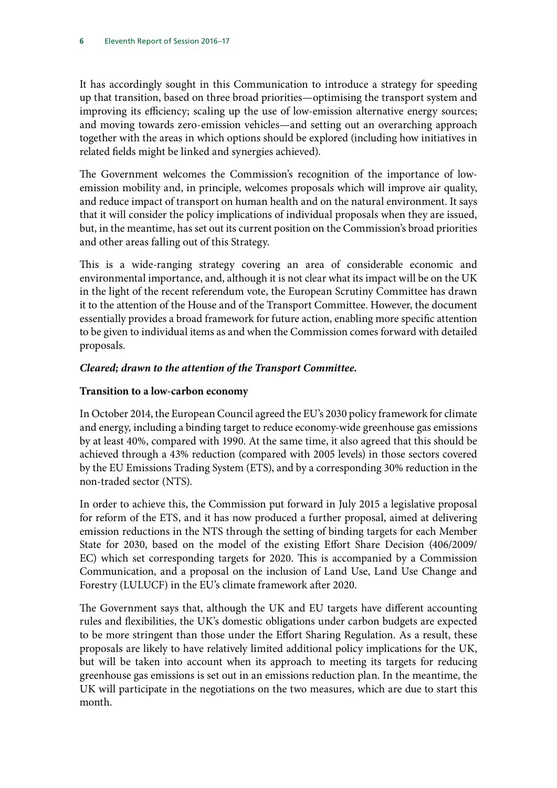It has accordingly sought in this Communication to introduce a strategy for speeding up that transition, based on three broad priorities—optimising the transport system and improving its efficiency; scaling up the use of low-emission alternative energy sources; and moving towards zero-emission vehicles—and setting out an overarching approach together with the areas in which options should be explored (including how initiatives in related fields might be linked and synergies achieved).

The Government welcomes the Commission's recognition of the importance of lowemission mobility and, in principle, welcomes proposals which will improve air quality, and reduce impact of transport on human health and on the natural environment. It says that it will consider the policy implications of individual proposals when they are issued, but, in the meantime, has set out its current position on the Commission's broad priorities and other areas falling out of this Strategy.

This is a wide-ranging strategy covering an area of considerable economic and environmental importance, and, although it is not clear what its impact will be on the UK in the light of the recent referendum vote, the European Scrutiny Committee has drawn it to the attention of the House and of the Transport Committee. However, the document essentially provides a broad framework for future action, enabling more specific attention to be given to individual items as and when the Commission comes forward with detailed proposals.

## *Cleared; drawn to the attention of the Transport Committee.*

## **Transition to a low-carbon economy**

In October 2014, the European Council agreed the EU's 2030 policy framework for climate and energy, including a binding target to reduce economy-wide greenhouse gas emissions by at least 40%, compared with 1990. At the same time, it also agreed that this should be achieved through a 43% reduction (compared with 2005 levels) in those sectors covered by the EU Emissions Trading System (ETS), and by a corresponding 30% reduction in the non-traded sector (NTS).

In order to achieve this, the Commission put forward in July 2015 a legislative proposal for reform of the ETS, and it has now produced a further proposal, aimed at delivering emission reductions in the NTS through the setting of binding targets for each Member State for 2030, based on the model of the existing Effort Share Decision (406/2009/ EC) which set corresponding targets for 2020. This is accompanied by a Commission Communication, and a proposal on the inclusion of Land Use, Land Use Change and Forestry (LULUCF) in the EU's climate framework after 2020.

The Government says that, although the UK and EU targets have different accounting rules and flexibilities, the UK's domestic obligations under carbon budgets are expected to be more stringent than those under the Effort Sharing Regulation. As a result, these proposals are likely to have relatively limited additional policy implications for the UK, but will be taken into account when its approach to meeting its targets for reducing greenhouse gas emissions is set out in an emissions reduction plan. In the meantime, the UK will participate in the negotiations on the two measures, which are due to start this month.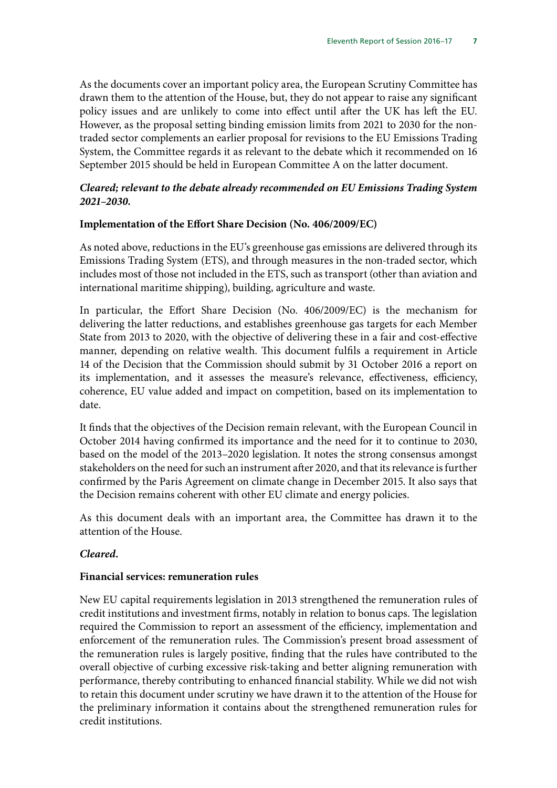As the documents cover an important policy area, the European Scrutiny Committee has drawn them to the attention of the House, but, they do not appear to raise any significant policy issues and are unlikely to come into effect until after the UK has left the EU. However, as the proposal setting binding emission limits from 2021 to 2030 for the nontraded sector complements an earlier proposal for revisions to the EU Emissions Trading System, the Committee regards it as relevant to the debate which it recommended on 16 September 2015 should be held in European Committee A on the latter document.

## *Cleared; relevant to the debate already recommended on EU Emissions Trading System 2021–2030.*

#### **Implementation of the Effort Share Decision (No. 406/2009/EC)**

As noted above, reductions in the EU's greenhouse gas emissions are delivered through its Emissions Trading System (ETS), and through measures in the non-traded sector, which includes most of those not included in the ETS, such as transport (other than aviation and international maritime shipping), building, agriculture and waste.

In particular, the Effort Share Decision (No. 406/2009/EC) is the mechanism for delivering the latter reductions, and establishes greenhouse gas targets for each Member State from 2013 to 2020, with the objective of delivering these in a fair and cost-effective manner, depending on relative wealth. This document fulfils a requirement in Article 14 of the Decision that the Commission should submit by 31 October 2016 a report on its implementation, and it assesses the measure's relevance, effectiveness, efficiency, coherence, EU value added and impact on competition, based on its implementation to date.

It finds that the objectives of the Decision remain relevant, with the European Council in October 2014 having confirmed its importance and the need for it to continue to 2030, based on the model of the 2013–2020 legislation. It notes the strong consensus amongst stakeholders on the need for such an instrument after 2020, and that its relevance is further confirmed by the Paris Agreement on climate change in December 2015. It also says that the Decision remains coherent with other EU climate and energy policies.

As this document deals with an important area, the Committee has drawn it to the attention of the House.

### *Cleared.*

#### **Financial services: remuneration rules**

New EU capital requirements legislation in 2013 strengthened the remuneration rules of credit institutions and investment firms, notably in relation to bonus caps. The legislation required the Commission to report an assessment of the efficiency, implementation and enforcement of the remuneration rules. The Commission's present broad assessment of the remuneration rules is largely positive, finding that the rules have contributed to the overall objective of curbing excessive risk-taking and better aligning remuneration with performance, thereby contributing to enhanced financial stability. While we did not wish to retain this document under scrutiny we have drawn it to the attention of the House for the preliminary information it contains about the strengthened remuneration rules for credit institutions.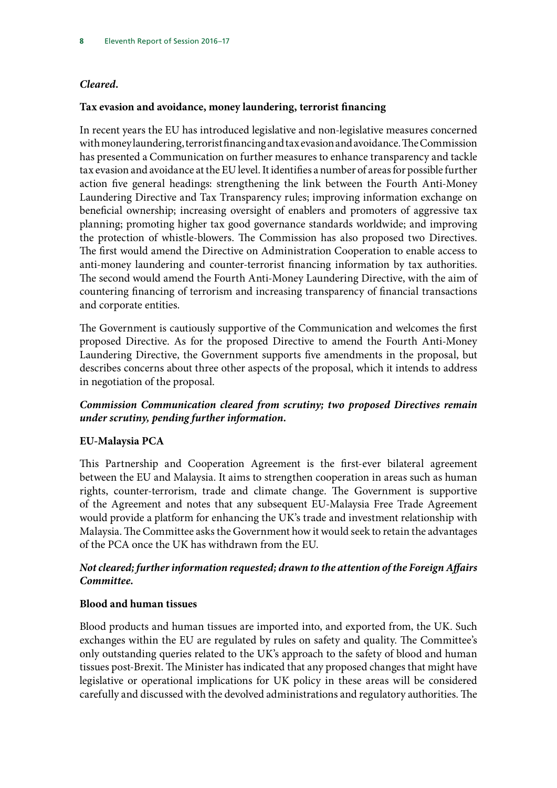## *Cleared.*

### **Tax evasion and avoidance, money laundering, terrorist financing**

In recent years the EU has introduced legislative and non-legislative measures concerned with money laundering, terrorist financing and tax evasion and avoidance. The Commission has presented a Communication on further measures to enhance transparency and tackle tax evasion and avoidance at the EU level. It identifies a number of areas for possible further action five general headings: strengthening the link between the Fourth Anti-Money Laundering Directive and Tax Transparency rules; improving information exchange on beneficial ownership; increasing oversight of enablers and promoters of aggressive tax planning; promoting higher tax good governance standards worldwide; and improving the protection of whistle-blowers. The Commission has also proposed two Directives. The first would amend the Directive on Administration Cooperation to enable access to anti-money laundering and counter-terrorist financing information by tax authorities. The second would amend the Fourth Anti-Money Laundering Directive, with the aim of countering financing of terrorism and increasing transparency of financial transactions and corporate entities.

The Government is cautiously supportive of the Communication and welcomes the first proposed Directive. As for the proposed Directive to amend the Fourth Anti-Money Laundering Directive, the Government supports five amendments in the proposal, but describes concerns about three other aspects of the proposal, which it intends to address in negotiation of the proposal.

## *Commission Communication cleared from scrutiny; two proposed Directives remain under scrutiny, pending further information.*

### **EU-Malaysia PCA**

This Partnership and Cooperation Agreement is the first-ever bilateral agreement between the EU and Malaysia. It aims to strengthen cooperation in areas such as human rights, counter-terrorism, trade and climate change. The Government is supportive of the Agreement and notes that any subsequent EU-Malaysia Free Trade Agreement would provide a platform for enhancing the UK's trade and investment relationship with Malaysia. The Committee asks the Government how it would seek to retain the advantages of the PCA once the UK has withdrawn from the EU.

## *Not cleared; further information requested; drawn to the attention of the Foreign Affairs Committee.*

### **Blood and human tissues**

Blood products and human tissues are imported into, and exported from, the UK. Such exchanges within the EU are regulated by rules on safety and quality. The Committee's only outstanding queries related to the UK's approach to the safety of blood and human tissues post-Brexit. The Minister has indicated that any proposed changes that might have legislative or operational implications for UK policy in these areas will be considered carefully and discussed with the devolved administrations and regulatory authorities. The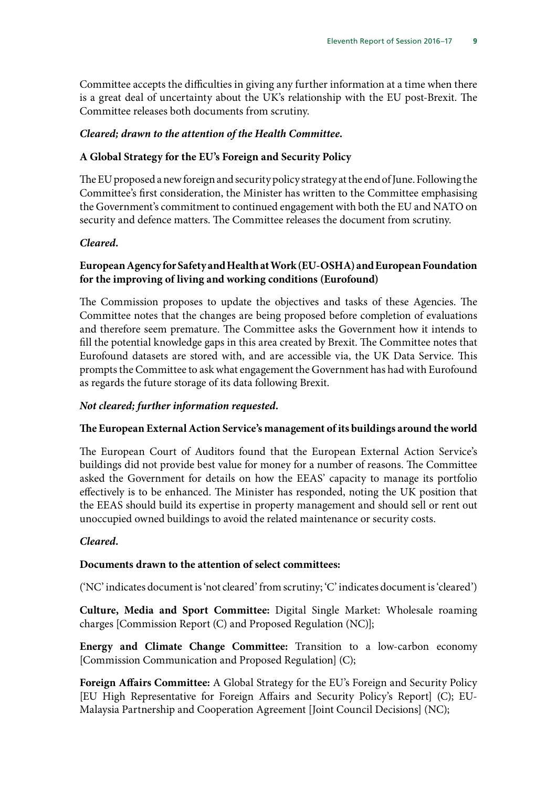Committee accepts the difficulties in giving any further information at a time when there is a great deal of uncertainty about the UK's relationship with the EU post-Brexit. The Committee releases both documents from scrutiny.

### *Cleared; drawn to the attention of the Health Committee.*

### **A Global Strategy for the EU's Foreign and Security Policy**

The EU proposed a new foreign and security policy strategy at the end of June. Following the Committee's first consideration, the Minister has written to the Committee emphasising the Government's commitment to continued engagement with both the EU and NATO on security and defence matters. The Committee releases the document from scrutiny.

### *Cleared.*

## **European Agency for Safety and Health at Work (EU-OSHA) and European Foundation for the improving of living and working conditions (Eurofound)**

The Commission proposes to update the objectives and tasks of these Agencies. The Committee notes that the changes are being proposed before completion of evaluations and therefore seem premature. The Committee asks the Government how it intends to fill the potential knowledge gaps in this area created by Brexit. The Committee notes that Eurofound datasets are stored with, and are accessible via, the UK Data Service. This prompts the Committee to ask what engagement the Government has had with Eurofound as regards the future storage of its data following Brexit.

### *Not cleared; further information requested.*

#### **The European External Action Service's management of its buildings around the world**

The European Court of Auditors found that the European External Action Service's buildings did not provide best value for money for a number of reasons. The Committee asked the Government for details on how the EEAS' capacity to manage its portfolio effectively is to be enhanced. The Minister has responded, noting the UK position that the EEAS should build its expertise in property management and should sell or rent out unoccupied owned buildings to avoid the related maintenance or security costs.

### *Cleared.*

### **Documents drawn to the attention of select committees:**

('NC' indicates document is 'not cleared' from scrutiny; 'C' indicates document is 'cleared')

**Culture, Media and Sport Committee:** Digital Single Market: Wholesale roaming charges [Commission Report (C) and Proposed Regulation (NC)];

**Energy and Climate Change Committee:** Transition to a low-carbon economy [Commission Communication and Proposed Regulation] (C);

**Foreign Affairs Committee:** A Global Strategy for the EU's Foreign and Security Policy [EU High Representative for Foreign Affairs and Security Policy's Report] (C); EU-Malaysia Partnership and Cooperation Agreement [Joint Council Decisions] (NC);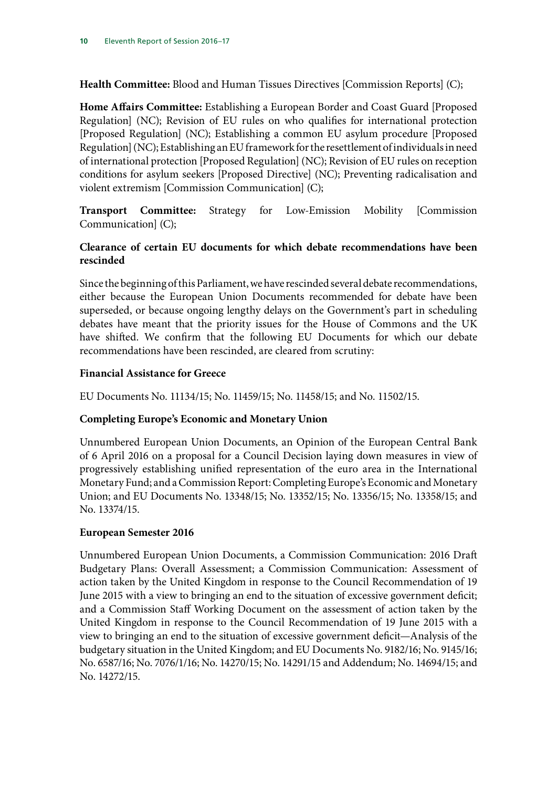**Health Committee:** Blood and Human Tissues Directives [Commission Reports] (C);

**Home Affairs Committee:** Establishing a European Border and Coast Guard [Proposed Regulation] (NC); Revision of EU rules on who qualifies for international protection [Proposed Regulation] (NC); Establishing a common EU asylum procedure [Proposed Regulation] (NC); Establishing an EU framework for the resettlement of individuals in need of international protection [Proposed Regulation] (NC); Revision of EU rules on reception conditions for asylum seekers [Proposed Directive] (NC); Preventing radicalisation and violent extremism [Commission Communication] (C);

**Transport Committee:** Strategy for Low-Emission Mobility [Commission Communication] (C);

## **Clearance of certain EU documents for which debate recommendations have been rescinded**

Since the beginning of this Parliament, we have rescinded several debate recommendations, either because the European Union Documents recommended for debate have been superseded, or because ongoing lengthy delays on the Government's part in scheduling debates have meant that the priority issues for the House of Commons and the UK have shifted. We confirm that the following EU Documents for which our debate recommendations have been rescinded, are cleared from scrutiny:

### **Financial Assistance for Greece**

EU Documents No. 11134/15; No. 11459/15; No. 11458/15; and No. 11502/15.

## **Completing Europe's Economic and Monetary Union**

Unnumbered European Union Documents, an Opinion of the European Central Bank of 6 April 2016 on a proposal for a Council Decision laying down measures in view of progressively establishing unified representation of the euro area in the International Monetary Fund; and a Commission Report: Completing Europe's Economic and Monetary Union; and EU Documents No. 13348/15; No. 13352/15; No. 13356/15; No. 13358/15; and No. 13374/15.

### **European Semester 2016**

Unnumbered European Union Documents, a Commission Communication: 2016 Draft Budgetary Plans: Overall Assessment; a Commission Communication: Assessment of action taken by the United Kingdom in response to the Council Recommendation of 19 June 2015 with a view to bringing an end to the situation of excessive government deficit; and a Commission Staff Working Document on the assessment of action taken by the United Kingdom in response to the Council Recommendation of 19 June 2015 with a view to bringing an end to the situation of excessive government deficit—Analysis of the budgetary situation in the United Kingdom; and EU Documents No. 9182/16; No. 9145/16; No. 6587/16; No. 7076/1/16; No. 14270/15; No. 14291/15 and Addendum; No. 14694/15; and No. 14272/15.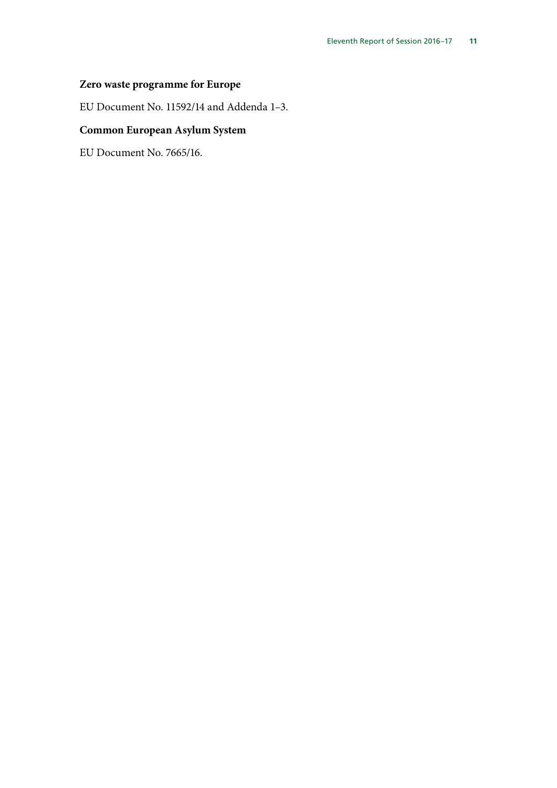## **Zero waste programme for Europe**

EU Document No. 11592/14 and Addenda 1–3.

## **Common European Asylum System**

EU Document No. 7665/16.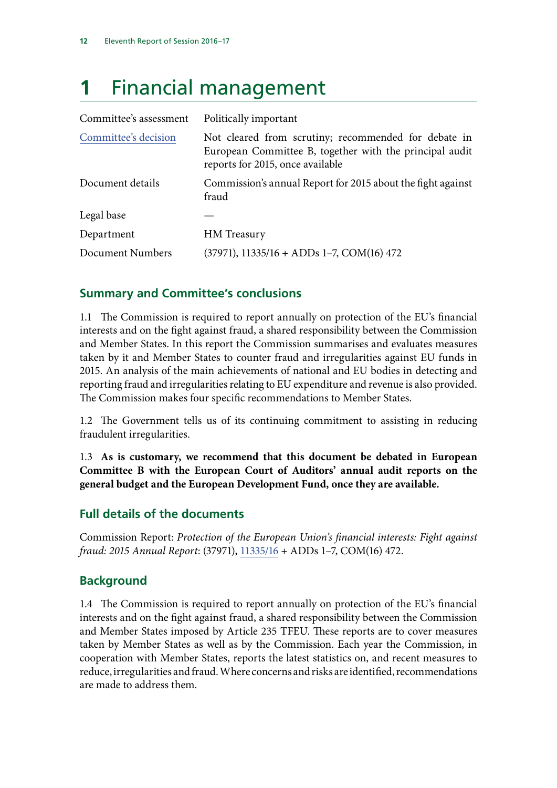## <span id="page-15-0"></span>**1** Financial management

| Committee's assessment | Politically important                                                                                                                               |  |
|------------------------|-----------------------------------------------------------------------------------------------------------------------------------------------------|--|
| Committee's decision   | Not cleared from scrutiny; recommended for debate in<br>European Committee B, together with the principal audit<br>reports for 2015, once available |  |
| Document details       | Commission's annual Report for 2015 about the fight against<br>fraud                                                                                |  |
| Legal base             |                                                                                                                                                     |  |
| Department             | <b>HM</b> Treasury                                                                                                                                  |  |
| Document Numbers       | $(37971), 11335/16 + ADDs 1-7, COM(16) 472$                                                                                                         |  |

## **Summary and Committee's conclusions**

1.1 The Commission is required to report annually on protection of the EU's financial interests and on the fight against fraud, a shared responsibility between the Commission and Member States. In this report the Commission summarises and evaluates measures taken by it and Member States to counter fraud and irregularities against EU funds in 2015. An analysis of the main achievements of national and EU bodies in detecting and reporting fraud and irregularities relating to EU expenditure and revenue is also provided. The Commission makes four specific recommendations to Member States.

1.2 The Government tells us of its continuing commitment to assisting in reducing fraudulent irregularities.

1.3 **As is customary, we recommend that this document be debated in European Committee B with the European Court of Auditors' annual audit reports on the general budget and the European Development Fund, once they are available.**

## **Full details of the documents**

Commission Report: *Protection of the European Union's financial interests: Fight against fraud: 2015 Annual Report*: (37971), [11335/16](http://data.consilium.europa.eu/doc/document/ST-11335-2016-INIT/en/pdf) + ADDs 1–7, COM(16) 472.

## **Background**

1.4 The Commission is required to report annually on protection of the EU's financial interests and on the fight against fraud, a shared responsibility between the Commission and Member States imposed by Article 235 TFEU. These reports are to cover measures taken by Member States as well as by the Commission. Each year the Commission, in cooperation with Member States, reports the latest statistics on, and recent measures to reduce, irregularities and fraud. Where concerns and risks are identified, recommendations are made to address them.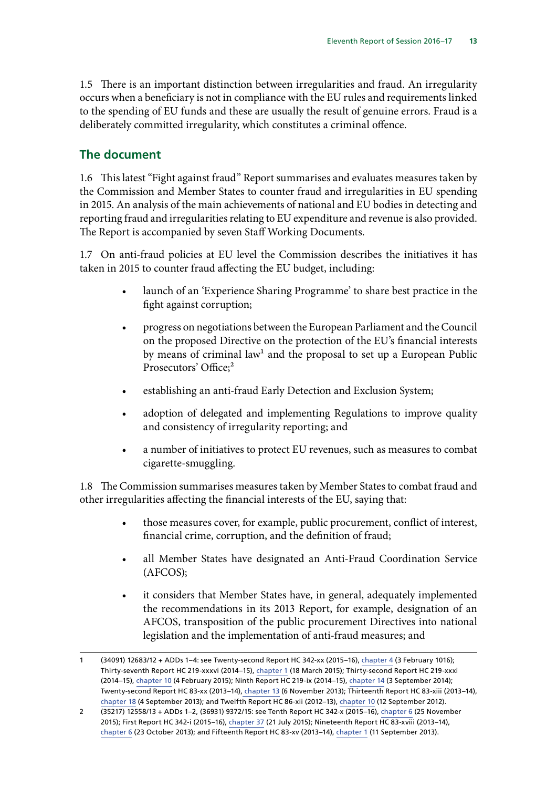1.5 There is an important distinction between irregularities and fraud. An irregularity occurs when a beneficiary is not in compliance with the EU rules and requirements linked to the spending of EU funds and these are usually the result of genuine errors. Fraud is a deliberately committed irregularity, which constitutes a criminal offence.

## **The document**

1.6 This latest "Fight against fraud" Report summarises and evaluates measures taken by the Commission and Member States to counter fraud and irregularities in EU spending in 2015. An analysis of the main achievements of national and EU bodies in detecting and reporting fraud and irregularities relating to EU expenditure and revenue is also provided. The Report is accompanied by seven Staff Working Documents.

1.7 On anti-fraud policies at EU level the Commission describes the initiatives it has taken in 2015 to counter fraud affecting the EU budget, including:

- launch of an 'Experience Sharing Programme' to share best practice in the fight against corruption;
- progress on negotiations between the European Parliament and the Council on the proposed Directive on the protection of the EU's financial interests by means of criminal law<sup>1</sup> and the proposal to set up a European Public Prosecutors' Office;<sup>2</sup>
- establishing an anti-fraud Early Detection and Exclusion System;
- adoption of delegated and implementing Regulations to improve quality and consistency of irregularity reporting; and
- a number of initiatives to protect EU revenues, such as measures to combat cigarette-smuggling.

1.8 The Commission summarises measures taken by Member States to combat fraud and other irregularities affecting the financial interests of the EU, saying that:

- those measures cover, for example, public procurement, conflict of interest, financial crime, corruption, and the definition of fraud;
- all Member States have designated an Anti-Fraud Coordination Service (AFCOS);
- it considers that Member States have, in general, adequately implemented the recommendations in its 2013 Report, for example, designation of an AFCOS, transposition of the public procurement Directives into national legislation and the implementation of anti-fraud measures; and

<sup>1</sup> (34091) 12683/12 + ADDs 1–4: see Twenty-second Report HC 342-xx (2015–16), [chapter 4](http://www.publications.parliament.uk/pa/cm201516/cmselect/cmeuleg/342-xxi/34207.htm) (3 February 1016); Thirty-seventh Report HC 219-xxxvi (2014–15), [chapter 1](http://www.publications.parliament.uk/pa/cm201415/cmselect/cmeuleg/219-xxxvi/21904.htm) (18 March 2015); Thirty-second Report HC 219-xxxi (2014–15), [chapter 10](http://www.publications.parliament.uk/pa/cm201415/cmselect/cmeuleg/219-xxxi/21913.htm) (4 February 2015); Ninth Report HC 219-ix (2014–15), [chapter 14](http://www.publications.parliament.uk/pa/cm201415/cmselect/cmeuleg/219-ix/21919.htm) (3 September 2014); Twenty-second Report HC 83-xx (2013–14)[, chapter 13](http://www.publications.parliament.uk/pa/cm201314/cmselect/cmeuleg/83-xx/8317.htm) (6 November 2013); Thirteenth Report HC 83-xiii (2013–14), [chapter 18](http://www.publications.parliament.uk/pa/cm201314/cmselect/cmeuleg/83-xiii/8323.htm) (4 September 2013); and Twelfth Report HC 86-xii (2012–13), [chapter 10](http://www.publications.parliament.uk/pa/cm201213/cmselect/cmeuleg/86xii/86xii12.htm) (12 September 2012).

<sup>2</sup> (35217) 12558/13 + ADDs 1–2, (36931) 9372/15: see Tenth Report HC 342-x (2015–16), [chapter 6](http://www.publications.parliament.uk/pa/cm201516/cmselect/cmeuleg/342-x/34209.htm) (25 November 2015); First Report HC 342-i (2015–16), [chapter 37](http://www.publications.parliament.uk/pa/cm201516/cmselect/cmeuleg/342-i/34240.htm) (21 July 2015); Nineteenth Report HC 83-xviii (2013–14), [chapter 6](http://www.publications.parliament.uk/pa/cm201314/cmselect/cmeuleg/83-xviii/8311.htm) (23 October 2013); and Fifteenth Report HC 83-xv (2013–14), [chapter 1](http://www.publications.parliament.uk/pa/cm201314/cmselect/cmeuleg/83-xv/8303.htm) (11 September 2013).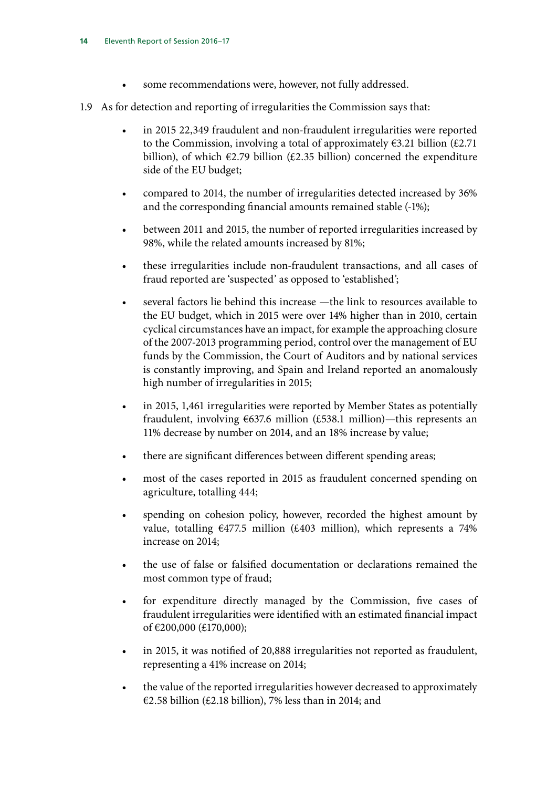- some recommendations were, however, not fully addressed.
- 1.9 As for detection and reporting of irregularities the Commission says that:
	- in 2015 22,349 fraudulent and non-fraudulent irregularities were reported to the Commission, involving a total of approximately  $\epsilon$ 3.21 billion (£2.71) billion), of which  $\epsilon$ 2.79 billion ( $\epsilon$ 2.35 billion) concerned the expenditure side of the EU budget;
	- compared to 2014, the number of irregularities detected increased by 36% and the corresponding financial amounts remained stable (-1%);
	- between 2011 and 2015, the number of reported irregularities increased by 98%, while the related amounts increased by 81%;
	- these irregularities include non-fraudulent transactions, and all cases of fraud reported are 'suspected' as opposed to 'established';
	- several factors lie behind this increase —the link to resources available to the EU budget, which in 2015 were over 14% higher than in 2010, certain cyclical circumstances have an impact, for example the approaching closure of the 2007-2013 programming period, control over the management of EU funds by the Commission, the Court of Auditors and by national services is constantly improving, and Spain and Ireland reported an anomalously high number of irregularities in 2015;
	- in 2015, 1,461 irregularities were reported by Member States as potentially fraudulent, involving  $637.6$  million (£538.1 million)—this represents an 11% decrease by number on 2014, and an 18% increase by value;
	- there are significant differences between different spending areas;
	- most of the cases reported in 2015 as fraudulent concerned spending on agriculture, totalling 444;
	- spending on cohesion policy, however, recorded the highest amount by value, totalling  $\epsilon$ 477.5 million (£403 million), which represents a 74% increase on 2014;
	- the use of false or falsified documentation or declarations remained the most common type of fraud;
	- for expenditure directly managed by the Commission, five cases of fraudulent irregularities were identified with an estimated financial impact of €200,000 (£170,000);
	- in 2015, it was notified of 20,888 irregularities not reported as fraudulent, representing a 41% increase on 2014;
	- the value of the reported irregularities however decreased to approximately €2.58 billion (£2.18 billion), 7% less than in 2014; and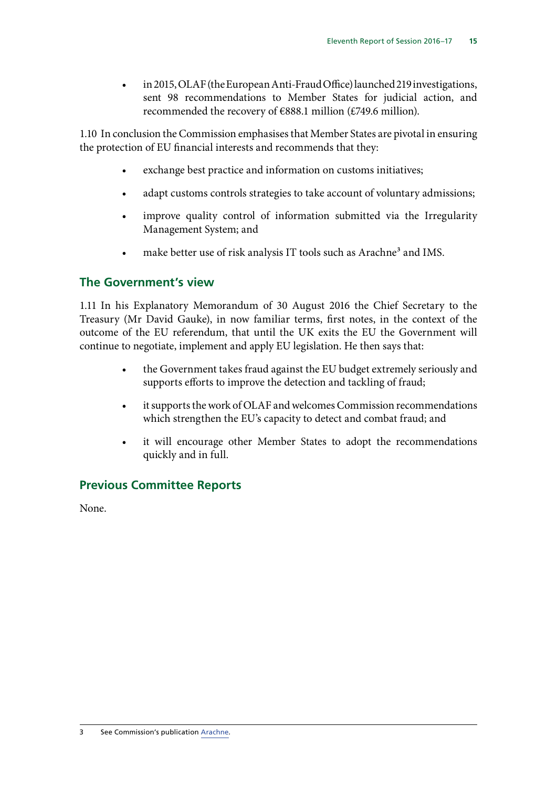• in 2015, OLAF (the European Anti-Fraud Office) launched 219 investigations, sent 98 recommendations to Member States for judicial action, and recommended the recovery of €888.1 million (£749.6 million).

1.10 In conclusion the Commission emphasises that Member States are pivotal in ensuring the protection of EU financial interests and recommends that they:

- exchange best practice and information on customs initiatives;
- adapt customs controls strategies to take account of voluntary admissions;
- improve quality control of information submitted via the Irregularity Management System; and
- make better use of risk analysis IT tools such as Arachne<sup>3</sup> and IMS.

## **The Government's view**

1.11 In his Explanatory Memorandum of 30 August 2016 the Chief Secretary to the Treasury (Mr David Gauke), in now familiar terms, first notes, in the context of the outcome of the EU referendum, that until the UK exits the EU the Government will continue to negotiate, implement and apply EU legislation. He then says that:

- the Government takes fraud against the EU budget extremely seriously and supports efforts to improve the detection and tackling of fraud;
- it supports the work of OLAF and welcomes Commission recommendations which strengthen the EU's capacity to detect and combat fraud; and
- it will encourage other Member States to adopt the recommendations quickly and in full.

## **Previous Committee Reports**

None.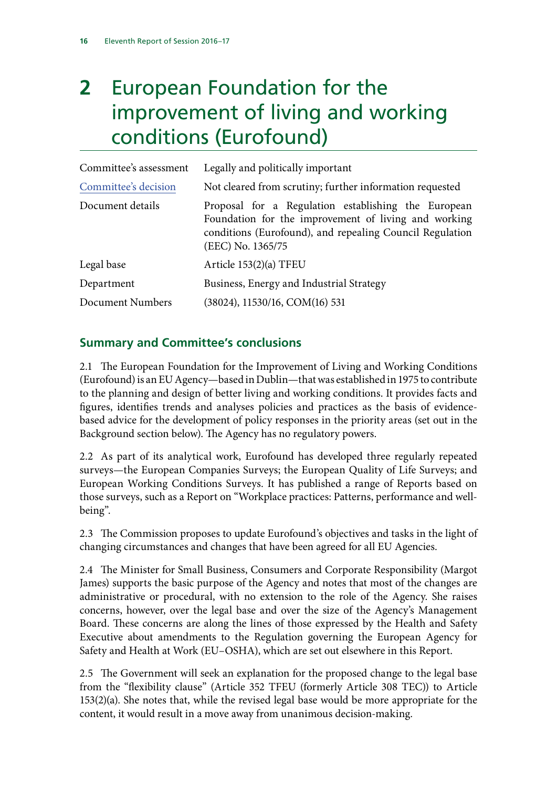## <span id="page-19-0"></span>**2** European Foundation for the improvement of living and working conditions (Eurofound)

| Committee's assessment | Legally and politically important                                                                                                                                                            |
|------------------------|----------------------------------------------------------------------------------------------------------------------------------------------------------------------------------------------|
| Committee's decision   | Not cleared from scrutiny; further information requested                                                                                                                                     |
| Document details       | Proposal for a Regulation establishing the European<br>Foundation for the improvement of living and working<br>conditions (Eurofound), and repealing Council Regulation<br>(EEC) No. 1365/75 |
| Legal base             | Article 153(2)(a) TFEU                                                                                                                                                                       |
| Department             | Business, Energy and Industrial Strategy                                                                                                                                                     |
| Document Numbers       | (38024), 11530/16, COM(16) 531                                                                                                                                                               |

## **Summary and Committee's conclusions**

2.1 The European Foundation for the Improvement of Living and Working Conditions (Eurofound) is an EU Agency—based in Dublin—that was established in 1975 to contribute to the planning and design of better living and working conditions. It provides facts and figures, identifies trends and analyses policies and practices as the basis of evidencebased advice for the development of policy responses in the priority areas (set out in the Background section below). The Agency has no regulatory powers.

2.2 As part of its analytical work, Eurofound has developed three regularly repeated surveys—the European Companies Surveys; the European Quality of Life Surveys; and European Working Conditions Surveys. It has published a range of Reports based on those surveys, such as a Report on "Workplace practices: Patterns, performance and wellbeing".

2.3 The Commission proposes to update Eurofound's objectives and tasks in the light of changing circumstances and changes that have been agreed for all EU Agencies.

2.4 The Minister for Small Business, Consumers and Corporate Responsibility (Margot James) supports the basic purpose of the Agency and notes that most of the changes are administrative or procedural, with no extension to the role of the Agency. She raises concerns, however, over the legal base and over the size of the Agency's Management Board. These concerns are along the lines of those expressed by the Health and Safety Executive about amendments to the Regulation governing the European Agency for Safety and Health at Work (EU–OSHA), which are set out elsewhere in this Report.

2.5 The Government will seek an explanation for the proposed change to the legal base from the "flexibility clause" (Article 352 TFEU (formerly Article 308 TEC)) to Article 153(2)(a). She notes that, while the revised legal base would be more appropriate for the content, it would result in a move away from unanimous decision-making.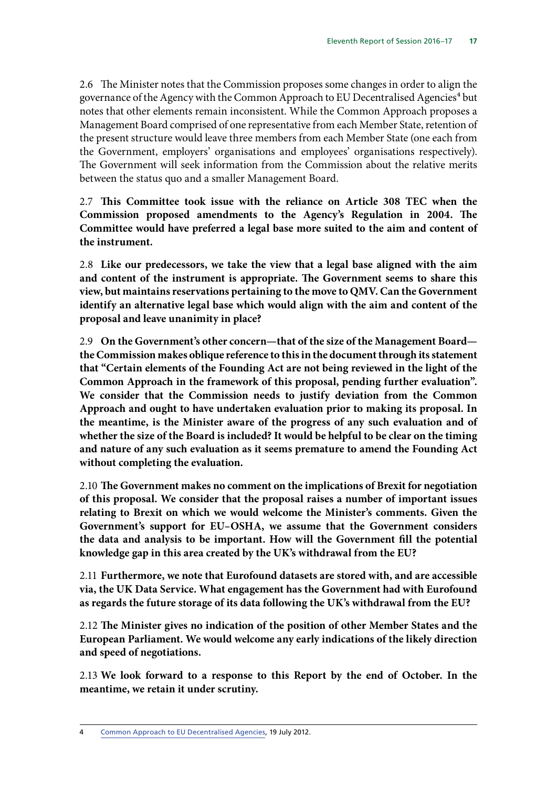2.6 The Minister notes that the Commission proposes some changes in order to align the governance of the Agency with the Common Approach to EU Decentralised Agencies<sup>4</sup> but notes that other elements remain inconsistent. While the Common Approach proposes a Management Board comprised of one representative from each Member State, retention of the present structure would leave three members from each Member State (one each from the Government, employers' organisations and employees' organisations respectively). The Government will seek information from the Commission about the relative merits between the status quo and a smaller Management Board.

2.7 **This Committee took issue with the reliance on Article 308 TEC when the Commission proposed amendments to the Agency's Regulation in 2004. The Committee would have preferred a legal base more suited to the aim and content of the instrument.**

2.8 **Like our predecessors, we take the view that a legal base aligned with the aim and content of the instrument is appropriate. The Government seems to share this view, but maintains reservations pertaining to the move to QMV. Can the Government identify an alternative legal base which would align with the aim and content of the proposal and leave unanimity in place?**

2.9 **On the Government's other concern—that of the size of the Management Board the Commission makes oblique reference to this in the document through its statement that "Certain elements of the Founding Act are not being reviewed in the light of the Common Approach in the framework of this proposal, pending further evaluation". We consider that the Commission needs to justify deviation from the Common Approach and ought to have undertaken evaluation prior to making its proposal. In the meantime, is the Minister aware of the progress of any such evaluation and of whether the size of the Board is included? It would be helpful to be clear on the timing and nature of any such evaluation as it seems premature to amend the Founding Act without completing the evaluation.**

2.10 **The Government makes no comment on the implications of Brexit for negotiation of this proposal. We consider that the proposal raises a number of important issues relating to Brexit on which we would welcome the Minister's comments. Given the Government's support for EU–OSHA, we assume that the Government considers the data and analysis to be important. How will the Government fill the potential knowledge gap in this area created by the UK's withdrawal from the EU?**

2.11 **Furthermore, we note that Eurofound datasets are stored with, and are accessible via, the UK Data Service. What engagement has the Government had with Eurofound as regards the future storage of its data following the UK's withdrawal from the EU?**

2.12 **The Minister gives no indication of the position of other Member States and the European Parliament. We would welcome any early indications of the likely direction and speed of negotiations.**

2.13 **We look forward to a response to this Report by the end of October. In the meantime, we retain it under scrutiny.**

4 [Common Approach to EU Decentralised Agencies,](https://europa.eu/european-union/sites/europaeu/files/docs/body/joint_statement_and_common_approach_2012_en.pdf) 19 July 2012.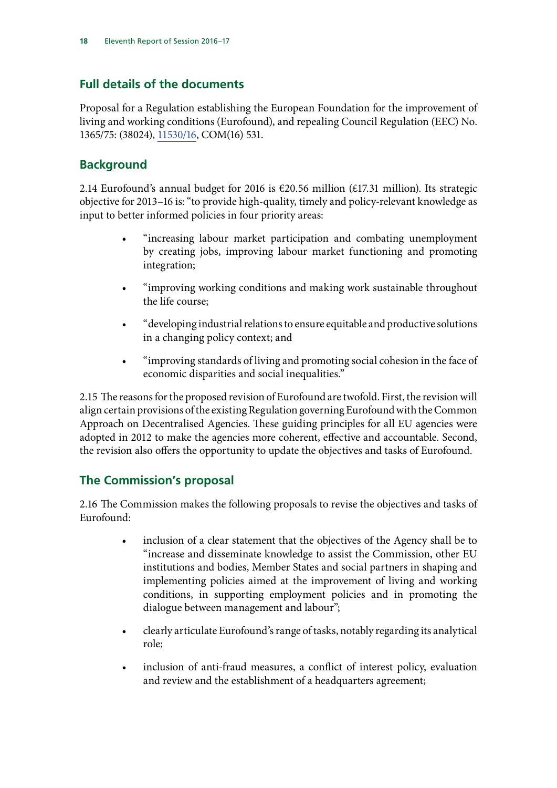## **Full details of the documents**

Proposal for a Regulation establishing the European Foundation for the improvement of living and working conditions (Eurofound), and repealing Council Regulation (EEC) No. 1365/75: (38024), [11530/16,](http://data.consilium.europa.eu/doc/document/ST-11530-2016-INIT/en/pdf) COM(16) 531.

## **Background**

2.14 Eurofound's annual budget for 2016 is €20.56 million (£17.31 million). Its strategic objective for 2013–16 is: "to provide high-quality, timely and policy-relevant knowledge as input to better informed policies in four priority areas:

- "increasing labour market participation and combating unemployment by creating jobs, improving labour market functioning and promoting integration;
- "improving working conditions and making work sustainable throughout the life course;
- "developing industrial relations to ensure equitable and productive solutions in a changing policy context; and
- "improving standards of living and promoting social cohesion in the face of economic disparities and social inequalities."

2.15 The reasons for the proposed revision of Eurofound are twofold. First, the revision will align certain provisions of the existing Regulation governing Eurofound with the Common Approach on Decentralised Agencies. These guiding principles for all EU agencies were adopted in 2012 to make the agencies more coherent, effective and accountable. Second, the revision also offers the opportunity to update the objectives and tasks of Eurofound.

## **The Commission's proposal**

2.16 The Commission makes the following proposals to revise the objectives and tasks of Eurofound:

- inclusion of a clear statement that the objectives of the Agency shall be to "increase and disseminate knowledge to assist the Commission, other EU institutions and bodies, Member States and social partners in shaping and implementing policies aimed at the improvement of living and working conditions, in supporting employment policies and in promoting the dialogue between management and labour";
- clearly articulate Eurofound's range of tasks, notably regarding its analytical role;
- inclusion of anti-fraud measures, a conflict of interest policy, evaluation and review and the establishment of a headquarters agreement;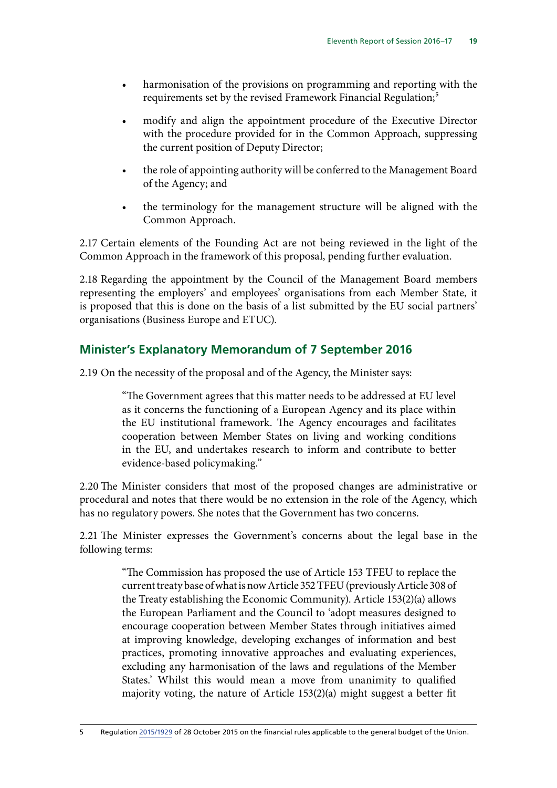- harmonisation of the provisions on programming and reporting with the requirements set by the revised Framework Financial Regulation;<sup>5</sup>
- modify and align the appointment procedure of the Executive Director with the procedure provided for in the Common Approach, suppressing the current position of Deputy Director;
- the role of appointing authority will be conferred to the Management Board of the Agency; and
- the terminology for the management structure will be aligned with the Common Approach.

2.17 Certain elements of the Founding Act are not being reviewed in the light of the Common Approach in the framework of this proposal, pending further evaluation.

2.18 Regarding the appointment by the Council of the Management Board members representing the employers' and employees' organisations from each Member State, it is proposed that this is done on the basis of a list submitted by the EU social partners' organisations (Business Europe and ETUC).

## **Minister's Explanatory Memorandum of 7 September 2016**

2.19 On the necessity of the proposal and of the Agency, the Minister says:

"The Government agrees that this matter needs to be addressed at EU level as it concerns the functioning of a European Agency and its place within the EU institutional framework. The Agency encourages and facilitates cooperation between Member States on living and working conditions in the EU, and undertakes research to inform and contribute to better evidence-based policymaking."

2.20 The Minister considers that most of the proposed changes are administrative or procedural and notes that there would be no extension in the role of the Agency, which has no regulatory powers. She notes that the Government has two concerns.

2.21 The Minister expresses the Government's concerns about the legal base in the following terms:

> "The Commission has proposed the use of Article 153 TFEU to replace the current treaty base of what is now Article 352 TFEU (previously Article 308 of the Treaty establishing the Economic Community). Article 153(2)(a) allows the European Parliament and the Council to 'adopt measures designed to encourage cooperation between Member States through initiatives aimed at improving knowledge, developing exchanges of information and best practices, promoting innovative approaches and evaluating experiences, excluding any harmonisation of the laws and regulations of the Member States.' Whilst this would mean a move from unanimity to qualified majority voting, the nature of Article 153(2)(a) might suggest a better fit

5 Regulation [2015/1929](http://eur-lex.europa.eu/legal-content/EN/TXT/PDF/?uri=CELEX:32015R1929&from=EN) of 28 October 2015 on the financial rules applicable to the general budget of the Union.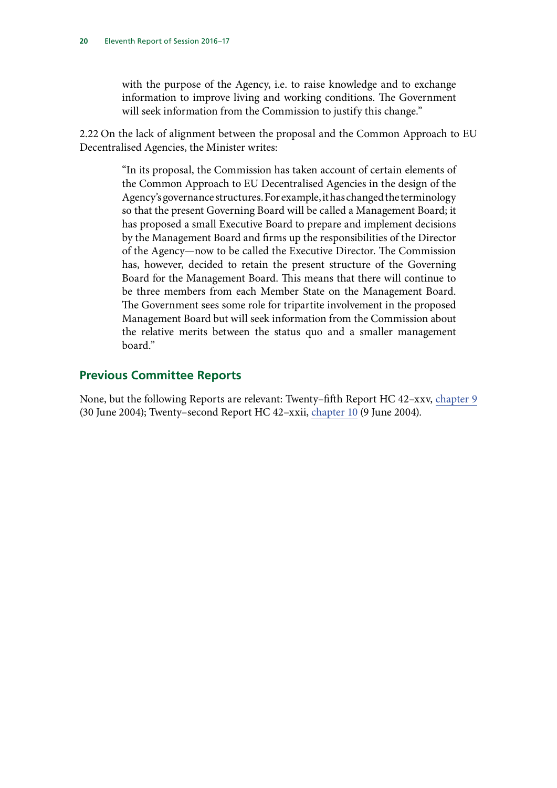with the purpose of the Agency, i.e. to raise knowledge and to exchange information to improve living and working conditions. The Government will seek information from the Commission to justify this change."

2.22 On the lack of alignment between the proposal and the Common Approach to EU Decentralised Agencies, the Minister writes:

> "In its proposal, the Commission has taken account of certain elements of the Common Approach to EU Decentralised Agencies in the design of the Agency's governance structures. For example, it has changed the terminology so that the present Governing Board will be called a Management Board; it has proposed a small Executive Board to prepare and implement decisions by the Management Board and firms up the responsibilities of the Director of the Agency—now to be called the Executive Director. The Commission has, however, decided to retain the present structure of the Governing Board for the Management Board. This means that there will continue to be three members from each Member State on the Management Board. The Government sees some role for tripartite involvement in the proposed Management Board but will seek information from the Commission about the relative merits between the status quo and a smaller management hoard"

### **Previous Committee Reports**

None, but the following Reports are relevant: Twenty–fifth Report HC 42–xxv, [chapter 9](http://www.publications.parliament.uk/pa/cm200304/cmselect/cmeuleg/42-xxv/4211.htm) (30 June 2004); Twenty–second Report HC 42–xxii, [chapter 10](http://www.publications.parliament.uk/pa/cm200304/cmselect/cmeuleg/42-xxii/4212.htm) (9 June 2004).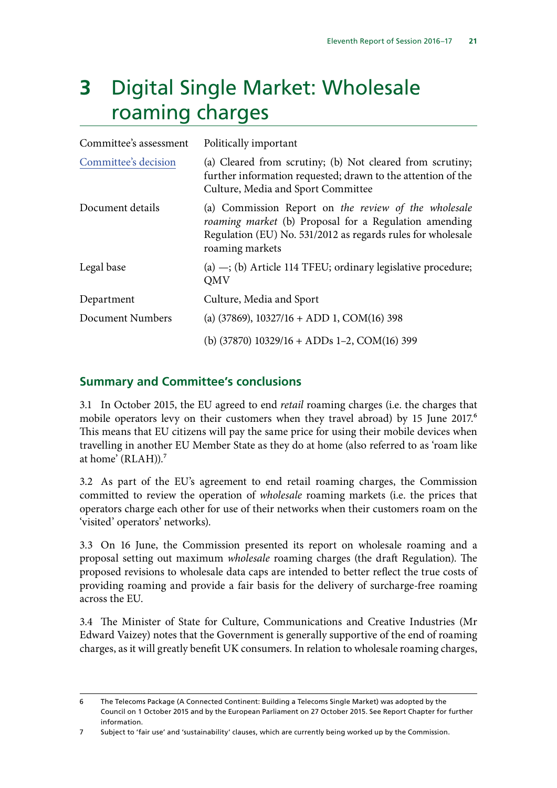## <span id="page-24-0"></span>**3** Digital Single Market: Wholesale roaming charges

| Politically important                                                                                                                                                                           |
|-------------------------------------------------------------------------------------------------------------------------------------------------------------------------------------------------|
| (a) Cleared from scrutiny; (b) Not cleared from scrutiny;<br>further information requested; drawn to the attention of the<br>Culture, Media and Sport Committee                                 |
| (a) Commission Report on the review of the wholesale<br>roaming market (b) Proposal for a Regulation amending<br>Regulation (EU) No. 531/2012 as regards rules for wholesale<br>roaming markets |
| $(a)$ -; (b) Article 114 TFEU; ordinary legislative procedure;<br><b>QMV</b>                                                                                                                    |
| Culture, Media and Sport                                                                                                                                                                        |
| (a) $(37869)$ , $10327/16 + ADD 1$ , $COM(16)$ 398                                                                                                                                              |
| (b) $(37870)$ 10329/16 + ADDs 1-2, COM(16) 399                                                                                                                                                  |
|                                                                                                                                                                                                 |

## **Summary and Committee's conclusions**

3.1 In October 2015, the EU agreed to end *retail* roaming charges (i.e. the charges that mobile operators levy on their customers when they travel abroad) by 15 June 2017.<sup>6</sup> This means that EU citizens will pay the same price for using their mobile devices when travelling in another EU Member State as they do at home (also referred to as 'roam like at home' ( $RLAH$ )).<sup>7</sup>

3.2 As part of the EU's agreement to end retail roaming charges, the Commission committed to review the operation of *wholesale* roaming markets (i.e. the prices that operators charge each other for use of their networks when their customers roam on the 'visited' operators' networks).

3.3 On 16 June, the Commission presented its report on wholesale roaming and a proposal setting out maximum *wholesale* roaming charges (the draft Regulation). The proposed revisions to wholesale data caps are intended to better reflect the true costs of providing roaming and provide a fair basis for the delivery of surcharge-free roaming across the EU.

3.4 The Minister of State for Culture, Communications and Creative Industries (Mr Edward Vaizey) notes that the Government is generally supportive of the end of roaming charges, as it will greatly benefit UK consumers. In relation to wholesale roaming charges,

<sup>6</sup> The Telecoms Package (A Connected Continent: Building a Telecoms Single Market) was adopted by the Council on 1 October 2015 and by the European Parliament on 27 October 2015. See Report Chapter for further information.

<sup>7</sup> Subject to 'fair use' and 'sustainability' clauses, which are currently being worked up by the Commission.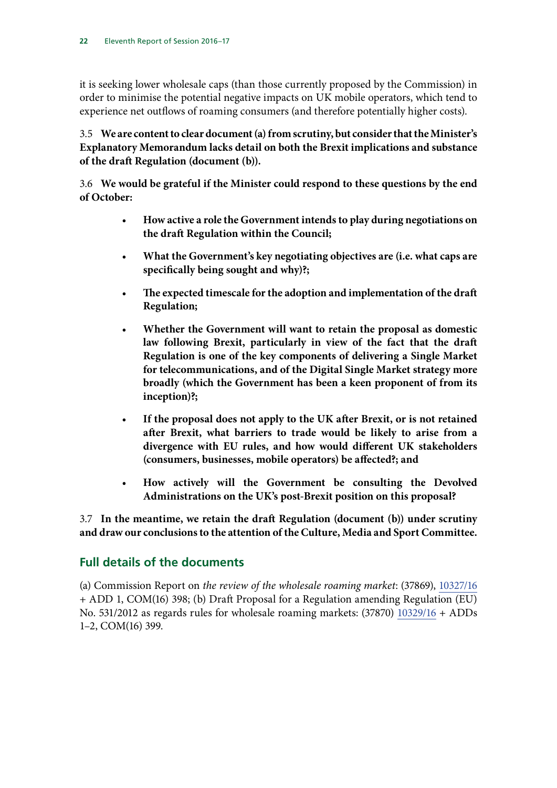it is seeking lower wholesale caps (than those currently proposed by the Commission) in order to minimise the potential negative impacts on UK mobile operators, which tend to experience net outflows of roaming consumers (and therefore potentially higher costs).

## 3.5 **We are content to clear document (a) from scrutiny, but consider that the Minister's Explanatory Memorandum lacks detail on both the Brexit implications and substance of the draft Regulation (document (b)).**

3.6 **We would be grateful if the Minister could respond to these questions by the end of October:**

- **How active a role the Government intends to play during negotiations on the draft Regulation within the Council;**
- **What the Government's key negotiating objectives are (i.e. what caps are specifically being sought and why)?;**
- **The expected timescale for the adoption and implementation of the draft Regulation;**
- **Whether the Government will want to retain the proposal as domestic law following Brexit, particularly in view of the fact that the draft Regulation is one of the key components of delivering a Single Market for telecommunications, and of the Digital Single Market strategy more broadly (which the Government has been a keen proponent of from its inception)?;**
- **If the proposal does not apply to the UK after Brexit, or is not retained after Brexit, what barriers to trade would be likely to arise from a divergence with EU rules, and how would different UK stakeholders (consumers, businesses, mobile operators) be affected?; and**
- **How actively will the Government be consulting the Devolved Administrations on the UK's post-Brexit position on this proposal?**

3.7 **In the meantime, we retain the draft Regulation (document (b)) under scrutiny and draw our conclusions to the attention of the Culture, Media and Sport Committee.**

## **Full details of the documents**

(a) Commission Report on *the review of the wholesale roaming market*: (37869), [10327/16](http://data.consilium.europa.eu/doc/document/ST-10327-2016-INIT/en/pdf) + ADD 1, COM(16) 398; (b) Draft Proposal for a Regulation amending Regulation (EU) No. 531/2012 as regards rules for wholesale roaming markets: (37870) [10329/16](http://data.consilium.europa.eu/doc/document/ST-10329-2016-INIT/en/pdf) + ADDs 1–2, COM(16) 399.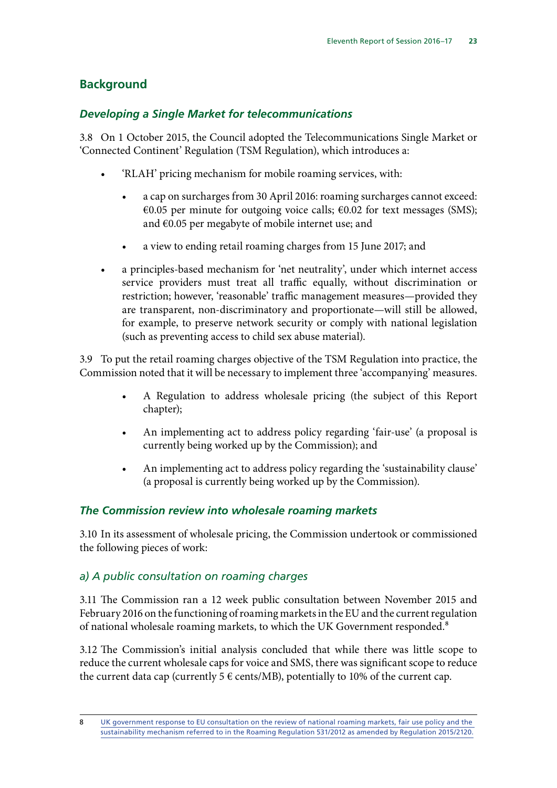## **Background**

## *Developing a Single Market for telecommunications*

3.8 On 1 October 2015, the Council adopted the Telecommunications Single Market or 'Connected Continent' Regulation (TSM Regulation), which introduces a:

- 'RLAH' pricing mechanism for mobile roaming services, with:
	- a cap on surcharges from 30 April 2016: roaming surcharges cannot exceed: €0.05 per minute for outgoing voice calls;  $€0.02$  for text messages (SMS); and €0.05 per megabyte of mobile internet use; and
	- a view to ending retail roaming charges from 15 June 2017; and
- a principles-based mechanism for 'net neutrality', under which internet access service providers must treat all traffic equally, without discrimination or restriction; however, 'reasonable' traffic management measures—provided they are transparent, non-discriminatory and proportionate—will still be allowed, for example, to preserve network security or comply with national legislation (such as preventing access to child sex abuse material).

3.9 To put the retail roaming charges objective of the TSM Regulation into practice, the Commission noted that it will be necessary to implement three 'accompanying' measures.

- A Regulation to address wholesale pricing (the subject of this Report chapter);
- An implementing act to address policy regarding 'fair-use' (a proposal is currently being worked up by the Commission); and
- An implementing act to address policy regarding the 'sustainability clause' (a proposal is currently being worked up by the Commission).

## *The Commission review into wholesale roaming markets*

3.10 In its assessment of wholesale pricing, the Commission undertook or commissioned the following pieces of work:

## *a) A public consultation on roaming charges*

3.11 The Commission ran a 12 week public consultation between November 2015 and February 2016 on the functioning of roaming markets in the EU and the current regulation of national wholesale roaming markets, to which the UK Government responded.<sup>8</sup>

3.12 The Commission's initial analysis concluded that while there was little scope to reduce the current wholesale caps for voice and SMS, there was significant scope to reduce the current data cap (currently 5  $\epsilon$  cents/MB), potentially to 10% of the current cap.

<sup>8</sup> [UK government response to EU consultation on the review of national roaming markets, fair use policy and the](https://www.gov.uk/government/publications/roaming-charges-eu-consultation-response/uk-government-response-to-eu-consultation-on-the-review-of-national-roaming-markets-fair-use-policy-and-the-sustainability-mechanism-referred-to-in-t)  [sustainability mechanism referred to in the Roaming Regulation 531/2012 as amended by Regulation 2015/2120](https://www.gov.uk/government/publications/roaming-charges-eu-consultation-response/uk-government-response-to-eu-consultation-on-the-review-of-national-roaming-markets-fair-use-policy-and-the-sustainability-mechanism-referred-to-in-t).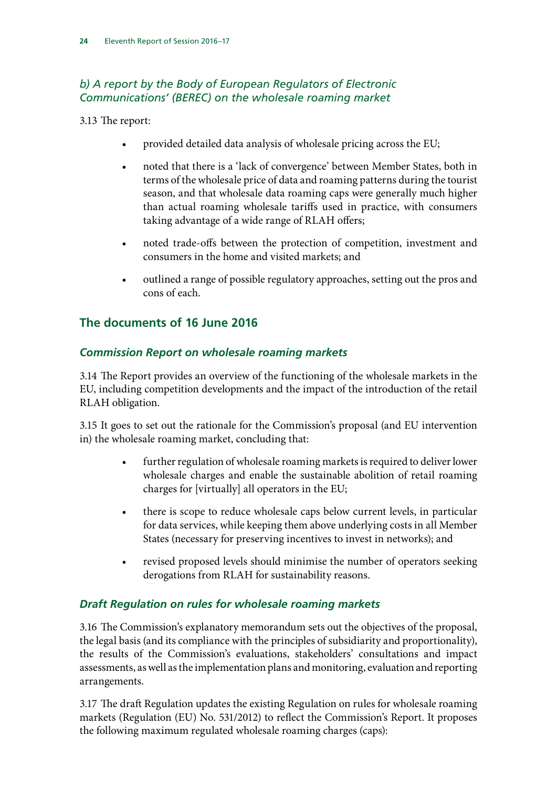## *b) A report by the Body of European Regulators of Electronic Communications' (BEREC) on the wholesale roaming market*

3.13 The report:

- provided detailed data analysis of wholesale pricing across the EU;
- noted that there is a 'lack of convergence' between Member States, both in terms of the wholesale price of data and roaming patterns during the tourist season, and that wholesale data roaming caps were generally much higher than actual roaming wholesale tariffs used in practice, with consumers taking advantage of a wide range of RLAH offers;
- noted trade-offs between the protection of competition, investment and consumers in the home and visited markets; and
- outlined a range of possible regulatory approaches, setting out the pros and cons of each.

## **The documents of 16 June 2016**

## *Commission Report on wholesale roaming markets*

3.14 The Report provides an overview of the functioning of the wholesale markets in the EU, including competition developments and the impact of the introduction of the retail RLAH obligation.

3.15 It goes to set out the rationale for the Commission's proposal (and EU intervention in) the wholesale roaming market, concluding that:

- further regulation of wholesale roaming markets is required to deliver lower wholesale charges and enable the sustainable abolition of retail roaming charges for [virtually] all operators in the EU;
- there is scope to reduce wholesale caps below current levels, in particular for data services, while keeping them above underlying costs in all Member States (necessary for preserving incentives to invest in networks); and
- revised proposed levels should minimise the number of operators seeking derogations from RLAH for sustainability reasons.

## *Draft Regulation on rules for wholesale roaming markets*

3.16 The Commission's explanatory memorandum sets out the objectives of the proposal, the legal basis (and its compliance with the principles of subsidiarity and proportionality), the results of the Commission's evaluations, stakeholders' consultations and impact assessments, as well as the implementation plans and monitoring, evaluation and reporting arrangements.

3.17 The draft Regulation updates the existing Regulation on rules for wholesale roaming markets (Regulation (EU) No. 531/2012) to reflect the Commission's Report. It proposes the following maximum regulated wholesale roaming charges (caps):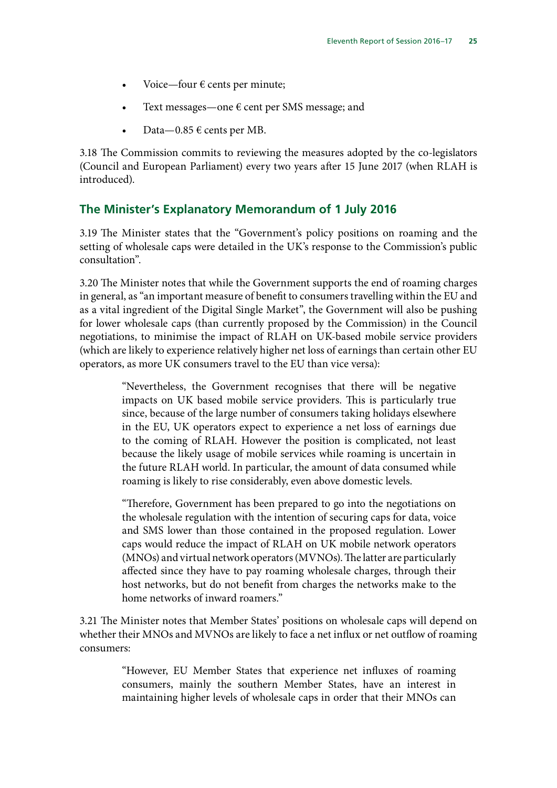- Voice—four  $\epsilon$  cents per minute;
- Text messages—one  $\epsilon$  cent per SMS message; and
- Data $-0.85 \in \text{cents}$  per MB.

3.18 The Commission commits to reviewing the measures adopted by the co-legislators (Council and European Parliament) every two years after 15 June 2017 (when RLAH is introduced).

## **The Minister's Explanatory Memorandum of 1 July 2016**

3.19 The Minister states that the "Government's policy positions on roaming and the setting of wholesale caps were detailed in the UK's response to the Commission's public consultation".

3.20 The Minister notes that while the Government supports the end of roaming charges in general, as "an important measure of benefit to consumers travelling within the EU and as a vital ingredient of the Digital Single Market", the Government will also be pushing for lower wholesale caps (than currently proposed by the Commission) in the Council negotiations, to minimise the impact of RLAH on UK-based mobile service providers (which are likely to experience relatively higher net loss of earnings than certain other EU operators, as more UK consumers travel to the EU than vice versa):

> "Nevertheless, the Government recognises that there will be negative impacts on UK based mobile service providers. This is particularly true since, because of the large number of consumers taking holidays elsewhere in the EU, UK operators expect to experience a net loss of earnings due to the coming of RLAH. However the position is complicated, not least because the likely usage of mobile services while roaming is uncertain in the future RLAH world. In particular, the amount of data consumed while roaming is likely to rise considerably, even above domestic levels.

> "Therefore, Government has been prepared to go into the negotiations on the wholesale regulation with the intention of securing caps for data, voice and SMS lower than those contained in the proposed regulation. Lower caps would reduce the impact of RLAH on UK mobile network operators (MNOs) and virtual network operators (MVNOs). The latter are particularly affected since they have to pay roaming wholesale charges, through their host networks, but do not benefit from charges the networks make to the home networks of inward roamers."

3.21 The Minister notes that Member States' positions on wholesale caps will depend on whether their MNOs and MVNOs are likely to face a net influx or net outflow of roaming consumers:

> "However, EU Member States that experience net influxes of roaming consumers, mainly the southern Member States, have an interest in maintaining higher levels of wholesale caps in order that their MNOs can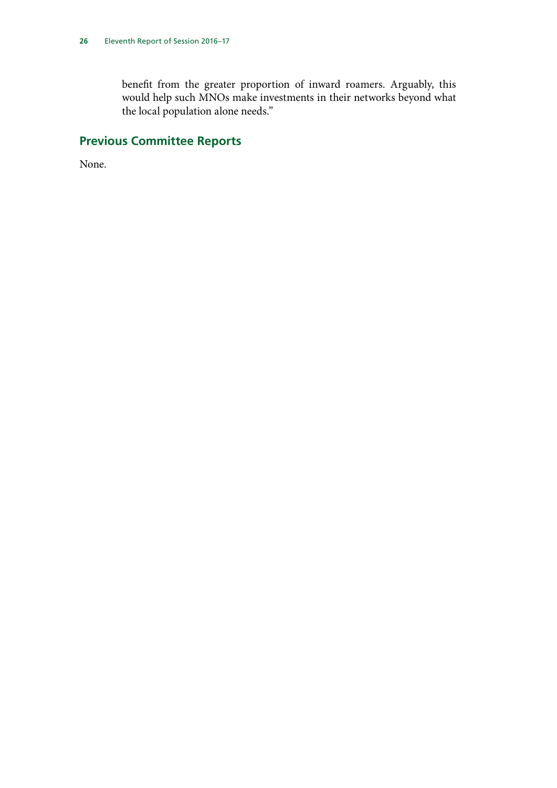benefit from the greater proportion of inward roamers. Arguably, this would help such MNOs make investments in their networks beyond what the local population alone needs."

## **Previous Committee Reports**

None.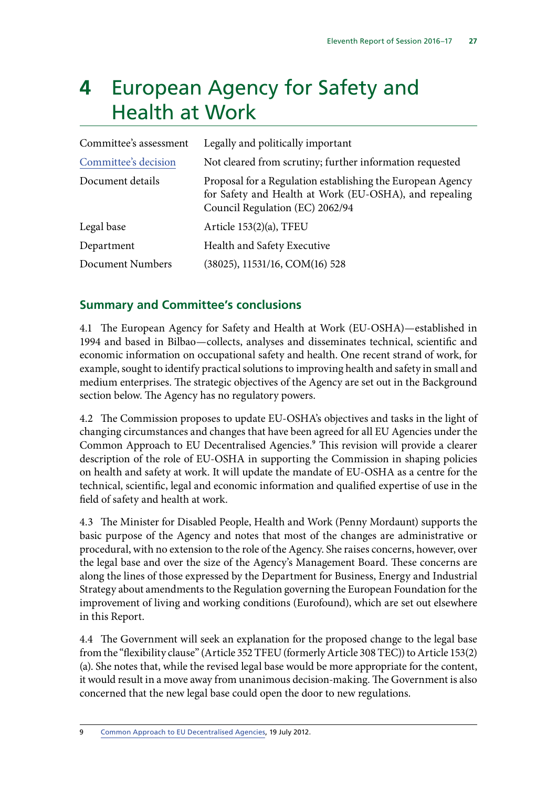## <span id="page-30-0"></span>**4** European Agency for Safety and Health at Work

| Committee's assessment | Legally and politically important                                                                                                                       |  |
|------------------------|---------------------------------------------------------------------------------------------------------------------------------------------------------|--|
| Committee's decision   | Not cleared from scrutiny; further information requested                                                                                                |  |
| Document details       | Proposal for a Regulation establishing the European Agency<br>for Safety and Health at Work (EU-OSHA), and repealing<br>Council Regulation (EC) 2062/94 |  |
| Legal base             | Article 153(2)(a), TFEU                                                                                                                                 |  |
| Department             | Health and Safety Executive                                                                                                                             |  |
| Document Numbers       | (38025), 11531/16, COM(16) 528                                                                                                                          |  |

## **Summary and Committee's conclusions**

4.1 The European Agency for Safety and Health at Work (EU-OSHA)—established in 1994 and based in Bilbao—collects, analyses and disseminates technical, scientific and economic information on occupational safety and health. One recent strand of work, for example, sought to identify practical solutions to improving health and safety in small and medium enterprises. The strategic objectives of the Agency are set out in the Background section below. The Agency has no regulatory powers.

4.2 The Commission proposes to update EU-OSHA's objectives and tasks in the light of changing circumstances and changes that have been agreed for all EU Agencies under the Common Approach to EU Decentralised Agencies.<sup>9</sup> This revision will provide a clearer description of the role of EU-OSHA in supporting the Commission in shaping policies on health and safety at work. It will update the mandate of EU-OSHA as a centre for the technical, scientific, legal and economic information and qualified expertise of use in the field of safety and health at work.

4.3 The Minister for Disabled People, Health and Work (Penny Mordaunt) supports the basic purpose of the Agency and notes that most of the changes are administrative or procedural, with no extension to the role of the Agency. She raises concerns, however, over the legal base and over the size of the Agency's Management Board. These concerns are along the lines of those expressed by the Department for Business, Energy and Industrial Strategy about amendments to the Regulation governing the European Foundation for the improvement of living and working conditions (Eurofound), which are set out elsewhere in this Report.

4.4 The Government will seek an explanation for the proposed change to the legal base from the "flexibility clause" (Article 352 TFEU (formerly Article 308 TEC)) to Article 153(2) (a). She notes that, while the revised legal base would be more appropriate for the content, it would result in a move away from unanimous decision-making. The Government is also concerned that the new legal base could open the door to new regulations.

9 [Common Approach to EU Decentralised Agencies,](https://europa.eu/european-union/sites/europaeu/files/docs/body/joint_statement_and_common_approach_2012_en.pdf) 19 July 2012.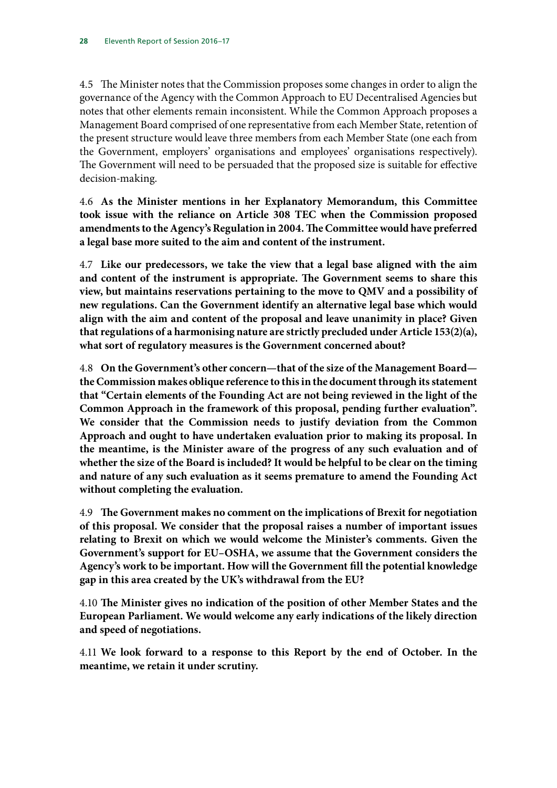4.5 The Minister notes that the Commission proposes some changes in order to align the governance of the Agency with the Common Approach to EU Decentralised Agencies but notes that other elements remain inconsistent. While the Common Approach proposes a Management Board comprised of one representative from each Member State, retention of the present structure would leave three members from each Member State (one each from the Government, employers' organisations and employees' organisations respectively). The Government will need to be persuaded that the proposed size is suitable for effective decision-making.

4.6 **As the Minister mentions in her Explanatory Memorandum, this Committee took issue with the reliance on Article 308 TEC when the Commission proposed amendments to the Agency's Regulation in 2004. The Committee would have preferred a legal base more suited to the aim and content of the instrument.**

4.7 **Like our predecessors, we take the view that a legal base aligned with the aim and content of the instrument is appropriate. The Government seems to share this view, but maintains reservations pertaining to the move to QMV and a possibility of new regulations. Can the Government identify an alternative legal base which would align with the aim and content of the proposal and leave unanimity in place? Given that regulations of a harmonising nature are strictly precluded under Article 153(2)(a), what sort of regulatory measures is the Government concerned about?**

4.8 **On the Government's other concern—that of the size of the Management Board the Commission makes oblique reference to this in the document through its statement that "Certain elements of the Founding Act are not being reviewed in the light of the Common Approach in the framework of this proposal, pending further evaluation". We consider that the Commission needs to justify deviation from the Common Approach and ought to have undertaken evaluation prior to making its proposal. In the meantime, is the Minister aware of the progress of any such evaluation and of whether the size of the Board is included? It would be helpful to be clear on the timing and nature of any such evaluation as it seems premature to amend the Founding Act without completing the evaluation.**

4.9 **The Government makes no comment on the implications of Brexit for negotiation of this proposal. We consider that the proposal raises a number of important issues relating to Brexit on which we would welcome the Minister's comments. Given the Government's support for EU–OSHA, we assume that the Government considers the Agency's work to be important. How will the Government fill the potential knowledge gap in this area created by the UK's withdrawal from the EU?**

4.10 **The Minister gives no indication of the position of other Member States and the European Parliament. We would welcome any early indications of the likely direction and speed of negotiations.**

4.11 **We look forward to a response to this Report by the end of October. In the meantime, we retain it under scrutiny.**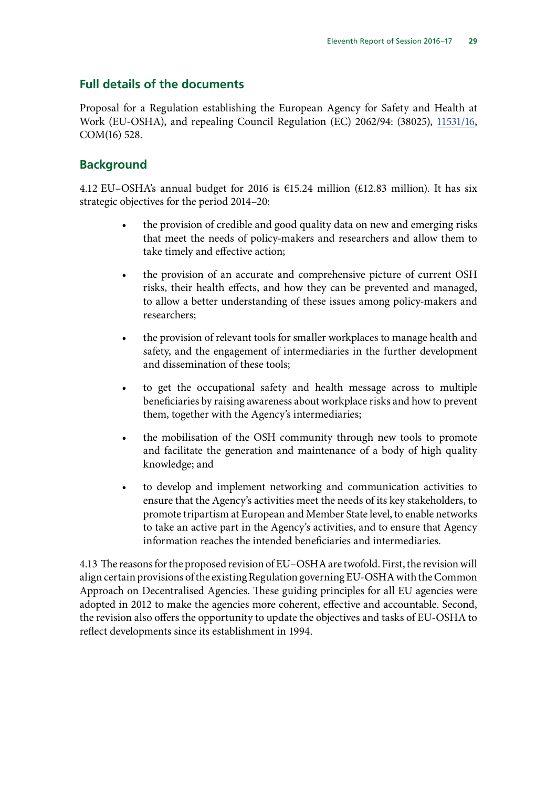## **Full details of the documents**

Proposal for a Regulation establishing the European Agency for Safety and Health at Work (EU-OSHA), and repealing Council Regulation (EC) 2062/94: (38025), [11531/16,](http://data.consilium.europa.eu/doc/document/ST-11531-2016-INIT/en/pdf) COM(16) 528.

## **Background**

4.12 EU–OSHA's annual budget for 2016 is  $\epsilon$ 15.24 million (£12.83 million). It has six strategic objectives for the period 2014–20:

- the provision of credible and good quality data on new and emerging risks that meet the needs of policy-makers and researchers and allow them to take timely and effective action;
- the provision of an accurate and comprehensive picture of current OSH risks, their health effects, and how they can be prevented and managed, to allow a better understanding of these issues among policy-makers and researchers;
- the provision of relevant tools for smaller workplaces to manage health and safety, and the engagement of intermediaries in the further development and dissemination of these tools;
- to get the occupational safety and health message across to multiple beneficiaries by raising awareness about workplace risks and how to prevent them, together with the Agency's intermediaries;
- the mobilisation of the OSH community through new tools to promote and facilitate the generation and maintenance of a body of high quality knowledge; and
- to develop and implement networking and communication activities to ensure that the Agency's activities meet the needs of its key stakeholders, to promote tripartism at European and Member State level, to enable networks to take an active part in the Agency's activities, and to ensure that Agency information reaches the intended beneficiaries and intermediaries.

4.13 The reasons for the proposed revision of EU–OSHA are twofold. First, the revision will align certain provisions of the existing Regulation governing EU-OSHA with the Common Approach on Decentralised Agencies. These guiding principles for all EU agencies were adopted in 2012 to make the agencies more coherent, effective and accountable. Second, the revision also offers the opportunity to update the objectives and tasks of EU-OSHA to reflect developments since its establishment in 1994.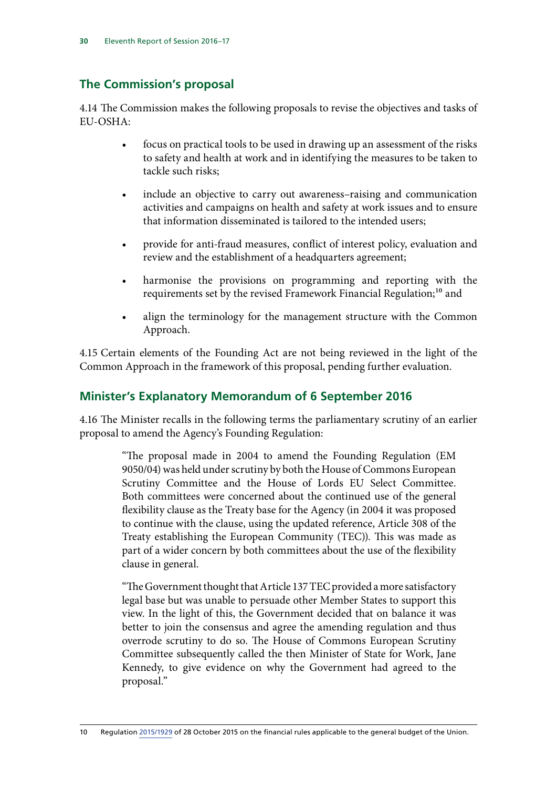## **The Commission's proposal**

4.14 The Commission makes the following proposals to revise the objectives and tasks of EU-OSHA:

- focus on practical tools to be used in drawing up an assessment of the risks to safety and health at work and in identifying the measures to be taken to tackle such risks;
- include an objective to carry out awareness–raising and communication activities and campaigns on health and safety at work issues and to ensure that information disseminated is tailored to the intended users;
- provide for anti-fraud measures, conflict of interest policy, evaluation and review and the establishment of a headquarters agreement;
- harmonise the provisions on programming and reporting with the requirements set by the revised Framework Financial Regulation;<sup>10</sup> and
- align the terminology for the management structure with the Common Approach.

4.15 Certain elements of the Founding Act are not being reviewed in the light of the Common Approach in the framework of this proposal, pending further evaluation.

## **Minister's Explanatory Memorandum of 6 September 2016**

4.16 The Minister recalls in the following terms the parliamentary scrutiny of an earlier proposal to amend the Agency's Founding Regulation:

> "The proposal made in 2004 to amend the Founding Regulation (EM 9050/04) was held under scrutiny by both the House of Commons European Scrutiny Committee and the House of Lords EU Select Committee. Both committees were concerned about the continued use of the general flexibility clause as the Treaty base for the Agency (in 2004 it was proposed to continue with the clause, using the updated reference, Article 308 of the Treaty establishing the European Community (TEC)). This was made as part of a wider concern by both committees about the use of the flexibility clause in general.

> "The Government thought that Article 137 TEC provided a more satisfactory legal base but was unable to persuade other Member States to support this view. In the light of this, the Government decided that on balance it was better to join the consensus and agree the amending regulation and thus overrode scrutiny to do so. The House of Commons European Scrutiny Committee subsequently called the then Minister of State for Work, Jane Kennedy, to give evidence on why the Government had agreed to the proposal."

10 Regulation [2015/1929](http://eur-lex.europa.eu/legal-content/EN/TXT/PDF/?uri=CELEX:32015R1929&from=EN) of 28 October 2015 on the financial rules applicable to the general budget of the Union.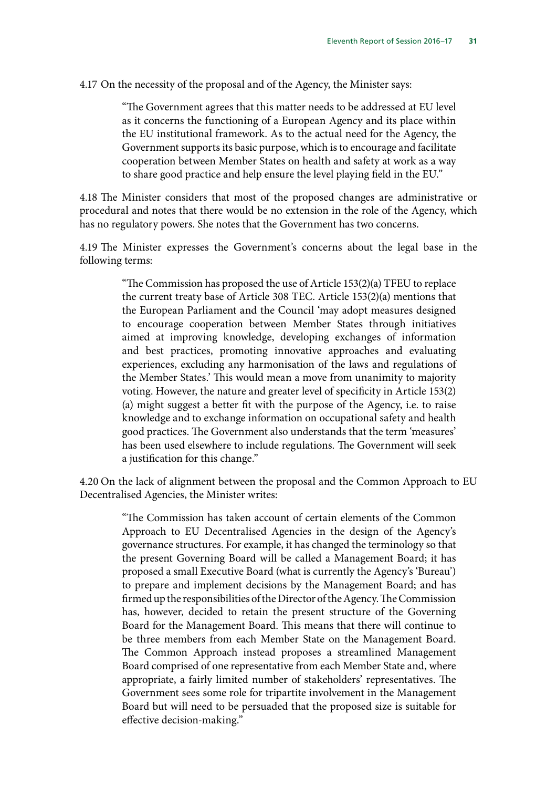4.17 On the necessity of the proposal and of the Agency, the Minister says:

"The Government agrees that this matter needs to be addressed at EU level as it concerns the functioning of a European Agency and its place within the EU institutional framework. As to the actual need for the Agency, the Government supports its basic purpose, which is to encourage and facilitate cooperation between Member States on health and safety at work as a way to share good practice and help ensure the level playing field in the EU."

4.18 The Minister considers that most of the proposed changes are administrative or procedural and notes that there would be no extension in the role of the Agency, which has no regulatory powers. She notes that the Government has two concerns.

4.19 The Minister expresses the Government's concerns about the legal base in the following terms:

> "The Commission has proposed the use of Article 153(2)(a) TFEU to replace the current treaty base of Article 308 TEC. Article 153(2)(a) mentions that the European Parliament and the Council 'may adopt measures designed to encourage cooperation between Member States through initiatives aimed at improving knowledge, developing exchanges of information and best practices, promoting innovative approaches and evaluating experiences, excluding any harmonisation of the laws and regulations of the Member States.' This would mean a move from unanimity to majority voting. However, the nature and greater level of specificity in Article 153(2) (a) might suggest a better fit with the purpose of the Agency, i.e. to raise knowledge and to exchange information on occupational safety and health good practices. The Government also understands that the term 'measures' has been used elsewhere to include regulations. The Government will seek a justification for this change."

4.20 On the lack of alignment between the proposal and the Common Approach to EU Decentralised Agencies, the Minister writes:

> "The Commission has taken account of certain elements of the Common Approach to EU Decentralised Agencies in the design of the Agency's governance structures. For example, it has changed the terminology so that the present Governing Board will be called a Management Board; it has proposed a small Executive Board (what is currently the Agency's 'Bureau') to prepare and implement decisions by the Management Board; and has firmed up the responsibilities of the Director of the Agency. The Commission has, however, decided to retain the present structure of the Governing Board for the Management Board. This means that there will continue to be three members from each Member State on the Management Board. The Common Approach instead proposes a streamlined Management Board comprised of one representative from each Member State and, where appropriate, a fairly limited number of stakeholders' representatives. The Government sees some role for tripartite involvement in the Management Board but will need to be persuaded that the proposed size is suitable for effective decision-making."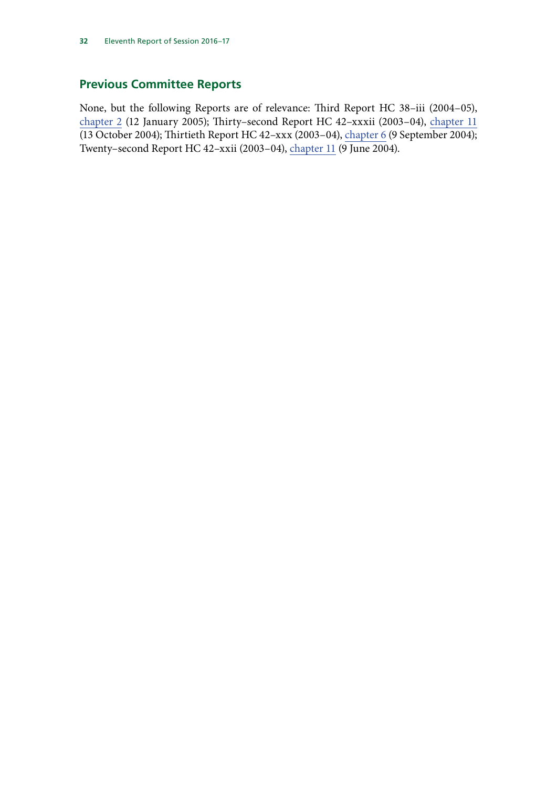## **Previous Committee Reports**

None, but the following Reports are of relevance: Third Report HC 38–iii (2004–05), [chapter 2](http://www.publications.parliament.uk/pa/cm200405/cmselect/cmeuleg/38-iii/3804.htm) (12 January 2005); Thirty–second Report HC 42–xxxii (2003–04), [chapter 11](http://www.publications.parliament.uk/pa/cm200304/cmselect/cmeuleg/42-xxxii/4213.htm) (13 October 2004); Thirtieth Report HC 42–xxx (2003–04), [chapter 6](http://www.publications.parliament.uk/pa/cm200304/cmselect/cmeuleg/42-xxx/4208.htm) (9 September 2004); Twenty–second Report HC 42–xxii (2003–04), [chapter 11](http://www.publications.parliament.uk/pa/cm200304/cmselect/cmeuleg/42-xxii/4213.htm) (9 June 2004).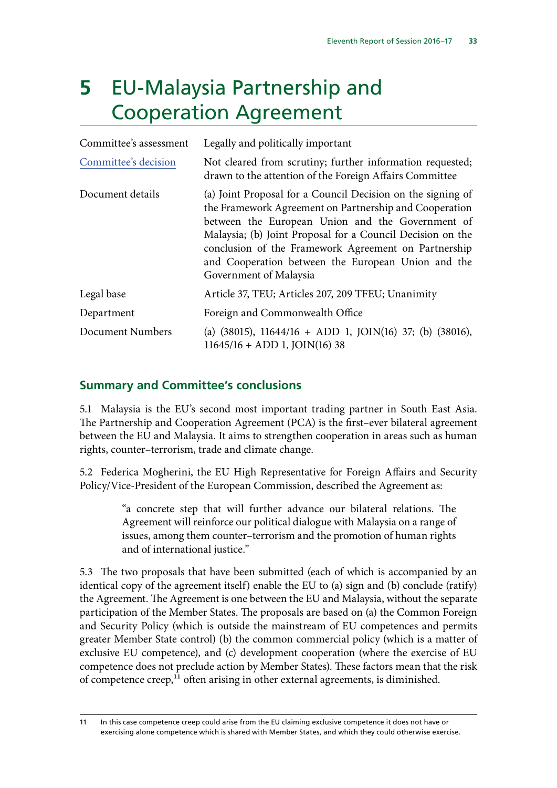# **5** EU-Malaysia Partnership and Cooperation Agreement

| Committee's assessment | Legally and politically important                                                                                                                                                                                                                                                                                                                                               |
|------------------------|---------------------------------------------------------------------------------------------------------------------------------------------------------------------------------------------------------------------------------------------------------------------------------------------------------------------------------------------------------------------------------|
| Committee's decision   | Not cleared from scrutiny; further information requested;<br>drawn to the attention of the Foreign Affairs Committee                                                                                                                                                                                                                                                            |
| Document details       | (a) Joint Proposal for a Council Decision on the signing of<br>the Framework Agreement on Partnership and Cooperation<br>between the European Union and the Government of<br>Malaysia; (b) Joint Proposal for a Council Decision on the<br>conclusion of the Framework Agreement on Partnership<br>and Cooperation between the European Union and the<br>Government of Malaysia |
| Legal base             | Article 37, TEU; Articles 207, 209 TFEU; Unanimity                                                                                                                                                                                                                                                                                                                              |
| Department             | Foreign and Commonwealth Office                                                                                                                                                                                                                                                                                                                                                 |
| Document Numbers       | (a) $(38015)$ , $11644/16 + ADD 1$ , $JOIN(16)$ 37; (b) $(38016)$ ,<br>$11645/16 + ADD 1$ , $JOIN(16)$ 38                                                                                                                                                                                                                                                                       |

## **Summary and Committee's conclusions**

5.1 Malaysia is the EU's second most important trading partner in South East Asia. The Partnership and Cooperation Agreement (PCA) is the first–ever bilateral agreement between the EU and Malaysia. It aims to strengthen cooperation in areas such as human rights, counter–terrorism, trade and climate change.

5.2 Federica Mogherini, the EU High Representative for Foreign Affairs and Security Policy/Vice-President of the European Commission, described the Agreement as:

> "a concrete step that will further advance our bilateral relations. The Agreement will reinforce our political dialogue with Malaysia on a range of issues, among them counter–terrorism and the promotion of human rights and of international justice."

5.3 The two proposals that have been submitted (each of which is accompanied by an identical copy of the agreement itself) enable the EU to (a) sign and (b) conclude (ratify) the Agreement. The Agreement is one between the EU and Malaysia, without the separate participation of the Member States. The proposals are based on (a) the Common Foreign and Security Policy (which is outside the mainstream of EU competences and permits greater Member State control) (b) the common commercial policy (which is a matter of exclusive EU competence), and (c) development cooperation (where the exercise of EU competence does not preclude action by Member States). These factors mean that the risk of competence creep,<sup>11</sup> often arising in other external agreements, is diminished.

<sup>11</sup> In this case competence creep could arise from the EU claiming exclusive competence it does not have or exercising alone competence which is shared with Member States, and which they could otherwise exercise.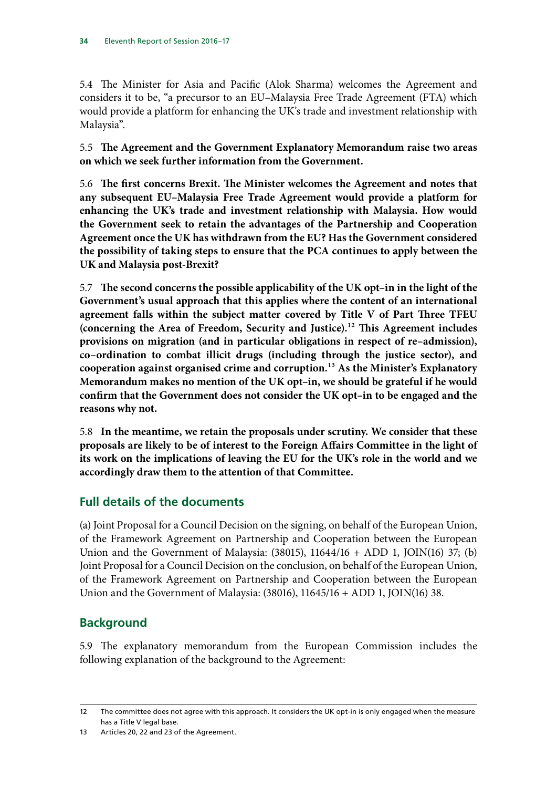5.4 The Minister for Asia and Pacific (Alok Sharma) welcomes the Agreement and considers it to be, "a precursor to an EU–Malaysia Free Trade Agreement (FTA) which would provide a platform for enhancing the UK's trade and investment relationship with Malaysia".

5.5 **The Agreement and the Government Explanatory Memorandum raise two areas on which we seek further information from the Government.**

5.6 **The first concerns Brexit. The Minister welcomes the Agreement and notes that any subsequent EU–Malaysia Free Trade Agreement would provide a platform for enhancing the UK's trade and investment relationship with Malaysia. How would the Government seek to retain the advantages of the Partnership and Cooperation Agreement once the UK has withdrawn from the EU? Has the Government considered the possibility of taking steps to ensure that the PCA continues to apply between the UK and Malaysia post-Brexit?**

5.7 **The second concerns the possible applicability of the UK opt–in in the light of the Government's usual approach that this applies where the content of an international agreement falls within the subject matter covered by Title V of Part Three TFEU (concerning the Area of Freedom, Security and Justice).**12 **This Agreement includes provisions on migration (and in particular obligations in respect of re–admission), co–ordination to combat illicit drugs (including through the justice sector), and cooperation against organised crime and corruption.**13 **As the Minister's Explanatory Memorandum makes no mention of the UK opt–in, we should be grateful if he would confirm that the Government does not consider the UK opt–in to be engaged and the reasons why not.**

5.8 **In the meantime, we retain the proposals under scrutiny. We consider that these proposals are likely to be of interest to the Foreign Affairs Committee in the light of its work on the implications of leaving the EU for the UK's role in the world and we accordingly draw them to the attention of that Committee.**

## **Full details of the documents**

(a) Joint Proposal for a Council Decision on the signing, on behalf of the European Union, of the Framework Agreement on Partnership and Cooperation between the European Union and the Government of Malaysia: (38015), 11644/16 + ADD 1, JOIN(16) 37; (b) Joint Proposal for a Council Decision on the conclusion, on behalf of the European Union, of the Framework Agreement on Partnership and Cooperation between the European Union and the Government of Malaysia: (38016), 11645/16 + ADD 1, JOIN(16) 38.

## **Background**

5.9 The explanatory memorandum from the European Commission includes the following explanation of the background to the Agreement:

<sup>12</sup> The committee does not agree with this approach. It considers the UK opt-in is only engaged when the measure has a Title V legal base.

<sup>13</sup> Articles 20, 22 and 23 of the Agreement.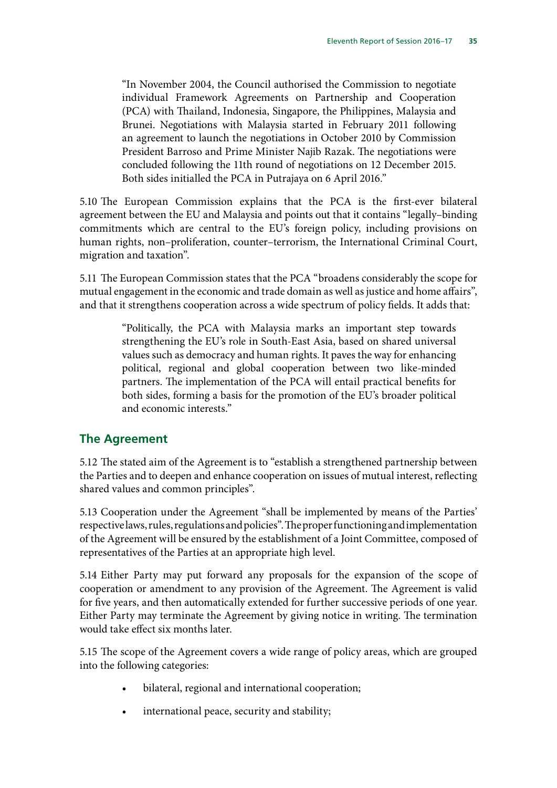"In November 2004, the Council authorised the Commission to negotiate individual Framework Agreements on Partnership and Cooperation (PCA) with Thailand, Indonesia, Singapore, the Philippines, Malaysia and Brunei. Negotiations with Malaysia started in February 2011 following an agreement to launch the negotiations in October 2010 by Commission President Barroso and Prime Minister Najib Razak. The negotiations were concluded following the 11th round of negotiations on 12 December 2015. Both sides initialled the PCA in Putrajaya on 6 April 2016."

5.10 The European Commission explains that the PCA is the first-ever bilateral agreement between the EU and Malaysia and points out that it contains "legally–binding commitments which are central to the EU's foreign policy, including provisions on human rights, non–proliferation, counter–terrorism, the International Criminal Court, migration and taxation".

5.11 The European Commission states that the PCA "broadens considerably the scope for mutual engagement in the economic and trade domain as well as justice and home affairs", and that it strengthens cooperation across a wide spectrum of policy fields. It adds that:

> "Politically, the PCA with Malaysia marks an important step towards strengthening the EU's role in South-East Asia, based on shared universal values such as democracy and human rights. It paves the way for enhancing political, regional and global cooperation between two like-minded partners. The implementation of the PCA will entail practical benefits for both sides, forming a basis for the promotion of the EU's broader political and economic interests."

## **The Agreement**

5.12 The stated aim of the Agreement is to "establish a strengthened partnership between the Parties and to deepen and enhance cooperation on issues of mutual interest, reflecting shared values and common principles".

5.13 Cooperation under the Agreement "shall be implemented by means of the Parties' respective laws, rules, regulations and policies". The proper functioning and implementation of the Agreement will be ensured by the establishment of a Joint Committee, composed of representatives of the Parties at an appropriate high level.

5.14 Either Party may put forward any proposals for the expansion of the scope of cooperation or amendment to any provision of the Agreement. The Agreement is valid for five years, and then automatically extended for further successive periods of one year. Either Party may terminate the Agreement by giving notice in writing. The termination would take effect six months later.

5.15 The scope of the Agreement covers a wide range of policy areas, which are grouped into the following categories:

- bilateral, regional and international cooperation;
- international peace, security and stability;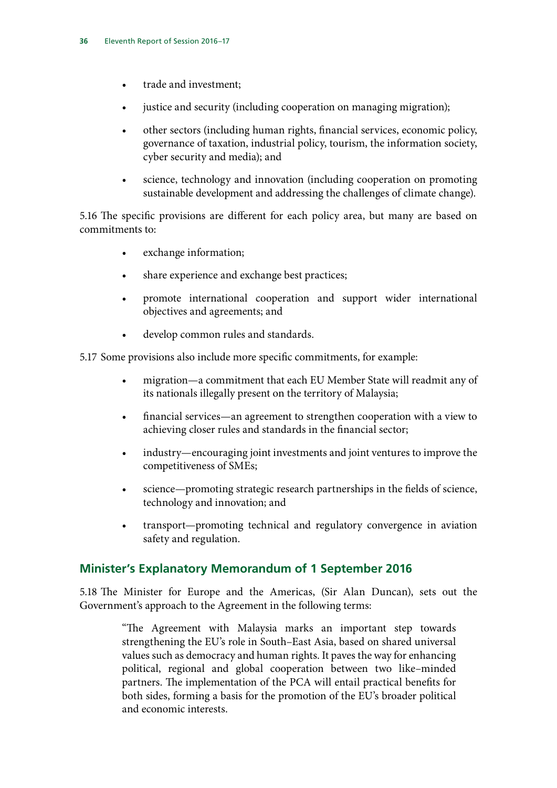- trade and investment;
- justice and security (including cooperation on managing migration);
- other sectors (including human rights, financial services, economic policy, governance of taxation, industrial policy, tourism, the information society, cyber security and media); and
- science, technology and innovation (including cooperation on promoting sustainable development and addressing the challenges of climate change).

5.16 The specific provisions are different for each policy area, but many are based on commitments to:

- exchange information;
- share experience and exchange best practices;
- promote international cooperation and support wider international objectives and agreements; and
- develop common rules and standards.

5.17 Some provisions also include more specific commitments, for example:

- migration—a commitment that each EU Member State will readmit any of its nationals illegally present on the territory of Malaysia;
- financial services—an agreement to strengthen cooperation with a view to achieving closer rules and standards in the financial sector;
- industry—encouraging joint investments and joint ventures to improve the competitiveness of SMEs;
- science—promoting strategic research partnerships in the fields of science, technology and innovation; and
- transport—promoting technical and regulatory convergence in aviation safety and regulation.

## **Minister's Explanatory Memorandum of 1 September 2016**

5.18 The Minister for Europe and the Americas, (Sir Alan Duncan), sets out the Government's approach to the Agreement in the following terms:

> "The Agreement with Malaysia marks an important step towards strengthening the EU's role in South–East Asia, based on shared universal values such as democracy and human rights. It paves the way for enhancing political, regional and global cooperation between two like–minded partners. The implementation of the PCA will entail practical benefits for both sides, forming a basis for the promotion of the EU's broader political and economic interests.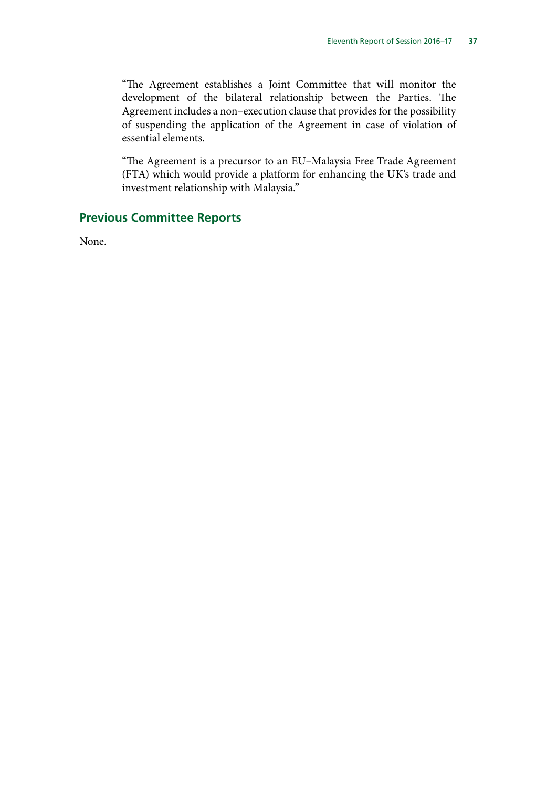"The Agreement establishes a Joint Committee that will monitor the development of the bilateral relationship between the Parties. The Agreement includes a non–execution clause that provides for the possibility of suspending the application of the Agreement in case of violation of essential elements.

"The Agreement is a precursor to an EU–Malaysia Free Trade Agreement (FTA) which would provide a platform for enhancing the UK's trade and investment relationship with Malaysia."

## **Previous Committee Reports**

None.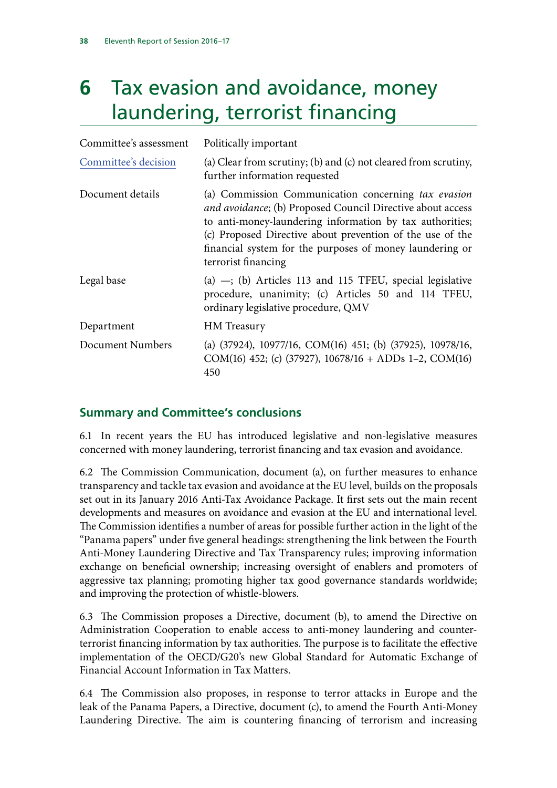# **6** Tax evasion and avoidance, money laundering, terrorist financing

| Committee's assessment | Politically important                                                                                                                                                                                                                                                                                                         |
|------------------------|-------------------------------------------------------------------------------------------------------------------------------------------------------------------------------------------------------------------------------------------------------------------------------------------------------------------------------|
| Committee's decision   | (a) Clear from scrutiny; (b) and (c) not cleared from scrutiny,<br>further information requested                                                                                                                                                                                                                              |
| Document details       | (a) Commission Communication concerning tax evasion<br>and avoidance; (b) Proposed Council Directive about access<br>to anti-money-laundering information by tax authorities;<br>(c) Proposed Directive about prevention of the use of the<br>financial system for the purposes of money laundering or<br>terrorist financing |
| Legal base             | (a) $-$ ; (b) Articles 113 and 115 TFEU, special legislative<br>procedure, unanimity; (c) Articles 50 and 114 TFEU,<br>ordinary legislative procedure, QMV                                                                                                                                                                    |
| Department             | <b>HM</b> Treasury                                                                                                                                                                                                                                                                                                            |
| Document Numbers       | (a) (37924), 10977/16, COM(16) 451; (b) (37925), 10978/16,<br>COM(16) 452; (c) (37927), $10678/16 +$ ADDs 1–2, COM(16)<br>450                                                                                                                                                                                                 |

## **Summary and Committee's conclusions**

6.1 In recent years the EU has introduced legislative and non-legislative measures concerned with money laundering, terrorist financing and tax evasion and avoidance.

6.2 The Commission Communication, document (a), on further measures to enhance transparency and tackle tax evasion and avoidance at the EU level, builds on the proposals set out in its January 2016 Anti-Tax Avoidance Package. It first sets out the main recent developments and measures on avoidance and evasion at the EU and international level. The Commission identifies a number of areas for possible further action in the light of the "Panama papers" under five general headings: strengthening the link between the Fourth Anti-Money Laundering Directive and Tax Transparency rules; improving information exchange on beneficial ownership; increasing oversight of enablers and promoters of aggressive tax planning; promoting higher tax good governance standards worldwide; and improving the protection of whistle-blowers.

6.3 The Commission proposes a Directive, document (b), to amend the Directive on Administration Cooperation to enable access to anti-money laundering and counterterrorist financing information by tax authorities. The purpose is to facilitate the effective implementation of the OECD/G20's new Global Standard for Automatic Exchange of Financial Account Information in Tax Matters.

6.4 The Commission also proposes, in response to terror attacks in Europe and the leak of the Panama Papers, a Directive, document (c), to amend the Fourth Anti-Money Laundering Directive. The aim is countering financing of terrorism and increasing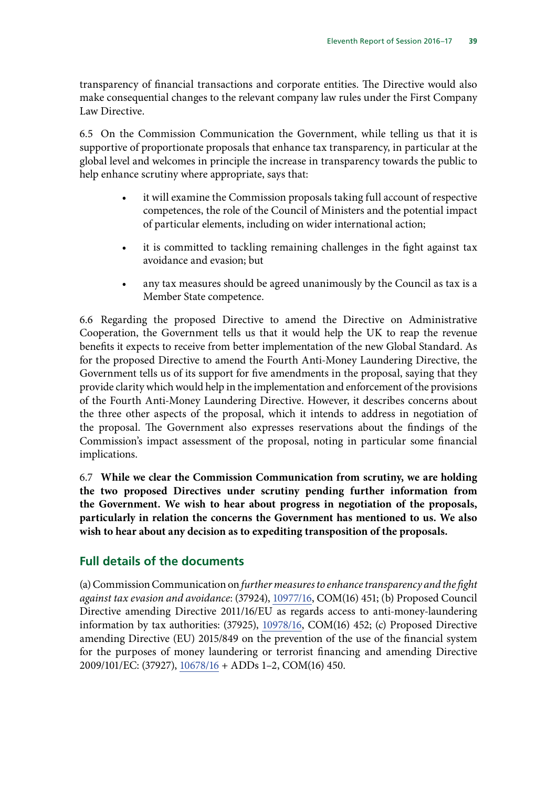transparency of financial transactions and corporate entities. The Directive would also make consequential changes to the relevant company law rules under the First Company Law Directive.

6.5 On the Commission Communication the Government, while telling us that it is supportive of proportionate proposals that enhance tax transparency, in particular at the global level and welcomes in principle the increase in transparency towards the public to help enhance scrutiny where appropriate, says that:

- it will examine the Commission proposals taking full account of respective competences, the role of the Council of Ministers and the potential impact of particular elements, including on wider international action;
- it is committed to tackling remaining challenges in the fight against tax avoidance and evasion; but
- any tax measures should be agreed unanimously by the Council as tax is a Member State competence.

6.6 Regarding the proposed Directive to amend the Directive on Administrative Cooperation, the Government tells us that it would help the UK to reap the revenue benefits it expects to receive from better implementation of the new Global Standard. As for the proposed Directive to amend the Fourth Anti-Money Laundering Directive, the Government tells us of its support for five amendments in the proposal, saying that they provide clarity which would help in the implementation and enforcement of the provisions of the Fourth Anti-Money Laundering Directive. However, it describes concerns about the three other aspects of the proposal, which it intends to address in negotiation of the proposal. The Government also expresses reservations about the findings of the Commission's impact assessment of the proposal, noting in particular some financial implications.

6.7 **While we clear the Commission Communication from scrutiny, we are holding the two proposed Directives under scrutiny pending further information from the Government. We wish to hear about progress in negotiation of the proposals, particularly in relation the concerns the Government has mentioned to us. We also wish to hear about any decision as to expediting transposition of the proposals.**

## **Full details of the documents**

(a) Commission Communication on *further measures to enhance transparency and the fight against tax evasion and avoidance*: (37924), [10977/16](http://data.consilium.europa.eu/doc/document/ST-10977-2016-INIT/en/pdf), COM(16) 451; (b) Proposed Council Directive amending Directive 2011/16/EU as regards access to anti-money-laundering information by tax authorities: (37925), [10978/16,](http://data.consilium.europa.eu/doc/document/ST-10978-2016-INIT/en/pdf) COM(16) 452; (c) Proposed Directive amending Directive (EU) 2015/849 on the prevention of the use of the financial system for the purposes of money laundering or terrorist financing and amending Directive 2009/101/EC: (37927), [10678/16](http://data.consilium.europa.eu/doc/document/ST-10678-2016-INIT/en/pdf) + ADDs 1–2, COM(16) 450.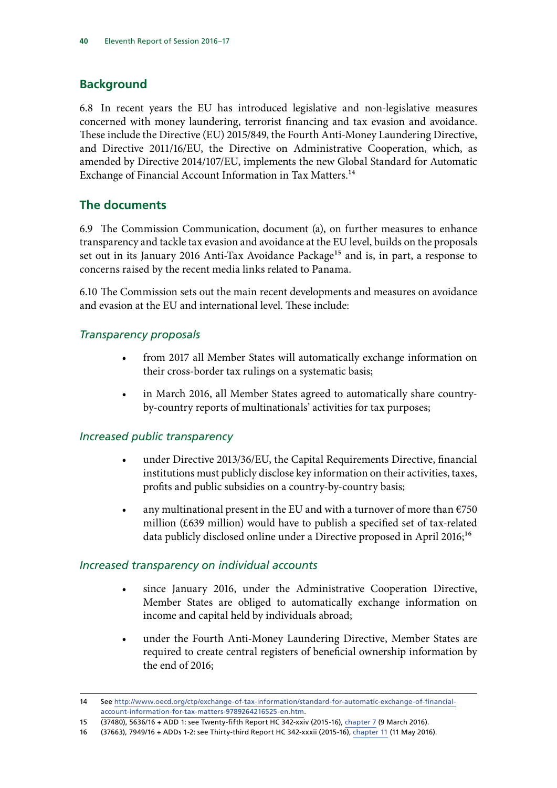## **Background**

6.8 In recent years the EU has introduced legislative and non-legislative measures concerned with money laundering, terrorist financing and tax evasion and avoidance. These include the Directive (EU) 2015/849, the Fourth Anti-Money Laundering Directive, and Directive 2011/16/EU, the Directive on Administrative Cooperation, which, as amended by Directive 2014/107/EU, implements the new Global Standard for Automatic Exchange of Financial Account Information in Tax Matters.<sup>14</sup>

## **The documents**

6.9 The Commission Communication, document (a), on further measures to enhance transparency and tackle tax evasion and avoidance at the EU level, builds on the proposals set out in its January 2016 Anti-Tax Avoidance Package<sup>15</sup> and is, in part, a response to concerns raised by the recent media links related to Panama.

6.10 The Commission sets out the main recent developments and measures on avoidance and evasion at the EU and international level. These include:

#### *Transparency proposals*

- from 2017 all Member States will automatically exchange information on their cross-border tax rulings on a systematic basis;
- in March 2016, all Member States agreed to automatically share countryby-country reports of multinationals' activities for tax purposes;

#### *Increased public transparency*

- under Directive 2013/36/EU, the Capital Requirements Directive, financial institutions must publicly disclose key information on their activities, taxes, profits and public subsidies on a country-by-country basis;
- any multinational present in the EU and with a turnover of more than  $\epsilon$ 750 million (£639 million) would have to publish a specified set of tax-related data publicly disclosed online under a Directive proposed in April 2016;<sup>16</sup>

#### *Increased transparency on individual accounts*

- since January 2016, under the Administrative Cooperation Directive, Member States are obliged to automatically exchange information on income and capital held by individuals abroad;
- under the Fourth Anti-Money Laundering Directive, Member States are required to create central registers of beneficial ownership information by the end of 2016;

<sup>14</sup> See [http://www.oecd.org/ctp/exchange-of-tax-information/standard-for-automatic-exchange-of-financial](http://www.oecd.org/ctp/exchange-of-tax-information/standard-for-automatic-exchange-of-financial-account-information-for-tax-matters-9789264216525-en.htm)[account-information-for-tax-matters-9789264216525-en.htm](http://www.oecd.org/ctp/exchange-of-tax-information/standard-for-automatic-exchange-of-financial-account-information-for-tax-matters-9789264216525-en.htm).

<sup>15</sup> (37480), 5636/16 + ADD 1: see Twenty-fifth Report HC 342-xxiv (2015-16), [chapter 7](http://www.publications.parliament.uk/pa/cm201516/cmselect/cmeuleg/342-xxiv/34210.htm) (9 March 2016).

<sup>16</sup> (37663), 7949/16 + ADDs 1-2: see Thirty-third Report HC 342-xxxii (2015-16), chapter 11 (11 May 2016).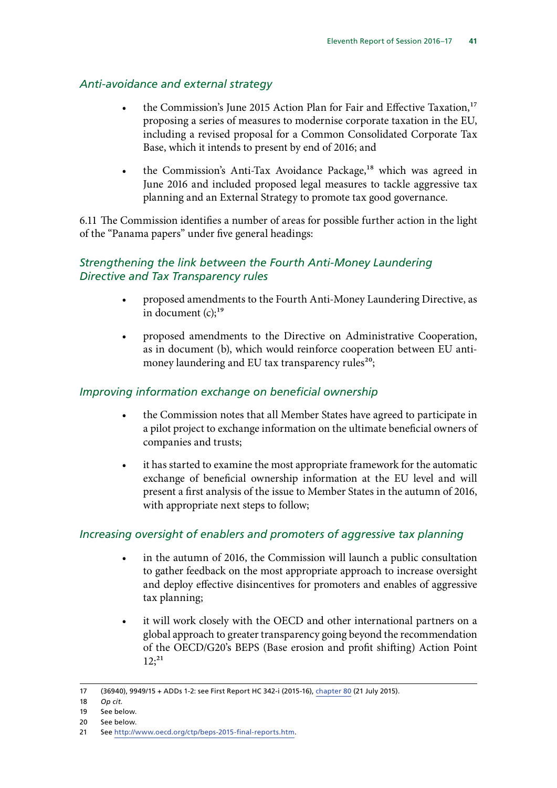#### *Anti-avoidance and external strategy*

- the Commission's June 2015 Action Plan for Fair and Effective Taxation,<sup>17</sup> proposing a series of measures to modernise corporate taxation in the EU, including a revised proposal for a Common Consolidated Corporate Tax Base, which it intends to present by end of 2016; and
- the Commission's Anti-Tax Avoidance Package,<sup>18</sup> which was agreed in June 2016 and included proposed legal measures to tackle aggressive tax planning and an External Strategy to promote tax good governance.

6.11 The Commission identifies a number of areas for possible further action in the light of the "Panama papers" under five general headings:

#### *Strengthening the link between the Fourth Anti-Money Laundering Directive and Tax Transparency rules*

- proposed amendments to the Fourth Anti-Money Laundering Directive, as in document  $(c)$ ;<sup>19</sup>
- proposed amendments to the Directive on Administrative Cooperation, as in document (b), which would reinforce cooperation between EU antimoney laundering and EU tax transparency rules<sup>20</sup>;

#### *Improving information exchange on beneficial ownership*

- the Commission notes that all Member States have agreed to participate in a pilot project to exchange information on the ultimate beneficial owners of companies and trusts;
- it has started to examine the most appropriate framework for the automatic exchange of beneficial ownership information at the EU level and will present a first analysis of the issue to Member States in the autumn of 2016, with appropriate next steps to follow;

#### *Increasing oversight of enablers and promoters of aggressive tax planning*

- in the autumn of 2016, the Commission will launch a public consultation to gather feedback on the most appropriate approach to increase oversight and deploy effective disincentives for promoters and enables of aggressive tax planning;
- it will work closely with the OECD and other international partners on a global approach to greater transparency going beyond the recommendation of the OECD/G20's BEPS (Base erosion and profit shifting) Action Point  $12$ ;<sup>21</sup>

<sup>17</sup> (36940), 9949/15 + ADDs 1-2: see First Report HC 342-i (2015-16), [chapter 80](http://www.publications.parliament.uk/pa/cm201516/cmselect/cmeuleg/342-i/34283.htm) (21 July 2015).

<sup>18</sup> *Op cit.*

<sup>19</sup> See below.

<sup>20</sup> See below.

<sup>21</sup> See [http://www.oecd.org/ctp/beps-2015-final-reports.htm.](http://www.oecd.org/ctp/beps-2015-final-reports.htm)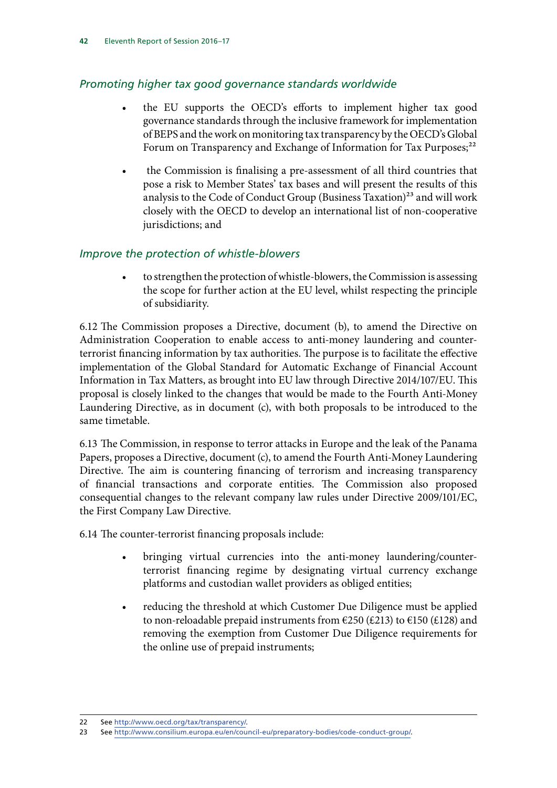## *Promoting higher tax good governance standards worldwide*

- the EU supports the OECD's efforts to implement higher tax good governance standards through the inclusive framework for implementation of BEPS and the work on monitoring tax transparency by the OECD's Global Forum on Transparency and Exchange of Information for Tax Purposes;<sup>22</sup>
- the Commission is finalising a pre-assessment of all third countries that pose a risk to Member States' tax bases and will present the results of this analysis to the Code of Conduct Group (Business Taxation) $^{23}$  and will work closely with the OECD to develop an international list of non-cooperative jurisdictions; and

#### *Improve the protection of whistle-blowers*

• to strengthen the protection of whistle-blowers, the Commission is assessing the scope for further action at the EU level, whilst respecting the principle of subsidiarity.

6.12 The Commission proposes a Directive, document (b), to amend the Directive on Administration Cooperation to enable access to anti-money laundering and counterterrorist financing information by tax authorities. The purpose is to facilitate the effective implementation of the Global Standard for Automatic Exchange of Financial Account Information in Tax Matters, as brought into EU law through Directive 2014/107/EU. This proposal is closely linked to the changes that would be made to the Fourth Anti-Money Laundering Directive, as in document (c), with both proposals to be introduced to the same timetable.

6.13 The Commission, in response to terror attacks in Europe and the leak of the Panama Papers, proposes a Directive, document (c), to amend the Fourth Anti-Money Laundering Directive. The aim is countering financing of terrorism and increasing transparency of financial transactions and corporate entities. The Commission also proposed consequential changes to the relevant company law rules under Directive 2009/101/EC, the First Company Law Directive.

6.14 The counter-terrorist financing proposals include:

- bringing virtual currencies into the anti-money laundering/counterterrorist financing regime by designating virtual currency exchange platforms and custodian wallet providers as obliged entities;
- reducing the threshold at which Customer Due Diligence must be applied to non-reloadable prepaid instruments from  $\epsilon$ 250 (£213) to  $\epsilon$ 150 (£128) and removing the exemption from Customer Due Diligence requirements for the online use of prepaid instruments;

<sup>22</sup> See [http://www.oecd.org/tax/transparency/.](http://www.oecd.org/tax/transparency/)

<sup>23</sup> See<http://www.consilium.europa.eu/en/council-eu/preparatory-bodies/code-conduct-group/>.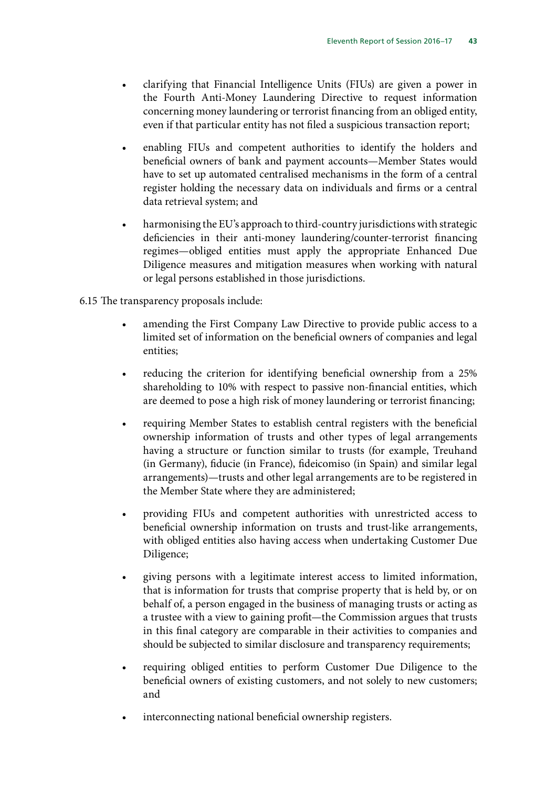- clarifying that Financial Intelligence Units (FIUs) are given a power in the Fourth Anti-Money Laundering Directive to request information concerning money laundering or terrorist financing from an obliged entity, even if that particular entity has not filed a suspicious transaction report;
- enabling FIUs and competent authorities to identify the holders and beneficial owners of bank and payment accounts—Member States would have to set up automated centralised mechanisms in the form of a central register holding the necessary data on individuals and firms or a central data retrieval system; and
- harmonising the EU's approach to third-country jurisdictions with strategic deficiencies in their anti-money laundering/counter-terrorist financing regimes—obliged entities must apply the appropriate Enhanced Due Diligence measures and mitigation measures when working with natural or legal persons established in those jurisdictions.

6.15 The transparency proposals include:

- amending the First Company Law Directive to provide public access to a limited set of information on the beneficial owners of companies and legal entities;
- reducing the criterion for identifying beneficial ownership from a 25% shareholding to 10% with respect to passive non-financial entities, which are deemed to pose a high risk of money laundering or terrorist financing;
- requiring Member States to establish central registers with the beneficial ownership information of trusts and other types of legal arrangements having a structure or function similar to trusts (for example, Treuhand (in Germany), fiducie (in France), fideicomiso (in Spain) and similar legal arrangements)—trusts and other legal arrangements are to be registered in the Member State where they are administered;
- providing FIUs and competent authorities with unrestricted access to beneficial ownership information on trusts and trust-like arrangements, with obliged entities also having access when undertaking Customer Due Diligence;
- giving persons with a legitimate interest access to limited information, that is information for trusts that comprise property that is held by, or on behalf of, a person engaged in the business of managing trusts or acting as a trustee with a view to gaining profit—the Commission argues that trusts in this final category are comparable in their activities to companies and should be subjected to similar disclosure and transparency requirements;
- requiring obliged entities to perform Customer Due Diligence to the beneficial owners of existing customers, and not solely to new customers; and
- interconnecting national beneficial ownership registers.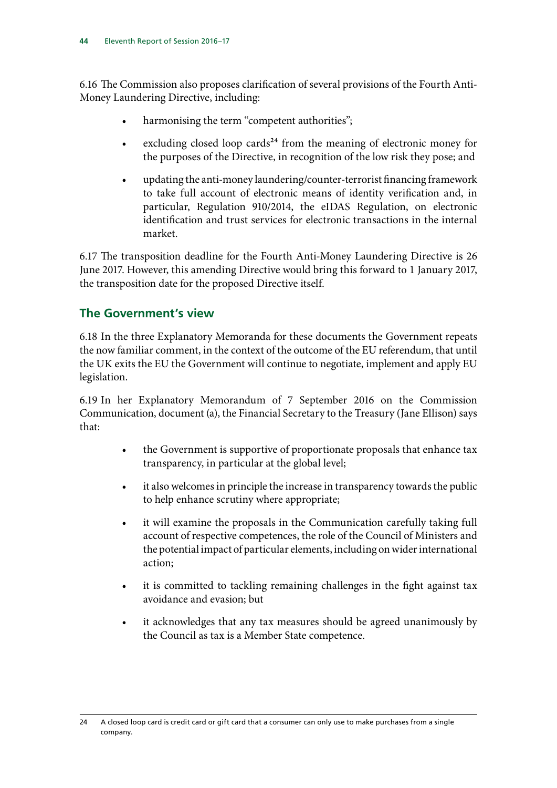6.16 The Commission also proposes clarification of several provisions of the Fourth Anti-Money Laundering Directive, including:

- harmonising the term "competent authorities";
- excluding closed loop cards<sup>24</sup> from the meaning of electronic money for the purposes of the Directive, in recognition of the low risk they pose; and
- updating the anti-money laundering/counter-terrorist financing framework to take full account of electronic means of identity verification and, in particular, Regulation 910/2014, the eIDAS Regulation, on electronic identification and trust services for electronic transactions in the internal market.

6.17 The transposition deadline for the Fourth Anti-Money Laundering Directive is 26 June 2017. However, this amending Directive would bring this forward to 1 January 2017, the transposition date for the proposed Directive itself.

## **The Government's view**

6.18 In the three Explanatory Memoranda for these documents the Government repeats the now familiar comment, in the context of the outcome of the EU referendum, that until the UK exits the EU the Government will continue to negotiate, implement and apply EU legislation.

6.19 In her Explanatory Memorandum of 7 September 2016 on the Commission Communication, document (a), the Financial Secretary to the Treasury (Jane Ellison) says that:

- the Government is supportive of proportionate proposals that enhance tax transparency, in particular at the global level;
- it also welcomes in principle the increase in transparency towards the public to help enhance scrutiny where appropriate;
- it will examine the proposals in the Communication carefully taking full account of respective competences, the role of the Council of Ministers and the potential impact of particular elements, including on wider international action;
- it is committed to tackling remaining challenges in the fight against tax avoidance and evasion; but
- it acknowledges that any tax measures should be agreed unanimously by the Council as tax is a Member State competence.

<sup>24</sup> A closed loop card is credit card or gift card that a consumer can only use to make purchases from a single company.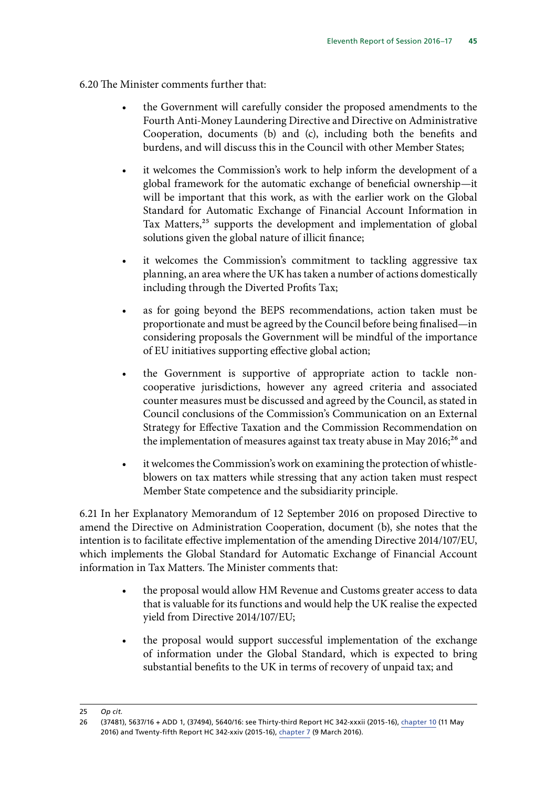6.20 The Minister comments further that:

- the Government will carefully consider the proposed amendments to the Fourth Anti-Money Laundering Directive and Directive on Administrative Cooperation, documents (b) and (c), including both the benefits and burdens, and will discuss this in the Council with other Member States;
- it welcomes the Commission's work to help inform the development of a global framework for the automatic exchange of beneficial ownership—it will be important that this work, as with the earlier work on the Global Standard for Automatic Exchange of Financial Account Information in Tax Matters,<sup>25</sup> supports the development and implementation of global solutions given the global nature of illicit finance;
- it welcomes the Commission's commitment to tackling aggressive tax planning, an area where the UK has taken a number of actions domestically including through the Diverted Profits Tax;
- as for going beyond the BEPS recommendations, action taken must be proportionate and must be agreed by the Council before being finalised—in considering proposals the Government will be mindful of the importance of EU initiatives supporting effective global action;
- the Government is supportive of appropriate action to tackle noncooperative jurisdictions, however any agreed criteria and associated counter measures must be discussed and agreed by the Council, as stated in Council conclusions of the Commission's Communication on an External Strategy for Effective Taxation and the Commission Recommendation on the implementation of measures against tax treaty abuse in May 2016;<sup>26</sup> and
- it welcomes the Commission's work on examining the protection of whistleblowers on tax matters while stressing that any action taken must respect Member State competence and the subsidiarity principle.

6.21 In her Explanatory Memorandum of 12 September 2016 on proposed Directive to amend the Directive on Administration Cooperation, document (b), she notes that the intention is to facilitate effective implementation of the amending Directive 2014/107/EU, which implements the Global Standard for Automatic Exchange of Financial Account information in Tax Matters. The Minister comments that:

- the proposal would allow HM Revenue and Customs greater access to data that is valuable for its functions and would help the UK realise the expected yield from Directive 2014/107/EU;
- the proposal would support successful implementation of the exchange of information under the Global Standard, which is expected to bring substantial benefits to the UK in terms of recovery of unpaid tax; and

<sup>25</sup> *Op cit.*

<sup>26</sup> (37481), 5637/16 + ADD 1, (37494), 5640/16: see Thirty-third Report HC 342-xxxii (2015-16), chapter 10 (11 May 2016) and Twenty-fifth Report HC 342-xxiv (2015-16), [chapter 7](http://www.publications.parliament.uk/pa/cm201516/cmselect/cmeuleg/342-xxiv/34210.htm) (9 March 2016).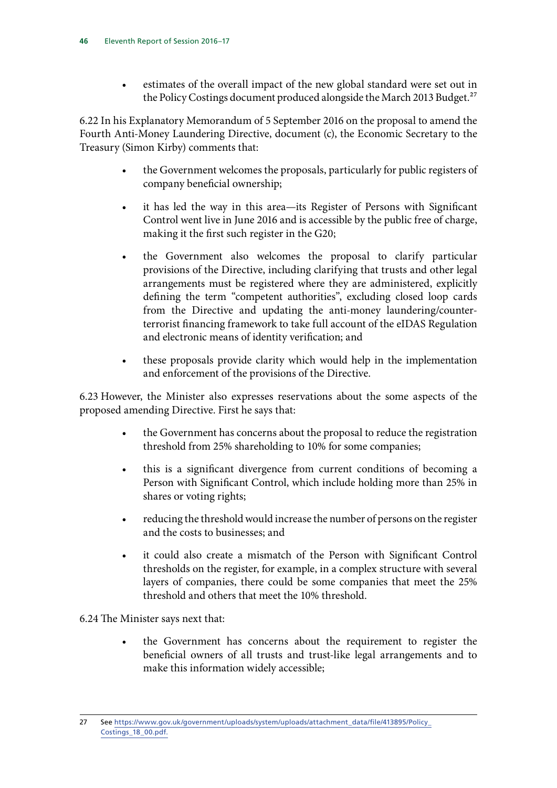• estimates of the overall impact of the new global standard were set out in the Policy Costings document produced alongside the March 2013 Budget.<sup>27</sup>

6.22 In his Explanatory Memorandum of 5 September 2016 on the proposal to amend the Fourth Anti-Money Laundering Directive, document (c), the Economic Secretary to the Treasury (Simon Kirby) comments that:

- the Government welcomes the proposals, particularly for public registers of company beneficial ownership;
- it has led the way in this area—its Register of Persons with Significant Control went live in June 2016 and is accessible by the public free of charge, making it the first such register in the G20;
- the Government also welcomes the proposal to clarify particular provisions of the Directive, including clarifying that trusts and other legal arrangements must be registered where they are administered, explicitly defining the term "competent authorities", excluding closed loop cards from the Directive and updating the anti-money laundering/counterterrorist financing framework to take full account of the eIDAS Regulation and electronic means of identity verification; and
- these proposals provide clarity which would help in the implementation and enforcement of the provisions of the Directive.

6.23 However, the Minister also expresses reservations about the some aspects of the proposed amending Directive. First he says that:

- the Government has concerns about the proposal to reduce the registration threshold from 25% shareholding to 10% for some companies;
- this is a significant divergence from current conditions of becoming a Person with Significant Control, which include holding more than 25% in shares or voting rights;
- reducing the threshold would increase the number of persons on the register and the costs to businesses; and
- it could also create a mismatch of the Person with Significant Control thresholds on the register, for example, in a complex structure with several layers of companies, there could be some companies that meet the 25% threshold and others that meet the 10% threshold.

#### 6.24 The Minister says next that:

• the Government has concerns about the requirement to register the beneficial owners of all trusts and trust-like legal arrangements and to make this information widely accessible;

<sup>27</sup> See [https://www.gov.uk/government/uploads/system/uploads/attachment\\_data/file/413895/Policy\\_](https://www.gov.uk/government/uploads/system/uploads/attachment_data/file/413895/Policy_Costings_18_00.pdf) [Costings\\_18\\_00.pdf.](https://www.gov.uk/government/uploads/system/uploads/attachment_data/file/413895/Policy_Costings_18_00.pdf)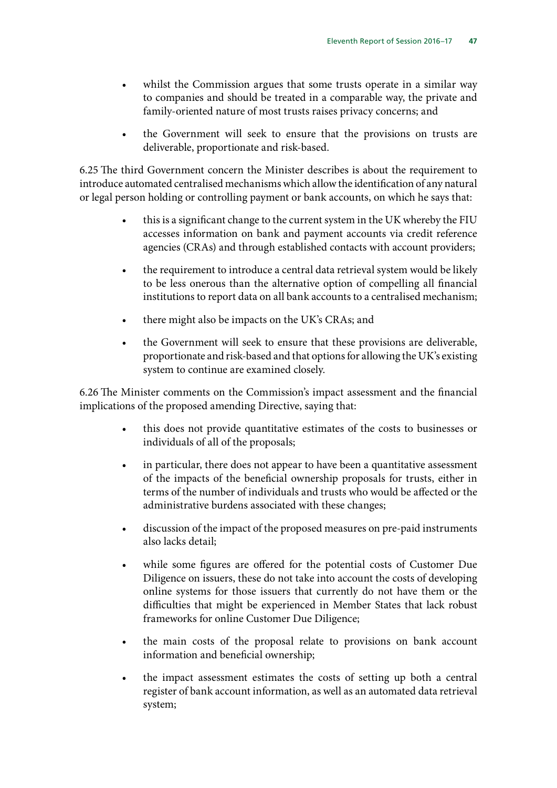- whilst the Commission argues that some trusts operate in a similar way to companies and should be treated in a comparable way, the private and family-oriented nature of most trusts raises privacy concerns; and
- the Government will seek to ensure that the provisions on trusts are deliverable, proportionate and risk-based.

6.25 The third Government concern the Minister describes is about the requirement to introduce automated centralised mechanisms which allow the identification of any natural or legal person holding or controlling payment or bank accounts, on which he says that:

- this is a significant change to the current system in the UK whereby the FIU accesses information on bank and payment accounts via credit reference agencies (CRAs) and through established contacts with account providers;
- the requirement to introduce a central data retrieval system would be likely to be less onerous than the alternative option of compelling all financial institutions to report data on all bank accounts to a centralised mechanism;
- there might also be impacts on the UK's CRAs; and
- the Government will seek to ensure that these provisions are deliverable, proportionate and risk-based and that options for allowing the UK's existing system to continue are examined closely.

6.26 The Minister comments on the Commission's impact assessment and the financial implications of the proposed amending Directive, saying that:

- this does not provide quantitative estimates of the costs to businesses or individuals of all of the proposals;
- in particular, there does not appear to have been a quantitative assessment of the impacts of the beneficial ownership proposals for trusts, either in terms of the number of individuals and trusts who would be affected or the administrative burdens associated with these changes;
- discussion of the impact of the proposed measures on pre-paid instruments also lacks detail;
- while some figures are offered for the potential costs of Customer Due Diligence on issuers, these do not take into account the costs of developing online systems for those issuers that currently do not have them or the difficulties that might be experienced in Member States that lack robust frameworks for online Customer Due Diligence;
- the main costs of the proposal relate to provisions on bank account information and beneficial ownership;
- the impact assessment estimates the costs of setting up both a central register of bank account information, as well as an automated data retrieval system;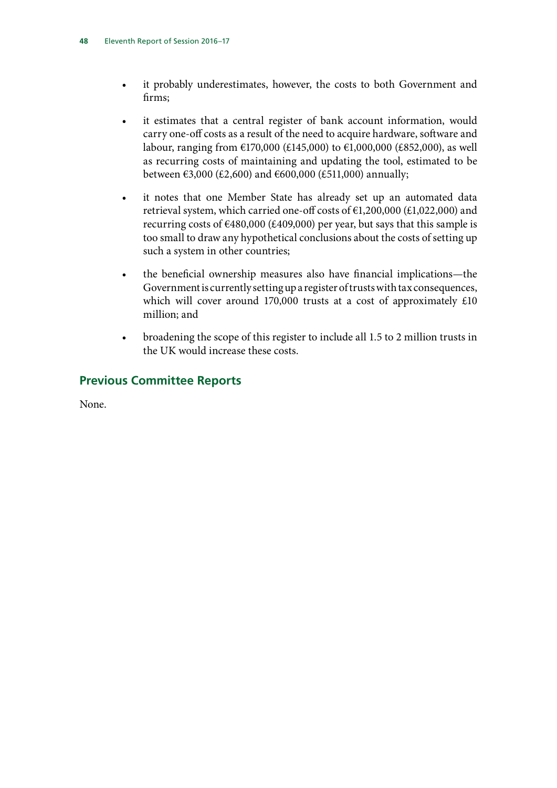- it probably underestimates, however, the costs to both Government and firms;
- it estimates that a central register of bank account information, would carry one-off costs as a result of the need to acquire hardware, software and labour, ranging from €170,000 (£145,000) to €1,000,000 (£852,000), as well as recurring costs of maintaining and updating the tool, estimated to be between €3,000 (£2,600) and €600,000 (£511,000) annually;
- it notes that one Member State has already set up an automated data retrieval system, which carried one-off costs of  $E1,200,000$  (£1,022,000) and recurring costs of  $\epsilon$ 480,000 (£409,000) per year, but says that this sample is too small to draw any hypothetical conclusions about the costs of setting up such a system in other countries;
- the beneficial ownership measures also have financial implications—the Government is currently setting up a register of trusts with tax consequences, which will cover around 170,000 trusts at a cost of approximately £10 million; and
- broadening the scope of this register to include all 1.5 to 2 million trusts in the UK would increase these costs.

## **Previous Committee Reports**

None.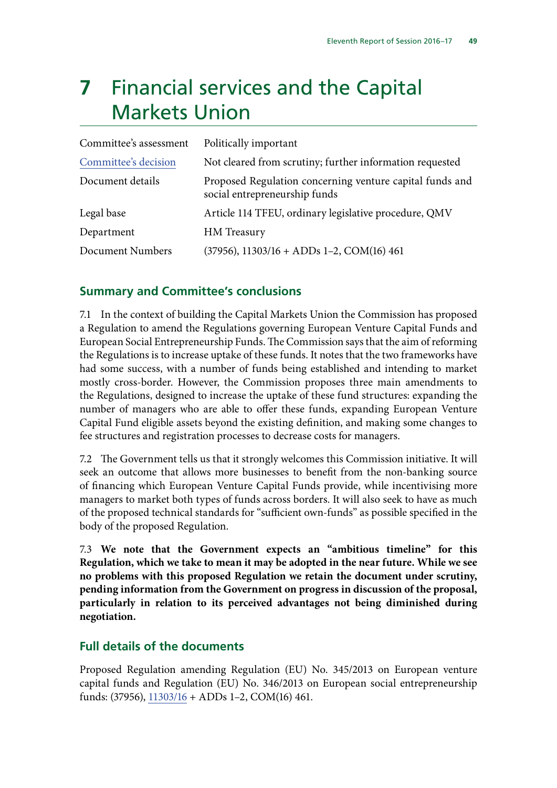## **7** Financial services and the Capital Markets Union

| Committee's assessment | Politically important                                                                     |
|------------------------|-------------------------------------------------------------------------------------------|
| Committee's decision   | Not cleared from scrutiny; further information requested                                  |
| Document details       | Proposed Regulation concerning venture capital funds and<br>social entrepreneurship funds |
| Legal base             | Article 114 TFEU, ordinary legislative procedure, QMV                                     |
| Department             | HM Treasury                                                                               |
| Document Numbers       | $(37956), 11303/16 + ADDs 1-2, COM(16) 461$                                               |

#### **Summary and Committee's conclusions**

7.1 In the context of building the Capital Markets Union the Commission has proposed a Regulation to amend the Regulations governing European Venture Capital Funds and European Social Entrepreneurship Funds. The Commission says that the aim of reforming the Regulations is to increase uptake of these funds. It notes that the two frameworks have had some success, with a number of funds being established and intending to market mostly cross-border. However, the Commission proposes three main amendments to the Regulations, designed to increase the uptake of these fund structures: expanding the number of managers who are able to offer these funds, expanding European Venture Capital Fund eligible assets beyond the existing definition, and making some changes to fee structures and registration processes to decrease costs for managers.

7.2 The Government tells us that it strongly welcomes this Commission initiative. It will seek an outcome that allows more businesses to benefit from the non-banking source of financing which European Venture Capital Funds provide, while incentivising more managers to market both types of funds across borders. It will also seek to have as much of the proposed technical standards for "sufficient own-funds" as possible specified in the body of the proposed Regulation.

7.3 **We note that the Government expects an "ambitious timeline" for this Regulation, which we take to mean it may be adopted in the near future. While we see no problems with this proposed Regulation we retain the document under scrutiny, pending information from the Government on progress in discussion of the proposal, particularly in relation to its perceived advantages not being diminished during negotiation.**

#### **Full details of the documents**

Proposed Regulation amending Regulation (EU) No. 345/2013 on European venture capital funds and Regulation (EU) No. 346/2013 on European social entrepreneurship funds: (37956), [11303/16](http://data.consilium.europa.eu/doc/document/ST-11303-2016-INIT/en/pdf) + ADDs 1–2, COM(16) 461.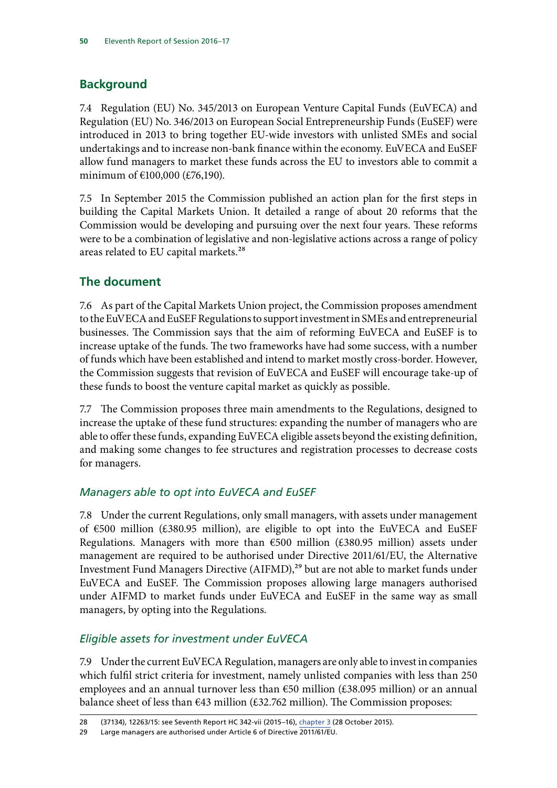## **Background**

7.4 Regulation (EU) No. 345/2013 on European Venture Capital Funds (EuVECA) and Regulation (EU) No. 346/2013 on European Social Entrepreneurship Funds (EuSEF) were introduced in 2013 to bring together EU-wide investors with unlisted SMEs and social undertakings and to increase non-bank finance within the economy. EuVECA and EuSEF allow fund managers to market these funds across the EU to investors able to commit a minimum of €100,000 (£76,190).

7.5 In September 2015 the Commission published an action plan for the first steps in building the Capital Markets Union. It detailed a range of about 20 reforms that the Commission would be developing and pursuing over the next four years. These reforms were to be a combination of legislative and non-legislative actions across a range of policy areas related to EU capital markets.28

## **The document**

7.6 As part of the Capital Markets Union project, the Commission proposes amendment to the EuVECA and EuSEF Regulations to support investment in SMEs and entrepreneurial businesses. The Commission says that the aim of reforming EuVECA and EuSEF is to increase uptake of the funds. The two frameworks have had some success, with a number of funds which have been established and intend to market mostly cross-border. However, the Commission suggests that revision of EuVECA and EuSEF will encourage take-up of these funds to boost the venture capital market as quickly as possible.

7.7 The Commission proposes three main amendments to the Regulations, designed to increase the uptake of these fund structures: expanding the number of managers who are able to offer these funds, expanding EuVECA eligible assets beyond the existing definition, and making some changes to fee structures and registration processes to decrease costs for managers.

## *Managers able to opt into EuVECA and EuSEF*

7.8 Under the current Regulations, only small managers, with assets under management of €500 million (£380.95 million), are eligible to opt into the EuVECA and EuSEF Regulations. Managers with more than  $€500$  million (£380.95 million) assets under management are required to be authorised under Directive 2011/61/EU, the Alternative Investment Fund Managers Directive (AIFMD),<sup>29</sup> but are not able to market funds under EuVECA and EuSEF. The Commission proposes allowing large managers authorised under AIFMD to market funds under EuVECA and EuSEF in the same way as small managers, by opting into the Regulations.

## *Eligible assets for investment under EuVECA*

7.9 Under the current EuVECA Regulation, managers are only able to invest in companies which fulfil strict criteria for investment, namely unlisted companies with less than 250 employees and an annual turnover less than €50 million (£38.095 million) or an annual balance sheet of less than  $\epsilon$ 43 million (£32.762 million). The Commission proposes:

<sup>28</sup> (37134), 12263/15: see Seventh Report HC 342-vii (2015–16), [chapter 3](http://www.publications.parliament.uk/pa/cm201516/cmselect/cmeuleg/342-vii/34206.htm) (28 October 2015).

<sup>29</sup> Large managers are authorised under Article 6 of Directive 2011/61/EU.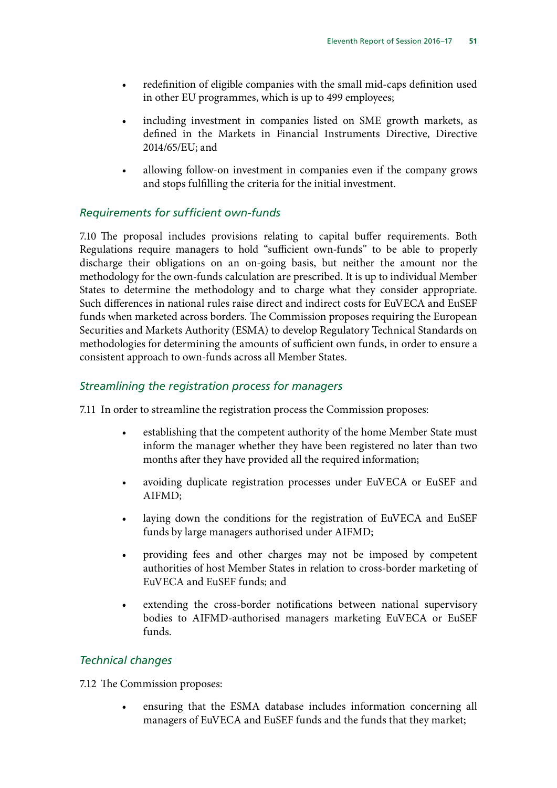- redefinition of eligible companies with the small mid-caps definition used in other EU programmes, which is up to 499 employees;
- including investment in companies listed on SME growth markets, as defined in the Markets in Financial Instruments Directive, Directive 2014/65/EU; and
- allowing follow-on investment in companies even if the company grows and stops fulfilling the criteria for the initial investment.

#### *Requirements for sufficient own-funds*

7.10 The proposal includes provisions relating to capital buffer requirements. Both Regulations require managers to hold "sufficient own-funds" to be able to properly discharge their obligations on an on-going basis, but neither the amount nor the methodology for the own-funds calculation are prescribed. It is up to individual Member States to determine the methodology and to charge what they consider appropriate. Such differences in national rules raise direct and indirect costs for EuVECA and EuSEF funds when marketed across borders. The Commission proposes requiring the European Securities and Markets Authority (ESMA) to develop Regulatory Technical Standards on methodologies for determining the amounts of sufficient own funds, in order to ensure a consistent approach to own-funds across all Member States.

#### *Streamlining the registration process for managers*

7.11 In order to streamline the registration process the Commission proposes:

- establishing that the competent authority of the home Member State must inform the manager whether they have been registered no later than two months after they have provided all the required information;
- avoiding duplicate registration processes under EuVECA or EuSEF and AIFMD;
- laying down the conditions for the registration of EuVECA and EuSEF funds by large managers authorised under AIFMD;
- providing fees and other charges may not be imposed by competent authorities of host Member States in relation to cross-border marketing of EuVECA and EuSEF funds; and
- extending the cross-border notifications between national supervisory bodies to AIFMD-authorised managers marketing EuVECA or EuSEF funds.

#### *Technical changes*

7.12 The Commission proposes:

• ensuring that the ESMA database includes information concerning all managers of EuVECA and EuSEF funds and the funds that they market;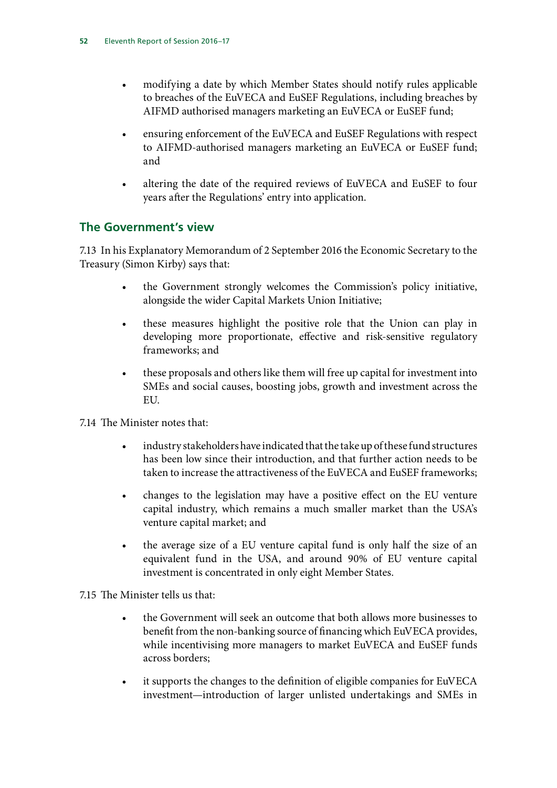- modifying a date by which Member States should notify rules applicable to breaches of the EuVECA and EuSEF Regulations, including breaches by AIFMD authorised managers marketing an EuVECA or EuSEF fund;
- ensuring enforcement of the EuVECA and EuSEF Regulations with respect to AIFMD-authorised managers marketing an EuVECA or EuSEF fund; and
- altering the date of the required reviews of EuVECA and EuSEF to four years after the Regulations' entry into application.

## **The Government's view**

7.13 In his Explanatory Memorandum of 2 September 2016 the Economic Secretary to the Treasury (Simon Kirby) says that:

- the Government strongly welcomes the Commission's policy initiative, alongside the wider Capital Markets Union Initiative;
- these measures highlight the positive role that the Union can play in developing more proportionate, effective and risk-sensitive regulatory frameworks; and
- these proposals and others like them will free up capital for investment into SMEs and social causes, boosting jobs, growth and investment across the EU.
- 7.14 The Minister notes that:
	- industry stakeholders have indicated that the take up of these fund structures has been low since their introduction, and that further action needs to be taken to increase the attractiveness of the EuVECA and EuSEF frameworks;
	- changes to the legislation may have a positive effect on the EU venture capital industry, which remains a much smaller market than the USA's venture capital market; and
	- the average size of a EU venture capital fund is only half the size of an equivalent fund in the USA, and around 90% of EU venture capital investment is concentrated in only eight Member States.

7.15 The Minister tells us that:

- the Government will seek an outcome that both allows more businesses to benefit from the non-banking source of financing which EuVECA provides, while incentivising more managers to market EuVECA and EuSEF funds across borders;
- it supports the changes to the definition of eligible companies for EuVECA investment—introduction of larger unlisted undertakings and SMEs in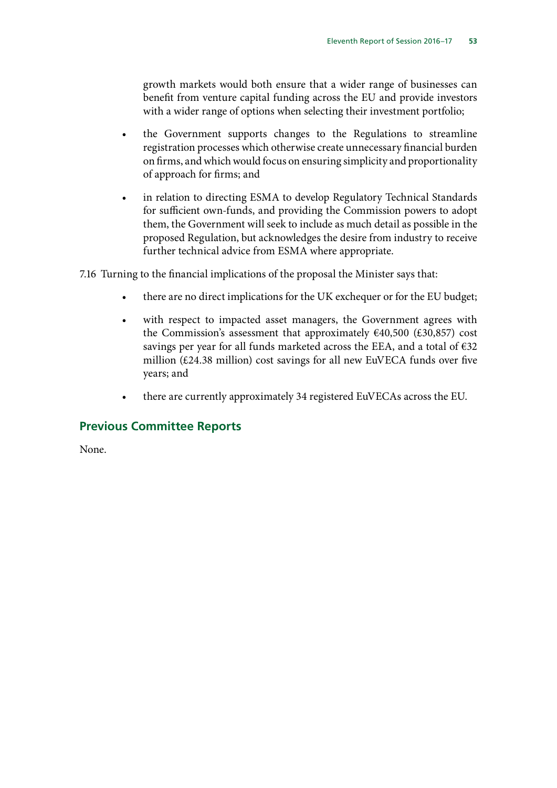growth markets would both ensure that a wider range of businesses can benefit from venture capital funding across the EU and provide investors with a wider range of options when selecting their investment portfolio;

- the Government supports changes to the Regulations to streamline registration processes which otherwise create unnecessary financial burden on firms, and which would focus on ensuring simplicity and proportionality of approach for firms; and
- in relation to directing ESMA to develop Regulatory Technical Standards for sufficient own-funds, and providing the Commission powers to adopt them, the Government will seek to include as much detail as possible in the proposed Regulation, but acknowledges the desire from industry to receive further technical advice from ESMA where appropriate.

7.16 Turning to the financial implications of the proposal the Minister says that:

- there are no direct implications for the UK exchequer or for the EU budget;
- with respect to impacted asset managers, the Government agrees with the Commission's assessment that approximately  $€40,500$   $(E30,857)$  cost savings per year for all funds marketed across the EEA, and a total of  $\epsilon$ 32 million (£24.38 million) cost savings for all new EuVECA funds over five years; and
- there are currently approximately 34 registered EuVECAs across the EU.

#### **Previous Committee Reports**

None.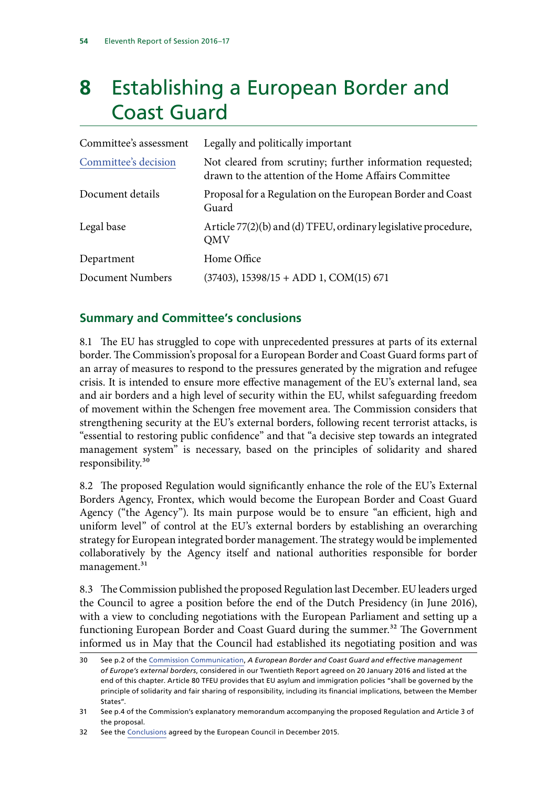## **8** Establishing a European Border and Coast Guard

| Committee's assessment | Legally and politically important                                                                                 |
|------------------------|-------------------------------------------------------------------------------------------------------------------|
| Committee's decision   | Not cleared from scrutiny; further information requested;<br>drawn to the attention of the Home Affairs Committee |
| Document details       | Proposal for a Regulation on the European Border and Coast<br>Guard                                               |
| Legal base             | Article 77(2)(b) and (d) TFEU, ordinary legislative procedure,<br>QMV                                             |
| Department             | Home Office                                                                                                       |
| Document Numbers       | $(37403)$ , $15398/15 + ADD 1$ , $COM(15) 671$                                                                    |

## **Summary and Committee's conclusions**

8.1 The EU has struggled to cope with unprecedented pressures at parts of its external border. The Commission's proposal for a European Border and Coast Guard forms part of an array of measures to respond to the pressures generated by the migration and refugee crisis. It is intended to ensure more effective management of the EU's external land, sea and air borders and a high level of security within the EU, whilst safeguarding freedom of movement within the Schengen free movement area. The Commission considers that strengthening security at the EU's external borders, following recent terrorist attacks, is "essential to restoring public confidence" and that "a decisive step towards an integrated management system" is necessary, based on the principles of solidarity and shared responsibility.30

8.2 The proposed Regulation would significantly enhance the role of the EU's External Borders Agency, Frontex, which would become the European Border and Coast Guard Agency ("the Agency"). Its main purpose would be to ensure "an efficient, high and uniform level" of control at the EU's external borders by establishing an overarching strategy for European integrated border management. The strategy would be implemented collaboratively by the Agency itself and national authorities responsible for border management.<sup>31</sup>

8.3 The Commission published the proposed Regulation last December. EU leaders urged the Council to agree a position before the end of the Dutch Presidency (in June 2016), with a view to concluding negotiations with the European Parliament and setting up a functioning European Border and Coast Guard during the summer.<sup>32</sup> The Government informed us in May that the Council had established its negotiating position and was

<sup>30</sup> See p.2 of the [Commission Communication,](http://esid.parliament.uk/Documents/f647e38c-ff0f-4841-8cee-b8a5075557c0.pdf) *A European Border and Coast Guard and effective management of Europe's external borders*, considered in our Twentieth Report agreed on 20 January 2016 and listed at the end of this chapter. Article 80 TFEU provides that EU asylum and immigration policies "shall be governed by the principle of solidarity and fair sharing of responsibility, including its financial implications, between the Member States".

<sup>31</sup> See p.4 of the Commission's explanatory memorandum accompanying the proposed Regulation and Article 3 of the proposal.

<sup>32</sup> See the [Conclusions](http://www.consilium.europa.eu/en/press/press-releases/2015/12/18-euco-conclusions/) agreed by the European Council in December 2015.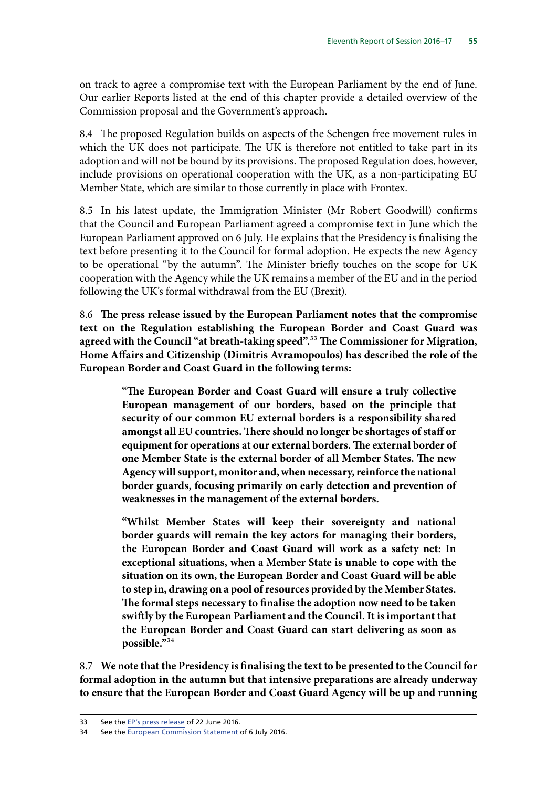on track to agree a compromise text with the European Parliament by the end of June. Our earlier Reports listed at the end of this chapter provide a detailed overview of the Commission proposal and the Government's approach.

8.4 The proposed Regulation builds on aspects of the Schengen free movement rules in which the UK does not participate. The UK is therefore not entitled to take part in its adoption and will not be bound by its provisions. The proposed Regulation does, however, include provisions on operational cooperation with the UK, as a non-participating EU Member State, which are similar to those currently in place with Frontex.

8.5 In his latest update, the Immigration Minister (Mr Robert Goodwill) confirms that the Council and European Parliament agreed a compromise text in June which the European Parliament approved on 6 July. He explains that the Presidency is finalising the text before presenting it to the Council for formal adoption. He expects the new Agency to be operational "by the autumn". The Minister briefly touches on the scope for UK cooperation with the Agency while the UK remains a member of the EU and in the period following the UK's formal withdrawal from the EU (Brexit).

8.6 **The press release issued by the European Parliament notes that the compromise text on the Regulation establishing the European Border and Coast Guard was agreed with the Council "at breath-taking speed".**33 **The Commissioner for Migration, Home Affairs and Citizenship (Dimitris Avramopoulos) has described the role of the European Border and Coast Guard in the following terms:**

> **"The European Border and Coast Guard will ensure a truly collective European management of our borders, based on the principle that security of our common EU external borders is a responsibility shared amongst all EU countries. There should no longer be shortages of staff or equipment for operations at our external borders. The external border of one Member State is the external border of all Member States. The new Agency will support, monitor and, when necessary, reinforce the national border guards, focusing primarily on early detection and prevention of weaknesses in the management of the external borders.**

> **"Whilst Member States will keep their sovereignty and national border guards will remain the key actors for managing their borders, the European Border and Coast Guard will work as a safety net: In exceptional situations, when a Member State is unable to cope with the situation on its own, the European Border and Coast Guard will be able to step in, drawing on a pool of resources provided by the Member States. The formal steps necessary to finalise the adoption now need to be taken swiftly by the European Parliament and the Council. It is important that the European Border and Coast Guard can start delivering as soon as possible."**34

8.7 **We note that the Presidency is finalising the text to be presented to the Council for formal adoption in the autumn but that intensive preparations are already underway to ensure that the European Border and Coast Guard Agency will be up and running** 

<sup>33</sup> See the [EP's press release](http://www.europarl.europa.eu/pdfs/news/expert/infopress/20160621IPR33114/20160621IPR33114_en.pdf) of 22 June 2016.

<sup>34</sup> See the [European Commission Statement](http://europa.eu/rapid/press-release_STATEMENT-16-2431_en.htm) of 6 July 2016.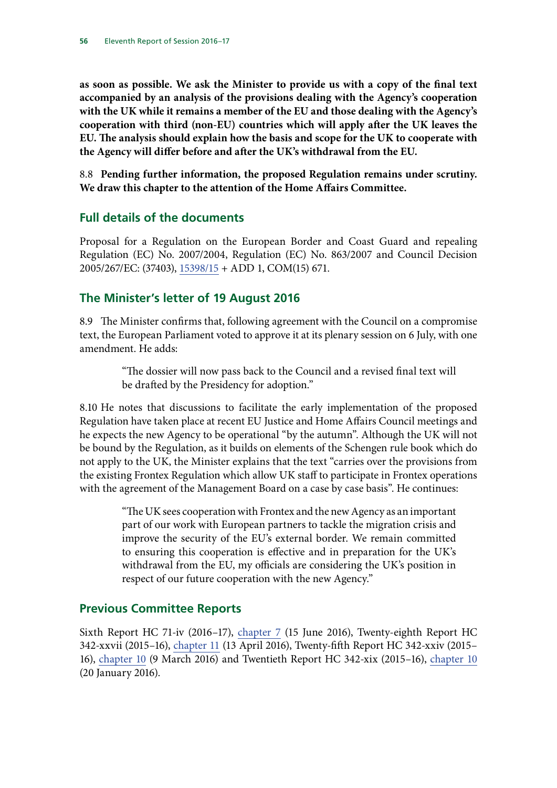**as soon as possible. We ask the Minister to provide us with a copy of the final text accompanied by an analysis of the provisions dealing with the Agency's cooperation with the UK while it remains a member of the EU and those dealing with the Agency's cooperation with third (non-EU) countries which will apply after the UK leaves the EU. The analysis should explain how the basis and scope for the UK to cooperate with the Agency will differ before and after the UK's withdrawal from the EU.**

8.8 **Pending further information, the proposed Regulation remains under scrutiny. We draw this chapter to the attention of the Home Affairs Committee.**

## **Full details of the documents**

Proposal for a Regulation on the European Border and Coast Guard and repealing Regulation (EC) No. 2007/2004, Regulation (EC) No. 863/2007 and Council Decision 2005/267/EC: (37403), [15398/15](http://data.consilium.europa.eu/doc/document/ST-15398-2015-INIT/en/pdf) + ADD 1, COM(15) 671.

## **The Minister's letter of 19 August 2016**

8.9 The Minister confirms that, following agreement with the Council on a compromise text, the European Parliament voted to approve it at its plenary session on 6 July, with one amendment. He adds:

> "The dossier will now pass back to the Council and a revised final text will be drafted by the Presidency for adoption."

8.10 He notes that discussions to facilitate the early implementation of the proposed Regulation have taken place at recent EU Justice and Home Affairs Council meetings and he expects the new Agency to be operational "by the autumn". Although the UK will not be bound by the Regulation, as it builds on elements of the Schengen rule book which do not apply to the UK, the Minister explains that the text "carries over the provisions from the existing Frontex Regulation which allow UK staff to participate in Frontex operations with the agreement of the Management Board on a case by case basis". He continues:

> "The UK sees cooperation with Frontex and the new Agency as an important part of our work with European partners to tackle the migration crisis and improve the security of the EU's external border. We remain committed to ensuring this cooperation is effective and in preparation for the UK's withdrawal from the EU, my officials are considering the UK's position in respect of our future cooperation with the new Agency."

## **Previous Committee Reports**

Sixth Report HC 71-iv (2016–17), chapter 7 (15 June 2016), Twenty-eighth Report HC 342-xxvii (2015–16), chapter 11 (13 April 2016), Twenty-fifth Report HC 342-xxiv (2015– 16), [chapter 10](http://www.publications.parliament.uk/pa/cm201516/cmselect/cmeuleg/342-xxiv/34213.htm) (9 March 2016) and Twentieth Report HC 342-xix (2015–16), [chapter 10](http://www.publications.parliament.uk/pa/cm201516/cmselect/cmeuleg/342-xix/34214.htm) (20 January 2016).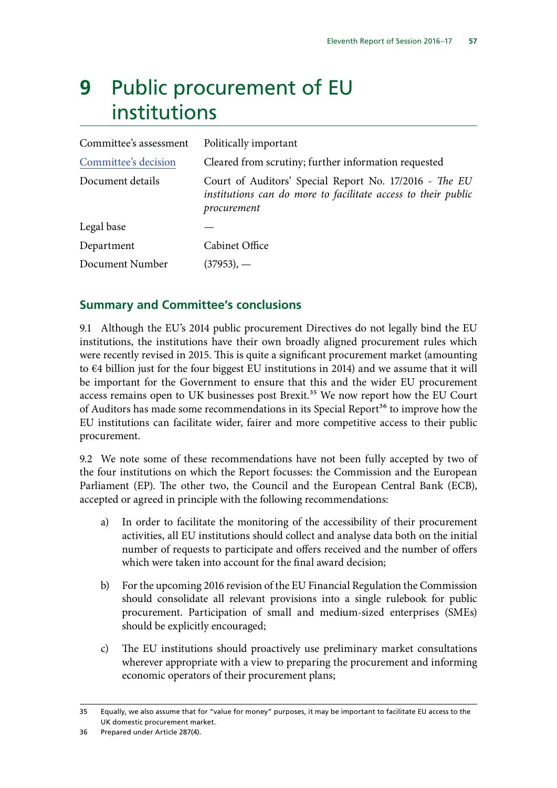# **9** Public procurement of EU institutions

| Committee's assessment | Politically important                                                                                                                  |
|------------------------|----------------------------------------------------------------------------------------------------------------------------------------|
| Committee's decision   | Cleared from scrutiny; further information requested                                                                                   |
| Document details       | Court of Auditors' Special Report No. 17/2016 - The EU<br>institutions can do more to facilitate access to their public<br>procurement |
| Legal base             |                                                                                                                                        |
| Department             | Cabinet Office                                                                                                                         |
| Document Number        | $(37953)$ , —                                                                                                                          |

## **Summary and Committee's conclusions**

9.1 Although the EU's 2014 public procurement Directives do not legally bind the EU institutions, the institutions have their own broadly aligned procurement rules which were recently revised in 2015. This is quite a significant procurement market (amounting to  $\epsilon$ 4 billion just for the four biggest EU institutions in 2014) and we assume that it will be important for the Government to ensure that this and the wider EU procurement access remains open to UK businesses post Brexit.<sup>35</sup> We now report how the EU Court of Auditors has made some recommendations in its Special Report<sup>36</sup> to improve how the EU institutions can facilitate wider, fairer and more competitive access to their public procurement.

9.2 We note some of these recommendations have not been fully accepted by two of the four institutions on which the Report focusses: the Commission and the European Parliament (EP). The other two, the Council and the European Central Bank (ECB), accepted or agreed in principle with the following recommendations:

- a) In order to facilitate the monitoring of the accessibility of their procurement activities, all EU institutions should collect and analyse data both on the initial number of requests to participate and offers received and the number of offers which were taken into account for the final award decision;
- b) For the upcoming 2016 revision of the EU Financial Regulation the Commission should consolidate all relevant provisions into a single rulebook for public procurement. Participation of small and medium-sized enterprises (SMEs) should be explicitly encouraged;
- c) The EU institutions should proactively use preliminary market consultations wherever appropriate with a view to preparing the procurement and informing economic operators of their procurement plans;

<sup>35</sup> Equally, we also assume that for "value for money" purposes, it may be important to facilitate EU access to the UK domestic procurement market.

<sup>36</sup> Prepared under Article 287(4).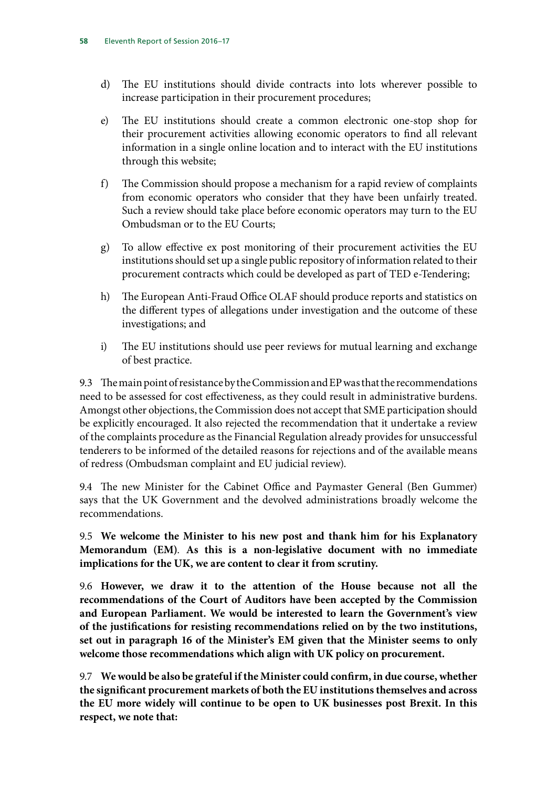- d) The EU institutions should divide contracts into lots wherever possible to increase participation in their procurement procedures;
- e) The EU institutions should create a common electronic one-stop shop for their procurement activities allowing economic operators to find all relevant information in a single online location and to interact with the EU institutions through this website;
- f) The Commission should propose a mechanism for a rapid review of complaints from economic operators who consider that they have been unfairly treated. Such a review should take place before economic operators may turn to the EU Ombudsman or to the EU Courts;
- g) To allow effective ex post monitoring of their procurement activities the EU institutions should set up a single public repository of information related to their procurement contracts which could be developed as part of TED e-Tendering;
- h) The European Anti-Fraud Office OLAF should produce reports and statistics on the different types of allegations under investigation and the outcome of these investigations; and
- i) The EU institutions should use peer reviews for mutual learning and exchange of best practice.

9.3 The main point of resistance by the Commission and EP was that the recommendations need to be assessed for cost effectiveness, as they could result in administrative burdens. Amongst other objections, the Commission does not accept that SME participation should be explicitly encouraged. It also rejected the recommendation that it undertake a review of the complaints procedure as the Financial Regulation already provides for unsuccessful tenderers to be informed of the detailed reasons for rejections and of the available means of redress (Ombudsman complaint and EU judicial review).

9.4 The new Minister for the Cabinet Office and Paymaster General (Ben Gummer) says that the UK Government and the devolved administrations broadly welcome the recommendations.

9.5 **We welcome the Minister to his new post and thank him for his Explanatory Memorandum (EM)**. **As this is a non-legislative document with no immediate implications for the UK, we are content to clear it from scrutiny.**

9.6 **However, we draw it to the attention of the House because not all the recommendations of the Court of Auditors have been accepted by the Commission and European Parliament. We would be interested to learn the Government's view of the justifications for resisting recommendations relied on by the two institutions, set out in paragraph 16 of the Minister's EM given that the Minister seems to only welcome those recommendations which align with UK policy on procurement.**

9.7 **We would be also be grateful if the Minister could confirm, in due course, whether the significant procurement markets of both the EU institutions themselves and across the EU more widely will continue to be open to UK businesses post Brexit. In this respect, we note that:**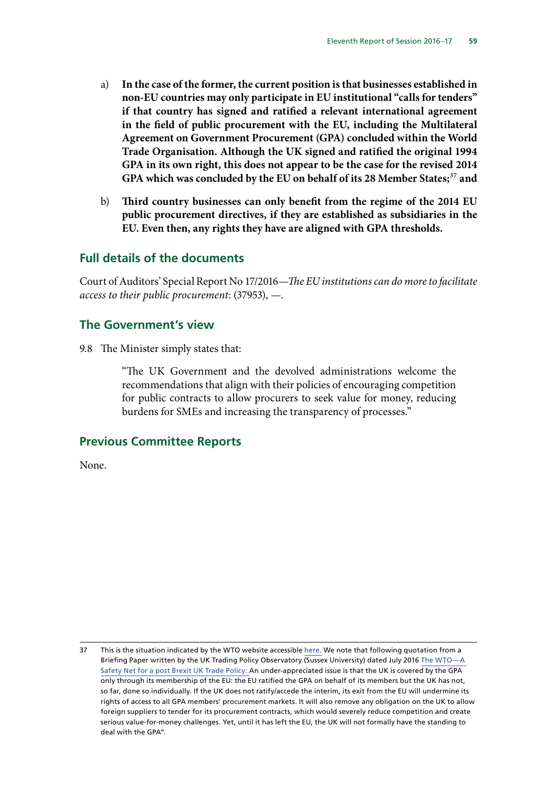- a) **In the case of the former, the current position is that businesses established in non-EU countries may only participate in EU institutional "calls for tenders" if that country has signed and ratified a relevant international agreement in the field of public procurement with the EU, including the Multilateral Agreement on Government Procurement (GPA) concluded within the World Trade Organisation. Although the UK signed and ratified the original 1994 GPA in its own right, this does not appear to be the case for the revised 2014 GPA which was concluded by the EU on behalf of its 28 Member States;**37 **and**
- b) **Third country businesses can only benefit from the regime of the 2014 EU public procurement directives, if they are established as subsidiaries in the EU. Even then, any rights they have are aligned with GPA thresholds.**

#### **Full details of the documents**

Court of Auditors' Special Report No 17/2016—*The EU institutions can do more to facilitate access to their public procurement*: (37953), —.

#### **The Government's view**

9.8 The Minister simply states that:

"The UK Government and the devolved administrations welcome the recommendations that align with their policies of encouraging competition for public contracts to allow procurers to seek value for money, reducing burdens for SMEs and increasing the transparency of processes."

#### **Previous Committee Reports**

None.

<sup>37</sup> This is the situation indicated by the WTO website accessible [here.](https://www.wto.org/english/tratop_e/gproc_e/memobs_e.htm) We note that following quotation from a Briefing Paper written by the UK Trading Policy Observatory (Sussex University) dated July 2016 [The WTO—A](https://www.sussex.ac.uk/webteam/gateway/file.php?name=briefing-paper-1.pdf&site=18)  [Safety Net for a post Brexit UK Trade Policy](https://www.sussex.ac.uk/webteam/gateway/file.php?name=briefing-paper-1.pdf&site=18): An under-appreciated issue is that the UK is covered by the GPA only through its membership of the EU: the EU ratified the GPA on behalf of its members but the UK has not, so far, done so individually. If the UK does not ratify/accede the interim, its exit from the EU will undermine its rights of access to all GPA members' procurement markets. It will also remove any obligation on the UK to allow foreign suppliers to tender for its procurement contracts, which would severely reduce competition and create serious value-for-money challenges. Yet, until it has left the EU, the UK will not formally have the standing to deal with the GPA".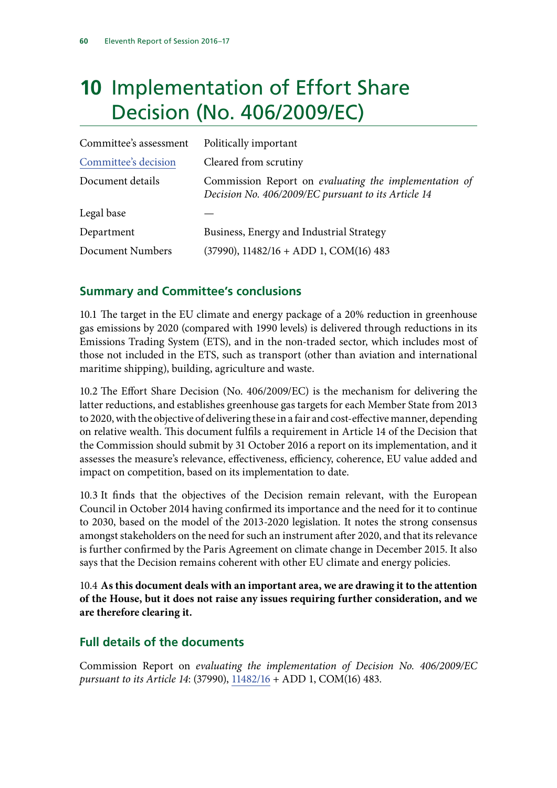# **10** Implementation of Effort Share Decision (No. 406/2009/EC)

| Committee's assessment | Politically important                                                                                        |
|------------------------|--------------------------------------------------------------------------------------------------------------|
| Committee's decision   | Cleared from scrutiny                                                                                        |
| Document details       | Commission Report on evaluating the implementation of<br>Decision No. 406/2009/EC pursuant to its Article 14 |
| Legal base             |                                                                                                              |
| Department             | Business, Energy and Industrial Strategy                                                                     |
| Document Numbers       | $(37990)$ , $11482/16 + ADD 1$ , $COM(16)$ 483                                                               |

## **Summary and Committee's conclusions**

10.1 The target in the EU climate and energy package of a 20% reduction in greenhouse gas emissions by 2020 (compared with 1990 levels) is delivered through reductions in its Emissions Trading System (ETS), and in the non-traded sector, which includes most of those not included in the ETS, such as transport (other than aviation and international maritime shipping), building, agriculture and waste.

10.2 The Effort Share Decision (No. 406/2009/EC) is the mechanism for delivering the latter reductions, and establishes greenhouse gas targets for each Member State from 2013 to 2020, with the objective of delivering these in a fair and cost-effective manner, depending on relative wealth. This document fulfils a requirement in Article 14 of the Decision that the Commission should submit by 31 October 2016 a report on its implementation, and it assesses the measure's relevance, effectiveness, efficiency, coherence, EU value added and impact on competition, based on its implementation to date.

10.3 It finds that the objectives of the Decision remain relevant, with the European Council in October 2014 having confirmed its importance and the need for it to continue to 2030, based on the model of the 2013-2020 legislation. It notes the strong consensus amongst stakeholders on the need for such an instrument after 2020, and that its relevance is further confirmed by the Paris Agreement on climate change in December 2015. It also says that the Decision remains coherent with other EU climate and energy policies.

10.4 **As this document deals with an important area, we are drawing it to the attention of the House, but it does not raise any issues requiring further consideration, and we are therefore clearing it.**

## **Full details of the documents**

Commission Report on *evaluating the implementation of Decision No. 406/2009/EC pursuant to its Article 14*: (37990), [11482/16](http://data.consilium.europa.eu/doc/document/ST-11482-2016-INIT/en/pdf) + ADD 1, COM(16) 483.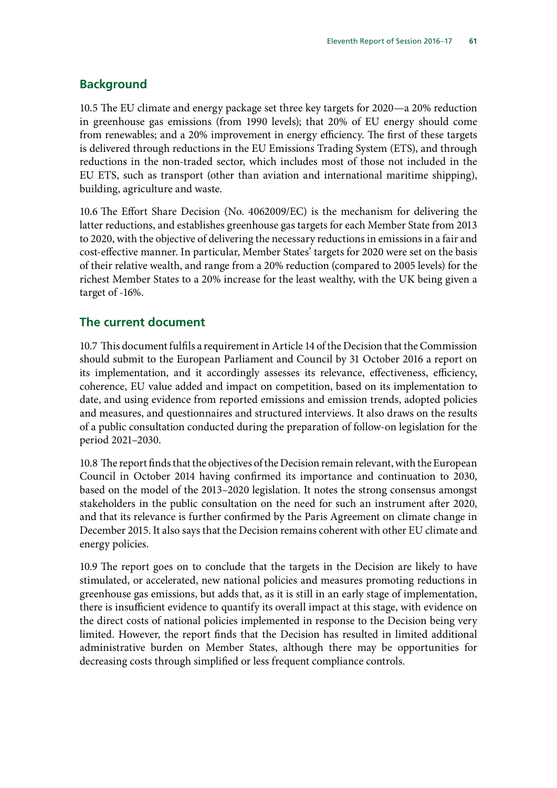## **Background**

10.5 The EU climate and energy package set three key targets for 2020—a 20% reduction in greenhouse gas emissions (from 1990 levels); that 20% of EU energy should come from renewables; and a 20% improvement in energy efficiency. The first of these targets is delivered through reductions in the EU Emissions Trading System (ETS), and through reductions in the non-traded sector, which includes most of those not included in the EU ETS, such as transport (other than aviation and international maritime shipping), building, agriculture and waste.

10.6 The Effort Share Decision (No. 4062009/EC) is the mechanism for delivering the latter reductions, and establishes greenhouse gas targets for each Member State from 2013 to 2020, with the objective of delivering the necessary reductions in emissions in a fair and cost-effective manner. In particular, Member States' targets for 2020 were set on the basis of their relative wealth, and range from a 20% reduction (compared to 2005 levels) for the richest Member States to a 20% increase for the least wealthy, with the UK being given a target of -16%.

## **The current document**

10.7 This document fulfils a requirement in Article 14 of the Decision that the Commission should submit to the European Parliament and Council by 31 October 2016 a report on its implementation, and it accordingly assesses its relevance, effectiveness, efficiency, coherence, EU value added and impact on competition, based on its implementation to date, and using evidence from reported emissions and emission trends, adopted policies and measures, and questionnaires and structured interviews. It also draws on the results of a public consultation conducted during the preparation of follow-on legislation for the period 2021–2030.

10.8 The report finds that the objectives of the Decision remain relevant, with the European Council in October 2014 having confirmed its importance and continuation to 2030, based on the model of the 2013–2020 legislation. It notes the strong consensus amongst stakeholders in the public consultation on the need for such an instrument after 2020, and that its relevance is further confirmed by the Paris Agreement on climate change in December 2015. It also says that the Decision remains coherent with other EU climate and energy policies.

10.9 The report goes on to conclude that the targets in the Decision are likely to have stimulated, or accelerated, new national policies and measures promoting reductions in greenhouse gas emissions, but adds that, as it is still in an early stage of implementation, there is insufficient evidence to quantify its overall impact at this stage, with evidence on the direct costs of national policies implemented in response to the Decision being very limited. However, the report finds that the Decision has resulted in limited additional administrative burden on Member States, although there may be opportunities for decreasing costs through simplified or less frequent compliance controls.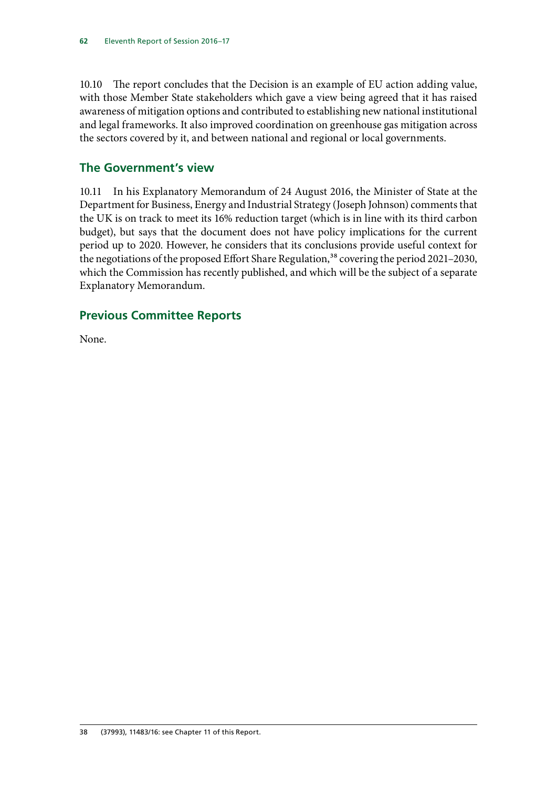10.10 The report concludes that the Decision is an example of EU action adding value, with those Member State stakeholders which gave a view being agreed that it has raised awareness of mitigation options and contributed to establishing new national institutional and legal frameworks. It also improved coordination on greenhouse gas mitigation across the sectors covered by it, and between national and regional or local governments.

## **The Government's view**

10.11 In his Explanatory Memorandum of 24 August 2016, the Minister of State at the Department for Business, Energy and Industrial Strategy (Joseph Johnson) comments that the UK is on track to meet its 16% reduction target (which is in line with its third carbon budget), but says that the document does not have policy implications for the current period up to 2020. However, he considers that its conclusions provide useful context for the negotiations of the proposed Effort Share Regulation,<sup>38</sup> covering the period 2021–2030, which the Commission has recently published, and which will be the subject of a separate Explanatory Memorandum.

## **Previous Committee Reports**

None.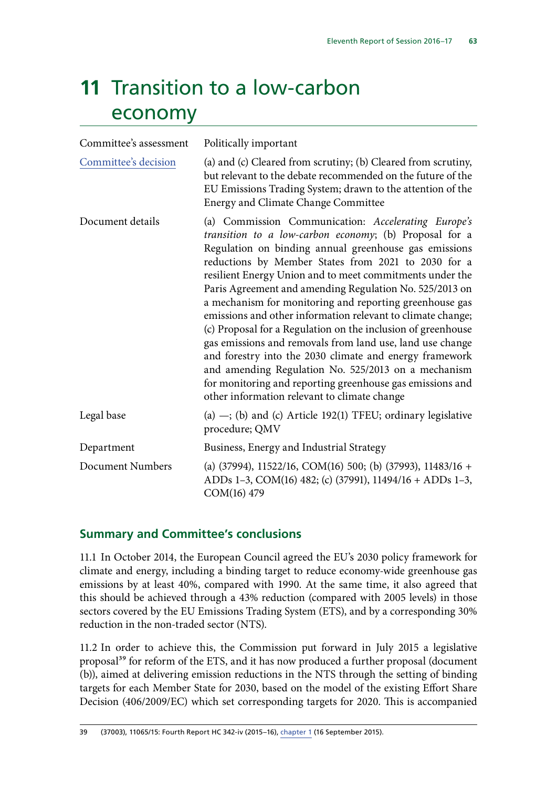# **11** Transition to a low-carbon economy

| Committee's assessment  | Politically important                                                                                                                                                                                                                                                                                                                                                                                                                                                                                                                                                                                                                                                                                                                                                                                                                      |
|-------------------------|--------------------------------------------------------------------------------------------------------------------------------------------------------------------------------------------------------------------------------------------------------------------------------------------------------------------------------------------------------------------------------------------------------------------------------------------------------------------------------------------------------------------------------------------------------------------------------------------------------------------------------------------------------------------------------------------------------------------------------------------------------------------------------------------------------------------------------------------|
| Committee's decision    | (a) and (c) Cleared from scrutiny; (b) Cleared from scrutiny,<br>but relevant to the debate recommended on the future of the<br>EU Emissions Trading System; drawn to the attention of the<br><b>Energy and Climate Change Committee</b>                                                                                                                                                                                                                                                                                                                                                                                                                                                                                                                                                                                                   |
| Document details        | (a) Commission Communication: Accelerating Europe's<br>transition to a low-carbon economy; (b) Proposal for a<br>Regulation on binding annual greenhouse gas emissions<br>reductions by Member States from 2021 to 2030 for a<br>resilient Energy Union and to meet commitments under the<br>Paris Agreement and amending Regulation No. 525/2013 on<br>a mechanism for monitoring and reporting greenhouse gas<br>emissions and other information relevant to climate change;<br>(c) Proposal for a Regulation on the inclusion of greenhouse<br>gas emissions and removals from land use, land use change<br>and forestry into the 2030 climate and energy framework<br>and amending Regulation No. 525/2013 on a mechanism<br>for monitoring and reporting greenhouse gas emissions and<br>other information relevant to climate change |
| Legal base              | (a) $-$ ; (b) and (c) Article 192(1) TFEU; ordinary legislative<br>procedure; QMV                                                                                                                                                                                                                                                                                                                                                                                                                                                                                                                                                                                                                                                                                                                                                          |
| Department              | Business, Energy and Industrial Strategy                                                                                                                                                                                                                                                                                                                                                                                                                                                                                                                                                                                                                                                                                                                                                                                                   |
| <b>Document Numbers</b> | (a) $(37994)$ , 11522/16, COM $(16)$ 500; (b) $(37993)$ , 11483/16 +<br>ADDs 1-3, COM(16) 482; (c) (37991), 11494/16 + ADDs 1-3,<br>COM(16) 479                                                                                                                                                                                                                                                                                                                                                                                                                                                                                                                                                                                                                                                                                            |

## **Summary and Committee's conclusions**

11.1 In October 2014, the European Council agreed the EU's 2030 policy framework for climate and energy, including a binding target to reduce economy-wide greenhouse gas emissions by at least 40%, compared with 1990. At the same time, it also agreed that this should be achieved through a 43% reduction (compared with 2005 levels) in those sectors covered by the EU Emissions Trading System (ETS), and by a corresponding 30% reduction in the non-traded sector (NTS).

11.2 In order to achieve this, the Commission put forward in July 2015 a legislative proposal<sup>39</sup> for reform of the ETS, and it has now produced a further proposal (document (b)), aimed at delivering emission reductions in the NTS through the setting of binding targets for each Member State for 2030, based on the model of the existing Effort Share Decision (406/2009/EC) which set corresponding targets for 2020. This is accompanied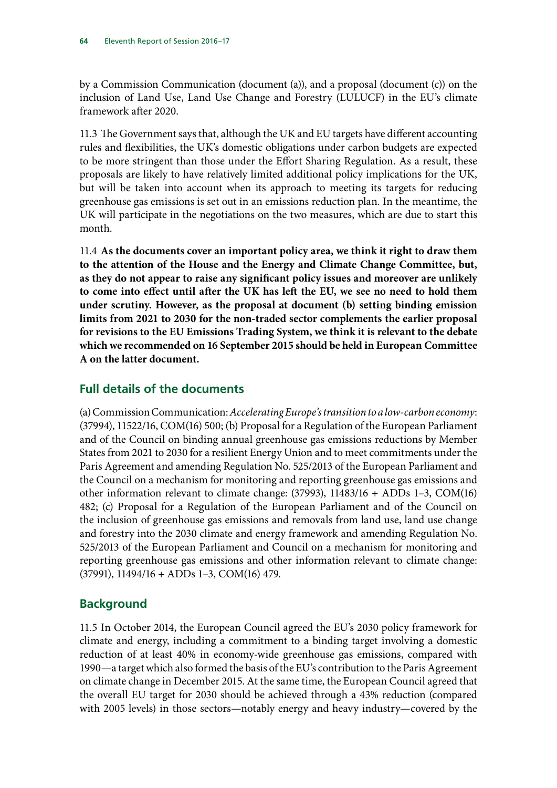by a Commission Communication (document (a)), and a proposal (document (c)) on the inclusion of Land Use, Land Use Change and Forestry (LULUCF) in the EU's climate framework after 2020.

11.3 The Government says that, although the UK and EU targets have different accounting rules and flexibilities, the UK's domestic obligations under carbon budgets are expected to be more stringent than those under the Effort Sharing Regulation. As a result, these proposals are likely to have relatively limited additional policy implications for the UK, but will be taken into account when its approach to meeting its targets for reducing greenhouse gas emissions is set out in an emissions reduction plan. In the meantime, the UK will participate in the negotiations on the two measures, which are due to start this month.

11.4 **As the documents cover an important policy area, we think it right to draw them to the attention of the House and the Energy and Climate Change Committee, but, as they do not appear to raise any significant policy issues and moreover are unlikely to come into effect until after the UK has left the EU, we see no need to hold them under scrutiny. However, as the proposal at document (b) setting binding emission limits from 2021 to 2030 for the non-traded sector complements the earlier proposal for revisions to the EU Emissions Trading System, we think it is relevant to the debate which we recommended on 16 September 2015 should be held in European Committee A on the latter document.** 

### **Full details of the documents**

(a) Commission Communication: *Accelerating Europe's transition to a low-carbon economy*: (37994), 11522/16, COM(16) 500; (b) Proposal for a Regulation of the European Parliament and of the Council on binding annual greenhouse gas emissions reductions by Member States from 2021 to 2030 for a resilient Energy Union and to meet commitments under the Paris Agreement and amending Regulation No. 525/2013 of the European Parliament and the Council on a mechanism for monitoring and reporting greenhouse gas emissions and other information relevant to climate change: (37993), 11483/16 + ADDs 1–3, COM(16) 482; (c) Proposal for a Regulation of the European Parliament and of the Council on the inclusion of greenhouse gas emissions and removals from land use, land use change and forestry into the 2030 climate and energy framework and amending Regulation No. 525/2013 of the European Parliament and Council on a mechanism for monitoring and reporting greenhouse gas emissions and other information relevant to climate change: (37991), 11494/16 + ADDs 1–3, COM(16) 479.

## **Background**

11.5 In October 2014, the European Council agreed the EU's 2030 policy framework for climate and energy, including a commitment to a binding target involving a domestic reduction of at least 40% in economy-wide greenhouse gas emissions, compared with 1990—a target which also formed the basis of the EU's contribution to the Paris Agreement on climate change in December 2015. At the same time, the European Council agreed that the overall EU target for 2030 should be achieved through a 43% reduction (compared with 2005 levels) in those sectors—notably energy and heavy industry—covered by the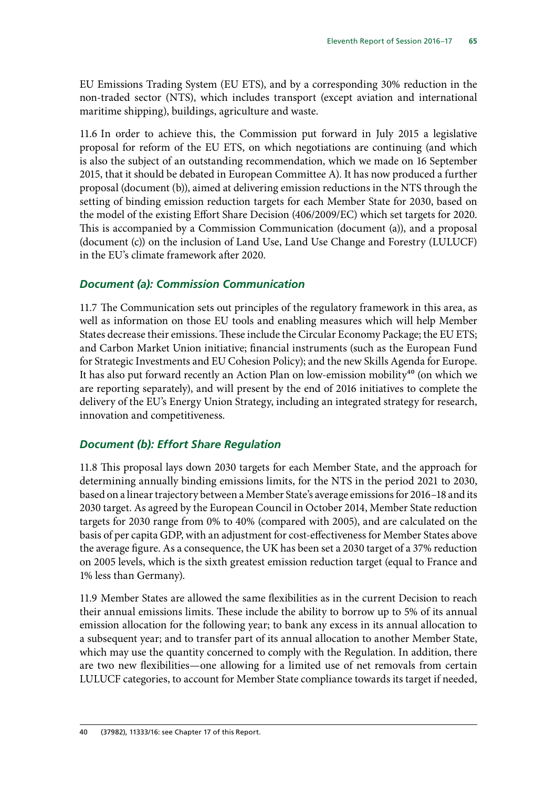EU Emissions Trading System (EU ETS), and by a corresponding 30% reduction in the non-traded sector (NTS), which includes transport (except aviation and international maritime shipping), buildings, agriculture and waste.

11.6 In order to achieve this, the Commission put forward in July 2015 a legislative proposal for reform of the EU ETS, on which negotiations are continuing (and which is also the subject of an outstanding recommendation, which we made on 16 September 2015, that it should be debated in European Committee A). It has now produced a further proposal (document (b)), aimed at delivering emission reductions in the NTS through the setting of binding emission reduction targets for each Member State for 2030, based on the model of the existing Effort Share Decision (406/2009/EC) which set targets for 2020. This is accompanied by a Commission Communication (document (a)), and a proposal (document (c)) on the inclusion of Land Use, Land Use Change and Forestry (LULUCF) in the EU's climate framework after 2020.

#### *Document (a): Commission Communication*

11.7 The Communication sets out principles of the regulatory framework in this area, as well as information on those EU tools and enabling measures which will help Member States decrease their emissions. These include the Circular Economy Package; the EU ETS; and Carbon Market Union initiative; financial instruments (such as the European Fund for Strategic Investments and EU Cohesion Policy); and the new Skills Agenda for Europe. It has also put forward recently an Action Plan on low-emission mobility<sup>40</sup> (on which we are reporting separately), and will present by the end of 2016 initiatives to complete the delivery of the EU's Energy Union Strategy, including an integrated strategy for research, innovation and competitiveness.

#### *Document (b): Effort Share Regulation*

11.8 This proposal lays down 2030 targets for each Member State, and the approach for determining annually binding emissions limits, for the NTS in the period 2021 to 2030, based on a linear trajectory between a Member State's average emissions for 2016–18 and its 2030 target. As agreed by the European Council in October 2014, Member State reduction targets for 2030 range from 0% to 40% (compared with 2005), and are calculated on the basis of per capita GDP, with an adjustment for cost-effectiveness for Member States above the average figure. As a consequence, the UK has been set a 2030 target of a 37% reduction on 2005 levels, which is the sixth greatest emission reduction target (equal to France and 1% less than Germany).

11.9 Member States are allowed the same flexibilities as in the current Decision to reach their annual emissions limits. These include the ability to borrow up to 5% of its annual emission allocation for the following year; to bank any excess in its annual allocation to a subsequent year; and to transfer part of its annual allocation to another Member State, which may use the quantity concerned to comply with the Regulation. In addition, there are two new flexibilities—one allowing for a limited use of net removals from certain LULUCF categories, to account for Member State compliance towards its target if needed,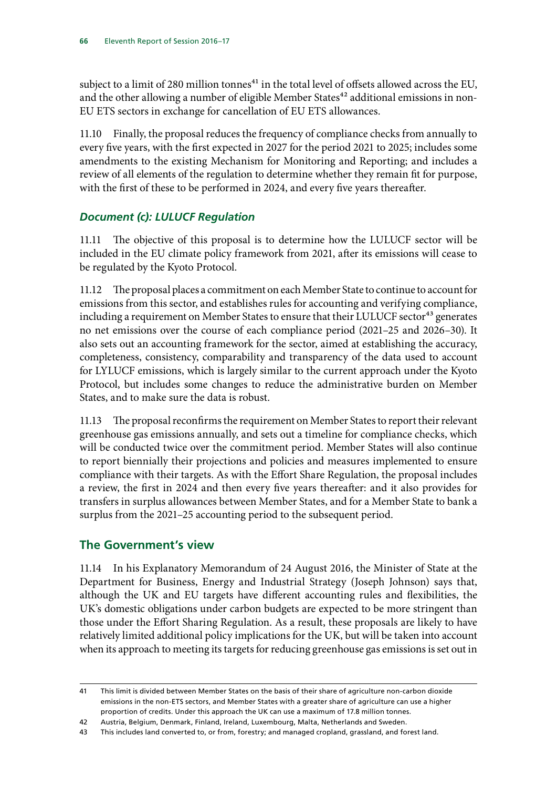subject to a limit of 280 million tonnes<sup>41</sup> in the total level of offsets allowed across the EU, and the other allowing a number of eligible Member States<sup>42</sup> additional emissions in non-EU ETS sectors in exchange for cancellation of EU ETS allowances.

11.10 Finally, the proposal reduces the frequency of compliance checks from annually to every five years, with the first expected in 2027 for the period 2021 to 2025; includes some amendments to the existing Mechanism for Monitoring and Reporting; and includes a review of all elements of the regulation to determine whether they remain fit for purpose, with the first of these to be performed in 2024, and every five years thereafter.

#### *Document (c): LULUCF Regulation*

11.11 The objective of this proposal is to determine how the LULUCF sector will be included in the EU climate policy framework from 2021, after its emissions will cease to be regulated by the Kyoto Protocol.

11.12 The proposal places a commitment on each Member State to continue to account for emissions from this sector, and establishes rules for accounting and verifying compliance, including a requirement on Member States to ensure that their LULUCF sector<sup>43</sup> generates no net emissions over the course of each compliance period (2021–25 and 2026–30). It also sets out an accounting framework for the sector, aimed at establishing the accuracy, completeness, consistency, comparability and transparency of the data used to account for LYLUCF emissions, which is largely similar to the current approach under the Kyoto Protocol, but includes some changes to reduce the administrative burden on Member States, and to make sure the data is robust.

11.13 The proposal reconfirms the requirement on Member States to report their relevant greenhouse gas emissions annually, and sets out a timeline for compliance checks, which will be conducted twice over the commitment period. Member States will also continue to report biennially their projections and policies and measures implemented to ensure compliance with their targets. As with the Effort Share Regulation, the proposal includes a review, the first in 2024 and then every five years thereafter: and it also provides for transfers in surplus allowances between Member States, and for a Member State to bank a surplus from the 2021–25 accounting period to the subsequent period.

## **The Government's view**

11.14 In his Explanatory Memorandum of 24 August 2016, the Minister of State at the Department for Business, Energy and Industrial Strategy (Joseph Johnson) says that, although the UK and EU targets have different accounting rules and flexibilities, the UK's domestic obligations under carbon budgets are expected to be more stringent than those under the Effort Sharing Regulation. As a result, these proposals are likely to have relatively limited additional policy implications for the UK, but will be taken into account when its approach to meeting its targets for reducing greenhouse gas emissions is set out in

<sup>41</sup> This limit is divided between Member States on the basis of their share of agriculture non-carbon dioxide emissions in the non-ETS sectors, and Member States with a greater share of agriculture can use a higher proportion of credits. Under this approach the UK can use a maximum of 17.8 million tonnes.

<sup>42</sup> Austria, Belgium, Denmark, Finland, Ireland, Luxembourg, Malta, Netherlands and Sweden.

<sup>43</sup> This includes land converted to, or from, forestry; and managed cropland, grassland, and forest land.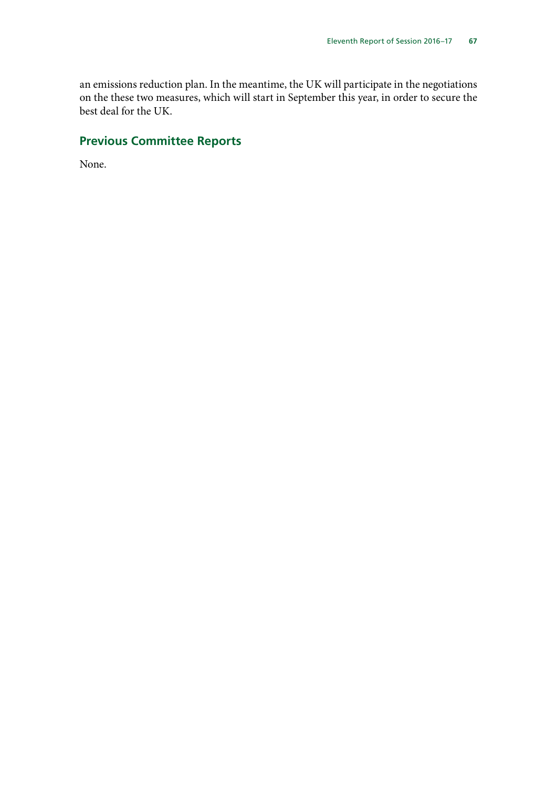an emissions reduction plan. In the meantime, the UK will participate in the negotiations on the these two measures, which will start in September this year, in order to secure the best deal for the UK.

## **Previous Committee Reports**

None.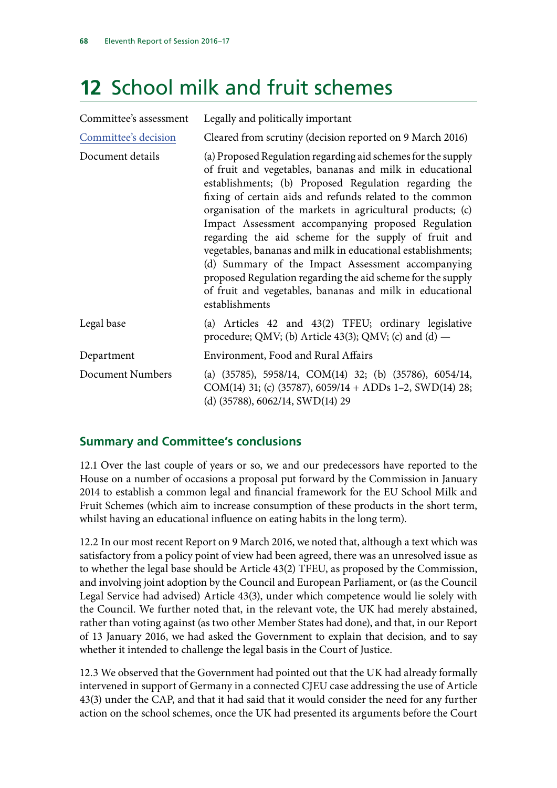# **12** School milk and fruit schemes

| Committee's assessment | Legally and politically important                                                                                                                                                                                                                                                                                                                                                                                                                                                                                                                                                                                                                                                         |
|------------------------|-------------------------------------------------------------------------------------------------------------------------------------------------------------------------------------------------------------------------------------------------------------------------------------------------------------------------------------------------------------------------------------------------------------------------------------------------------------------------------------------------------------------------------------------------------------------------------------------------------------------------------------------------------------------------------------------|
| Committee's decision   | Cleared from scrutiny (decision reported on 9 March 2016)                                                                                                                                                                                                                                                                                                                                                                                                                                                                                                                                                                                                                                 |
| Document details       | (a) Proposed Regulation regarding aid schemes for the supply<br>of fruit and vegetables, bananas and milk in educational<br>establishments; (b) Proposed Regulation regarding the<br>fixing of certain aids and refunds related to the common<br>organisation of the markets in agricultural products; (c)<br>Impact Assessment accompanying proposed Regulation<br>regarding the aid scheme for the supply of fruit and<br>vegetables, bananas and milk in educational establishments;<br>(d) Summary of the Impact Assessment accompanying<br>proposed Regulation regarding the aid scheme for the supply<br>of fruit and vegetables, bananas and milk in educational<br>establishments |
| Legal base             | (a) Articles 42 and 43(2) TFEU; ordinary legislative<br>procedure; QMV; (b) Article 43(3); QMV; (c) and (d) $-$                                                                                                                                                                                                                                                                                                                                                                                                                                                                                                                                                                           |
| Department             | Environment, Food and Rural Affairs                                                                                                                                                                                                                                                                                                                                                                                                                                                                                                                                                                                                                                                       |
| Document Numbers       | (a) $(35785)$ , 5958/14, COM(14) 32; (b) $(35786)$ , 6054/14,<br>COM(14) 31; (c) (35787), 6059/14 + ADDs 1–2, SWD(14) 28;<br>(d) $(35788)$ , 6062/14, SWD(14) 29                                                                                                                                                                                                                                                                                                                                                                                                                                                                                                                          |

## **Summary and Committee's conclusions**

12.1 Over the last couple of years or so, we and our predecessors have reported to the House on a number of occasions a proposal put forward by the Commission in January 2014 to establish a common legal and financial framework for the EU School Milk and Fruit Schemes (which aim to increase consumption of these products in the short term, whilst having an educational influence on eating habits in the long term).

12.2 In our most recent Report on 9 March 2016, we noted that, although a text which was satisfactory from a policy point of view had been agreed, there was an unresolved issue as to whether the legal base should be Article 43(2) TFEU, as proposed by the Commission, and involving joint adoption by the Council and European Parliament, or (as the Council Legal Service had advised) Article 43(3), under which competence would lie solely with the Council. We further noted that, in the relevant vote, the UK had merely abstained, rather than voting against (as two other Member States had done), and that, in our Report of 13 January 2016, we had asked the Government to explain that decision, and to say whether it intended to challenge the legal basis in the Court of Justice.

12.3 We observed that the Government had pointed out that the UK had already formally intervened in support of Germany in a connected CJEU case addressing the use of Article 43(3) under the CAP, and that it had said that it would consider the need for any further action on the school schemes, once the UK had presented its arguments before the Court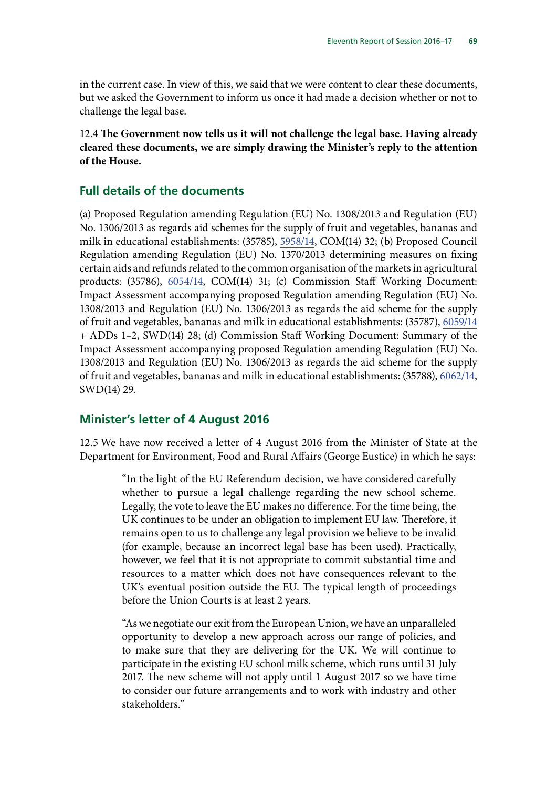in the current case. In view of this, we said that we were content to clear these documents, but we asked the Government to inform us once it had made a decision whether or not to challenge the legal base.

12.4 **The Government now tells us it will not challenge the legal base. Having already cleared these documents, we are simply drawing the Minister's reply to the attention of the House.**

#### **Full details of the documents**

(a) Proposed Regulation amending Regulation (EU) No. 1308/2013 and Regulation (EU) No. 1306/2013 as regards aid schemes for the supply of fruit and vegetables, bananas and milk in educational establishments: (35785), [5958/14](http://data.consilium.europa.eu/doc/document/ST-5958-2014-INIT/en/pdf), COM(14) 32; (b) Proposed Council Regulation amending Regulation (EU) No. 1370/2013 determining measures on fixing certain aids and refunds related to the common organisation of the markets in agricultural products: (35786), [6054/14,](http://data.consilium.europa.eu/doc/document/ST-6054-2014-INIT/en/pdf) COM(14) 31; (c) Commission Staff Working Document: Impact Assessment accompanying proposed Regulation amending Regulation (EU) No. 1308/2013 and Regulation (EU) No. 1306/2013 as regards the aid scheme for the supply of fruit and vegetables, bananas and milk in educational establishments: (35787), [6059/14](http://data.consilium.europa.eu/doc/document/ST-6059-2014-INIT/en/pdf) + ADDs 1–2, SWD(14) 28; (d) Commission Staff Working Document: Summary of the Impact Assessment accompanying proposed Regulation amending Regulation (EU) No. 1308/2013 and Regulation (EU) No. 1306/2013 as regards the aid scheme for the supply of fruit and vegetables, bananas and milk in educational establishments: (35788), [6062/14,](http://data.consilium.europa.eu/doc/document/ST-6062-2014-INIT/en/pdf) SWD(14) 29.

#### **Minister's letter of 4 August 2016**

12.5 We have now received a letter of 4 August 2016 from the Minister of State at the Department for Environment, Food and Rural Affairs (George Eustice) in which he says:

> "In the light of the EU Referendum decision, we have considered carefully whether to pursue a legal challenge regarding the new school scheme. Legally, the vote to leave the EU makes no difference. For the time being, the UK continues to be under an obligation to implement EU law. Therefore, it remains open to us to challenge any legal provision we believe to be invalid (for example, because an incorrect legal base has been used). Practically, however, we feel that it is not appropriate to commit substantial time and resources to a matter which does not have consequences relevant to the UK's eventual position outside the EU. The typical length of proceedings before the Union Courts is at least 2 years.

> "As we negotiate our exit from the European Union, we have an unparalleled opportunity to develop a new approach across our range of policies, and to make sure that they are delivering for the UK. We will continue to participate in the existing EU school milk scheme, which runs until 31 July 2017. The new scheme will not apply until 1 August 2017 so we have time to consider our future arrangements and to work with industry and other stakeholders."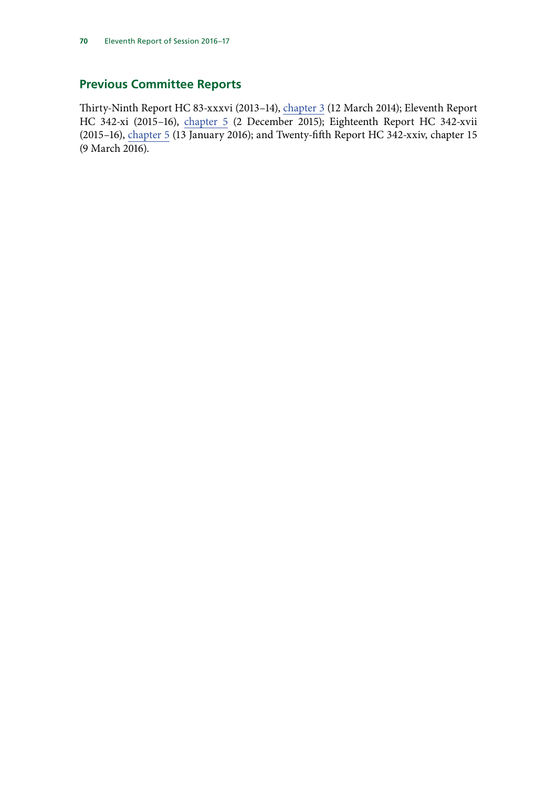# **Previous Committee Reports**

Thirty-Ninth Report HC 83-xxxvi (2013–14), [chapter 3](http://www.publications.parliament.uk/pa/cm201314/cmselect/cmeuleg/83-xxxvi/8306.htm) (12 March 2014); Eleventh Report HC 342-xi (2015–16), [chapter](http://www.publications.parliament.uk/pa/cm201516/cmselect/cmeuleg/342-xi/34209.htm) 5 (2 December 2015); Eighteenth Report HC 342-xvii (2015–16), [chapter 5](http://www.publications.parliament.uk/pa/cm201516/cmselect/cmeuleg/342-xvii/34208.htm) (13 January 2016); and Twenty-fifth Report HC 342-xxiv, chapter 15 (9 March 2016).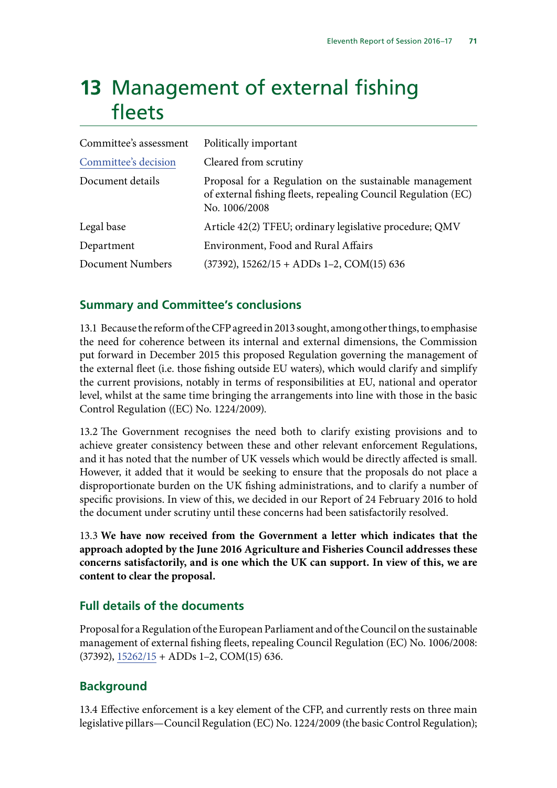# **13** Management of external fishing fleets

| Committee's assessment | Politically important                                                                                                                     |
|------------------------|-------------------------------------------------------------------------------------------------------------------------------------------|
| Committee's decision   | Cleared from scrutiny                                                                                                                     |
| Document details       | Proposal for a Regulation on the sustainable management<br>of external fishing fleets, repealing Council Regulation (EC)<br>No. 1006/2008 |
| Legal base             | Article 42(2) TFEU; ordinary legislative procedure; QMV                                                                                   |
| Department             | Environment, Food and Rural Affairs                                                                                                       |
| Document Numbers       | $(37392)$ , $15262/15 + ADDs 1-2$ , COM(15) 636                                                                                           |

## **Summary and Committee's conclusions**

13.1 Because the reform of the CFP agreed in 2013 sought, among other things, to emphasise the need for coherence between its internal and external dimensions, the Commission put forward in December 2015 this proposed Regulation governing the management of the external fleet (i.e. those fishing outside EU waters), which would clarify and simplify the current provisions, notably in terms of responsibilities at EU, national and operator level, whilst at the same time bringing the arrangements into line with those in the basic Control Regulation ((EC) No. 1224/2009).

13.2 The Government recognises the need both to clarify existing provisions and to achieve greater consistency between these and other relevant enforcement Regulations, and it has noted that the number of UK vessels which would be directly affected is small. However, it added that it would be seeking to ensure that the proposals do not place a disproportionate burden on the UK fishing administrations, and to clarify a number of specific provisions. In view of this, we decided in our Report of 24 February 2016 to hold the document under scrutiny until these concerns had been satisfactorily resolved.

13.3 **We have now received from the Government a letter which indicates that the approach adopted by the June 2016 Agriculture and Fisheries Council addresses these concerns satisfactorily, and is one which the UK can support. In view of this, we are content to clear the proposal.**

## **Full details of the documents**

Proposal for a Regulation of the European Parliament and of the Council on the sustainable management of external fishing fleets, repealing Council Regulation (EC) No. 1006/2008:  $(37392)$ ,  $15262/15 + ADDs 1-2$ , COM $(15)$  636.

# **Background**

13.4 Effective enforcement is a key element of the CFP, and currently rests on three main legislative pillars—Council Regulation (EC) No. 1224/2009 (the basic Control Regulation);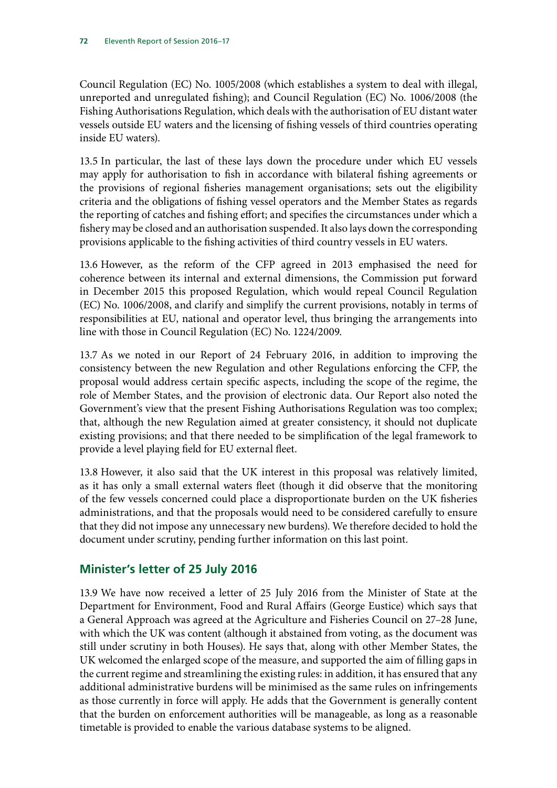Council Regulation (EC) No. 1005/2008 (which establishes a system to deal with illegal, unreported and unregulated fishing); and Council Regulation (EC) No. 1006/2008 (the Fishing Authorisations Regulation, which deals with the authorisation of EU distant water vessels outside EU waters and the licensing of fishing vessels of third countries operating inside EU waters).

13.5 In particular, the last of these lays down the procedure under which EU vessels may apply for authorisation to fish in accordance with bilateral fishing agreements or the provisions of regional fisheries management organisations; sets out the eligibility criteria and the obligations of fishing vessel operators and the Member States as regards the reporting of catches and fishing effort; and specifies the circumstances under which a fishery may be closed and an authorisation suspended. It also lays down the corresponding provisions applicable to the fishing activities of third country vessels in EU waters.

13.6 However, as the reform of the CFP agreed in 2013 emphasised the need for coherence between its internal and external dimensions, the Commission put forward in December 2015 this proposed Regulation, which would repeal Council Regulation (EC) No. 1006/2008, and clarify and simplify the current provisions, notably in terms of responsibilities at EU, national and operator level, thus bringing the arrangements into line with those in Council Regulation (EC) No. 1224/2009.

13.7 As we noted in our Report of 24 February 2016, in addition to improving the consistency between the new Regulation and other Regulations enforcing the CFP, the proposal would address certain specific aspects, including the scope of the regime, the role of Member States, and the provision of electronic data. Our Report also noted the Government's view that the present Fishing Authorisations Regulation was too complex; that, although the new Regulation aimed at greater consistency, it should not duplicate existing provisions; and that there needed to be simplification of the legal framework to provide a level playing field for EU external fleet.

13.8 However, it also said that the UK interest in this proposal was relatively limited, as it has only a small external waters fleet (though it did observe that the monitoring of the few vessels concerned could place a disproportionate burden on the UK fisheries administrations, and that the proposals would need to be considered carefully to ensure that they did not impose any unnecessary new burdens). We therefore decided to hold the document under scrutiny, pending further information on this last point.

# **Minister's letter of 25 July 2016**

13.9 We have now received a letter of 25 July 2016 from the Minister of State at the Department for Environment, Food and Rural Affairs (George Eustice) which says that a General Approach was agreed at the Agriculture and Fisheries Council on 27–28 June, with which the UK was content (although it abstained from voting, as the document was still under scrutiny in both Houses). He says that, along with other Member States, the UK welcomed the enlarged scope of the measure, and supported the aim of filling gaps in the current regime and streamlining the existing rules: in addition, it has ensured that any additional administrative burdens will be minimised as the same rules on infringements as those currently in force will apply. He adds that the Government is generally content that the burden on enforcement authorities will be manageable, as long as a reasonable timetable is provided to enable the various database systems to be aligned.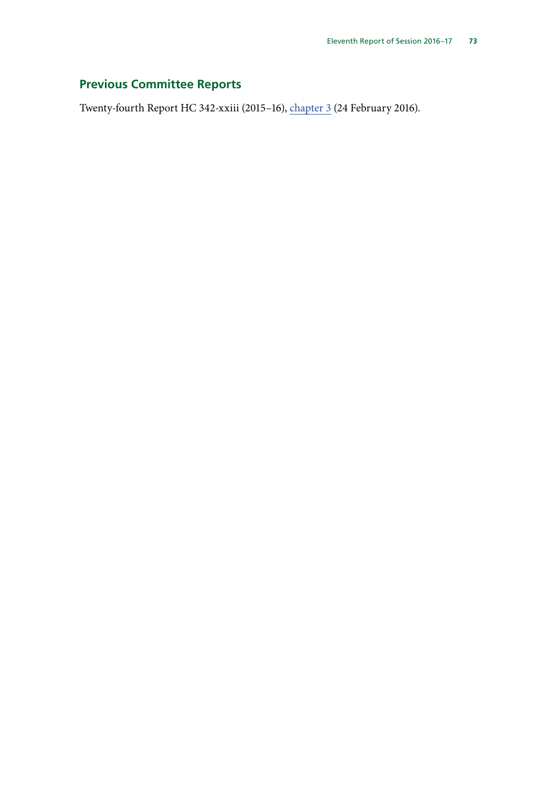# **Previous Committee Reports**

Twenty-fourth Report HC 342-xxiii (2015–16), [chapter 3](http://www.publications.parliament.uk/pa/cm201516/cmselect/cmeuleg/342-xxiii/34206.htm) (24 February 2016).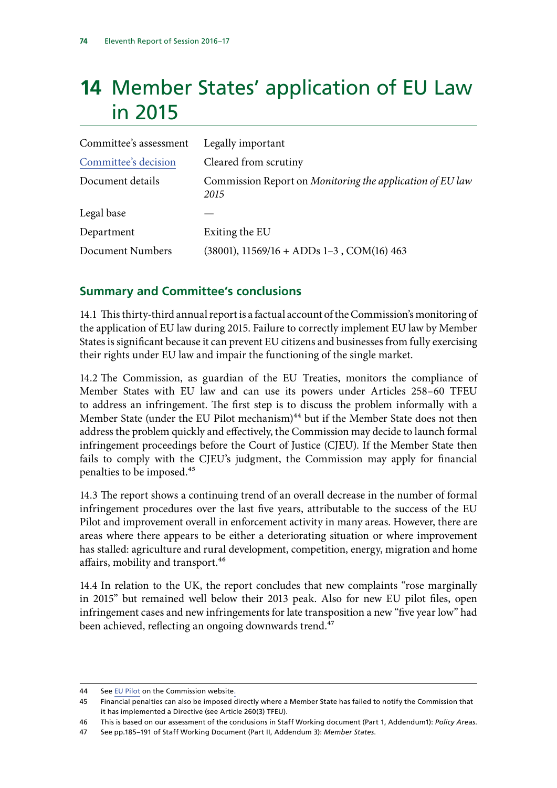# **14** Member States' application of EU Law in 2015

| Committee's assessment | Legally important                                                 |
|------------------------|-------------------------------------------------------------------|
| Committee's decision   | Cleared from scrutiny                                             |
| Document details       | Commission Report on Monitoring the application of EU law<br>2015 |
| Legal base             |                                                                   |
| Department             | Exiting the EU                                                    |
| Document Numbers       | $(38001)$ , 11569/16 + ADDs 1-3, COM(16) 463                      |

## **Summary and Committee's conclusions**

14.1 This thirty-third annual report is a factual account of the Commission's monitoring of the application of EU law during 2015. Failure to correctly implement EU law by Member States is significant because it can prevent EU citizens and businesses from fully exercising their rights under EU law and impair the functioning of the single market.

14.2 The Commission, as guardian of the EU Treaties, monitors the compliance of Member States with EU law and can use its powers under Articles 258–60 TFEU to address an infringement. The first step is to discuss the problem informally with a Member State (under the EU Pilot mechanism) $44$  but if the Member State does not then address the problem quickly and effectively, the Commission may decide to launch formal infringement proceedings before the Court of Justice (CJEU). If the Member State then fails to comply with the CJEU's judgment, the Commission may apply for financial penalties to be imposed.45

14.3 The report shows a continuing trend of an overall decrease in the number of formal infringement procedures over the last five years, attributable to the success of the EU Pilot and improvement overall in enforcement activity in many areas. However, there are areas where there appears to be either a deteriorating situation or where improvement has stalled: agriculture and rural development, competition, energy, migration and home affairs, mobility and transport.<sup>46</sup>

14.4 In relation to the UK, the report concludes that new complaints "rose marginally in 2015" but remained well below their 2013 peak. Also for new EU pilot files, open infringement cases and new infringements for late transposition a new "five year low" had been achieved, reflecting an ongoing downwards trend.<sup>47</sup>

<sup>44</sup> See [EU Pilot](http://ec.europa.eu/internal_market/scoreboard/performance_by_governance_tool/eu_pilot/index_en.htm) on the Commission website.

<sup>45</sup> Financial penalties can also be imposed directly where a Member State has failed to notify the Commission that it has implemented a Directive (see Article 260(3) TFEU).

<sup>46</sup> This is based on our assessment of the conclusions in Staff Working document (Part 1, Addendum1): *Policy Areas*.

<sup>47</sup> See pp.185–191 of Staff Working Document (Part II, Addendum 3): *Member States*.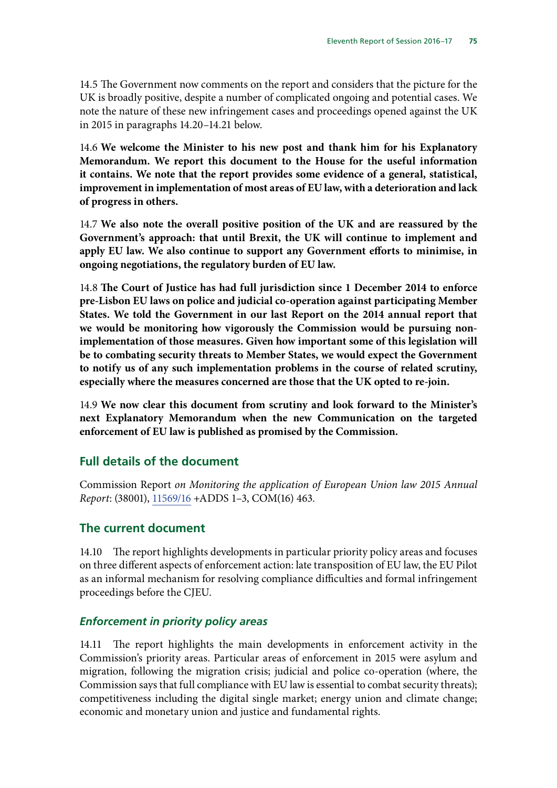14.5 The Government now comments on the report and considers that the picture for the UK is broadly positive, despite a number of complicated ongoing and potential cases. We note the nature of these new infringement cases and proceedings opened against the UK in 2015 in paragraphs 14.20–14.21 below.

14.6 **We welcome the Minister to his new post and thank him for his Explanatory Memorandum. We report this document to the House for the useful information it contains. We note that the report provides some evidence of a general, statistical, improvement in implementation of most areas of EU law, with a deterioration and lack of progress in others.**

14.7 **We also note the overall positive position of the UK and are reassured by the Government's approach: that until Brexit, the UK will continue to implement and apply EU law. We also continue to support any Government efforts to minimise, in ongoing negotiations, the regulatory burden of EU law.**

14.8 **The Court of Justice has had full jurisdiction since 1 December 2014 to enforce pre-Lisbon EU laws on police and judicial co-operation against participating Member States. We told the Government in our last Report on the 2014 annual report that we would be monitoring how vigorously the Commission would be pursuing nonimplementation of those measures. Given how important some of this legislation will be to combating security threats to Member States, we would expect the Government to notify us of any such implementation problems in the course of related scrutiny, especially where the measures concerned are those that the UK opted to re-join.**

14.9 **We now clear this document from scrutiny and look forward to the Minister's next Explanatory Memorandum when the new Communication on the targeted enforcement of EU law is published as promised by the Commission.**

#### **Full details of the document**

Commission Report *on Monitoring the application of European Union law 2015 Annual Report*: (38001), [11569/16](http://data.consilium.europa.eu/doc/document/ST-11569-2016-INIT/en/pdf) +ADDS 1–3, COM(16) 463.

#### **The current document**

14.10 The report highlights developments in particular priority policy areas and focuses on three different aspects of enforcement action: late transposition of EU law, the EU Pilot as an informal mechanism for resolving compliance difficulties and formal infringement proceedings before the CJEU.

#### *Enforcement in priority policy areas*

14.11 The report highlights the main developments in enforcement activity in the Commission's priority areas. Particular areas of enforcement in 2015 were asylum and migration, following the migration crisis; judicial and police co-operation (where, the Commission says that full compliance with EU law is essential to combat security threats); competitiveness including the digital single market; energy union and climate change; economic and monetary union and justice and fundamental rights.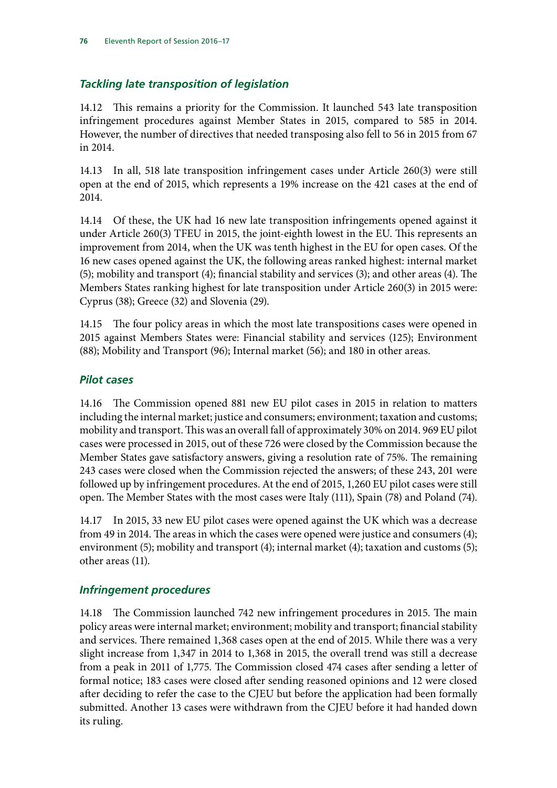## *Tackling late transposition of legislation*

14.12 This remains a priority for the Commission. It launched 543 late transposition infringement procedures against Member States in 2015, compared to 585 in 2014. However, the number of directives that needed transposing also fell to 56 in 2015 from 67 in 2014.

14.13 In all, 518 late transposition infringement cases under Article 260(3) were still open at the end of 2015, which represents a 19% increase on the 421 cases at the end of 2014.

14.14 Of these, the UK had 16 new late transposition infringements opened against it under Article 260(3) TFEU in 2015, the joint-eighth lowest in the EU. This represents an improvement from 2014, when the UK was tenth highest in the EU for open cases. Of the 16 new cases opened against the UK, the following areas ranked highest: internal market (5); mobility and transport (4); financial stability and services (3); and other areas (4). The Members States ranking highest for late transposition under Article 260(3) in 2015 were: Cyprus (38); Greece (32) and Slovenia (29).

14.15 The four policy areas in which the most late transpositions cases were opened in 2015 against Members States were: Financial stability and services (125); Environment (88); Mobility and Transport (96); Internal market (56); and 180 in other areas.

#### *Pilot cases*

14.16 The Commission opened 881 new EU pilot cases in 2015 in relation to matters including the internal market; justice and consumers; environment; taxation and customs; mobility and transport. This was an overall fall of approximately 30% on 2014. 969 EU pilot cases were processed in 2015, out of these 726 were closed by the Commission because the Member States gave satisfactory answers, giving a resolution rate of 75%. The remaining 243 cases were closed when the Commission rejected the answers; of these 243, 201 were followed up by infringement procedures. At the end of 2015, 1,260 EU pilot cases were still open. The Member States with the most cases were Italy (111), Spain (78) and Poland (74).

14.17 In 2015, 33 new EU pilot cases were opened against the UK which was a decrease from 49 in 2014. The areas in which the cases were opened were justice and consumers (4); environment (5); mobility and transport (4); internal market (4); taxation and customs (5); other areas (11).

## *Infringement procedures*

14.18 The Commission launched 742 new infringement procedures in 2015. The main policy areas were internal market; environment; mobility and transport; financial stability and services. There remained 1,368 cases open at the end of 2015. While there was a very slight increase from 1,347 in 2014 to 1,368 in 2015, the overall trend was still a decrease from a peak in 2011 of 1,775. The Commission closed 474 cases after sending a letter of formal notice; 183 cases were closed after sending reasoned opinions and 12 were closed after deciding to refer the case to the CJEU but before the application had been formally submitted. Another 13 cases were withdrawn from the CJEU before it had handed down its ruling.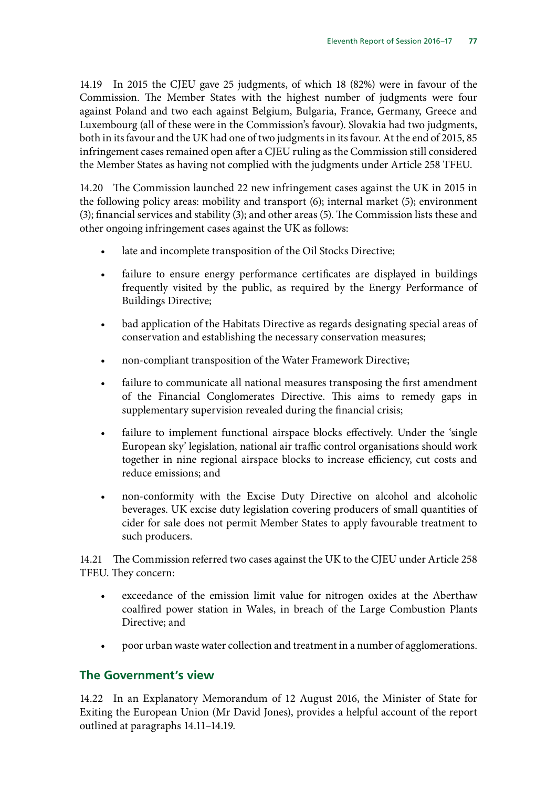14.19 In 2015 the CJEU gave 25 judgments, of which 18 (82%) were in favour of the Commission. The Member States with the highest number of judgments were four against Poland and two each against Belgium, Bulgaria, France, Germany, Greece and Luxembourg (all of these were in the Commission's favour). Slovakia had two judgments, both in its favour and the UK had one of two judgments in its favour. At the end of 2015, 85 infringement cases remained open after a CJEU ruling as the Commission still considered the Member States as having not complied with the judgments under Article 258 TFEU.

14.20 The Commission launched 22 new infringement cases against the UK in 2015 in the following policy areas: mobility and transport (6); internal market (5); environment (3); financial services and stability (3); and other areas (5). The Commission lists these and other ongoing infringement cases against the UK as follows:

- late and incomplete transposition of the Oil Stocks Directive;
- failure to ensure energy performance certificates are displayed in buildings frequently visited by the public, as required by the Energy Performance of Buildings Directive;
- bad application of the Habitats Directive as regards designating special areas of conservation and establishing the necessary conservation measures;
- non-compliant transposition of the Water Framework Directive;
- failure to communicate all national measures transposing the first amendment of the Financial Conglomerates Directive. This aims to remedy gaps in supplementary supervision revealed during the financial crisis;
- failure to implement functional airspace blocks effectively. Under the 'single European sky' legislation, national air traffic control organisations should work together in nine regional airspace blocks to increase efficiency, cut costs and reduce emissions; and
- non-conformity with the Excise Duty Directive on alcohol and alcoholic beverages. UK excise duty legislation covering producers of small quantities of cider for sale does not permit Member States to apply favourable treatment to such producers.

14.21 The Commission referred two cases against the UK to the CJEU under Article 258 TFEU. They concern:

- exceedance of the emission limit value for nitrogen oxides at the Aberthaw coalfired power station in Wales, in breach of the Large Combustion Plants Directive; and
- poor urban waste water collection and treatment in a number of agglomerations.

# **The Government's view**

14.22 In an Explanatory Memorandum of 12 August 2016, the Minister of State for Exiting the European Union (Mr David Jones), provides a helpful account of the report outlined at paragraphs 14.11–14.19.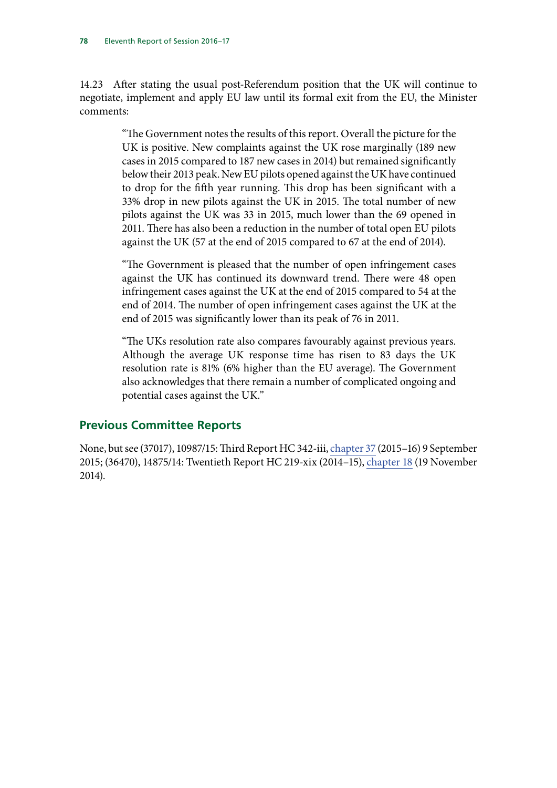14.23 After stating the usual post-Referendum position that the UK will continue to negotiate, implement and apply EU law until its formal exit from the EU, the Minister comments:

> "The Government notes the results of this report. Overall the picture for the UK is positive. New complaints against the UK rose marginally (189 new cases in 2015 compared to 187 new cases in 2014) but remained significantly below their 2013 peak. New EU pilots opened against the UK have continued to drop for the fifth year running. This drop has been significant with a 33% drop in new pilots against the UK in 2015. The total number of new pilots against the UK was 33 in 2015, much lower than the 69 opened in 2011. There has also been a reduction in the number of total open EU pilots against the UK (57 at the end of 2015 compared to 67 at the end of 2014).

> "The Government is pleased that the number of open infringement cases against the UK has continued its downward trend. There were 48 open infringement cases against the UK at the end of 2015 compared to 54 at the end of 2014. The number of open infringement cases against the UK at the end of 2015 was significantly lower than its peak of 76 in 2011.

> "The UKs resolution rate also compares favourably against previous years. Although the average UK response time has risen to 83 days the UK resolution rate is 81% (6% higher than the EU average). The Government also acknowledges that there remain a number of complicated ongoing and potential cases against the UK."

## **Previous Committee Reports**

None, but see (37017), 10987/15: Third Report HC 342-iii, [chapter 37](http://www.publications.parliament.uk/pa/cm201516/cmselect/cmeuleg/342-iii/34240.htm) (2015–16) 9 September 2015; (36470), 14875/14: Twentieth Report HC 219-xix (2014–15), [chapter 18](http://www.publications.parliament.uk/pa/cm201415/cmselect/cmeuleg/219-xix/21921.htm) (19 November 2014).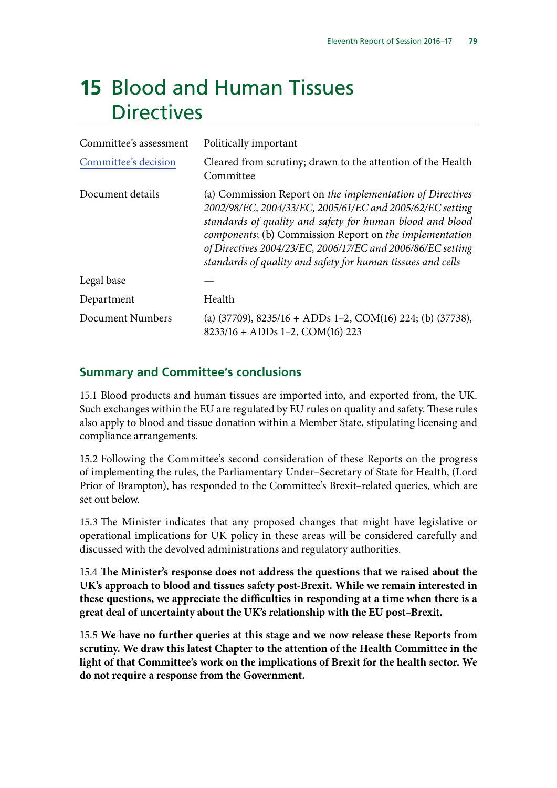# **15** Blood and Human Tissues **Directives**

| Committee's assessment | Politically important                                                                                                                                                                                                                                                                                                                                                        |
|------------------------|------------------------------------------------------------------------------------------------------------------------------------------------------------------------------------------------------------------------------------------------------------------------------------------------------------------------------------------------------------------------------|
| Committee's decision   | Cleared from scrutiny; drawn to the attention of the Health<br>Committee                                                                                                                                                                                                                                                                                                     |
| Document details       | (a) Commission Report on the implementation of Directives<br>2002/98/EC, 2004/33/EC, 2005/61/EC and 2005/62/EC setting<br>standards of quality and safety for human blood and blood<br>components; (b) Commission Report on the implementation<br>of Directives 2004/23/EC, 2006/17/EC and 2006/86/EC setting<br>standards of quality and safety for human tissues and cells |
| Legal base             |                                                                                                                                                                                                                                                                                                                                                                              |
| Department             | Health                                                                                                                                                                                                                                                                                                                                                                       |
| Document Numbers       | (a) $(37709)$ , $8235/16 + ADDs 1-2$ , COM $(16)$ 224; (b) $(37738)$ ,<br>$8233/16 + ADDs 1-2, COM(16) 223$                                                                                                                                                                                                                                                                  |

## **Summary and Committee's conclusions**

15.1 Blood products and human tissues are imported into, and exported from, the UK. Such exchanges within the EU are regulated by EU rules on quality and safety. These rules also apply to blood and tissue donation within a Member State, stipulating licensing and compliance arrangements.

15.2 Following the Committee's second consideration of these Reports on the progress of implementing the rules, the Parliamentary Under–Secretary of State for Health, (Lord Prior of Brampton), has responded to the Committee's Brexit–related queries, which are set out below.

15.3 The Minister indicates that any proposed changes that might have legislative or operational implications for UK policy in these areas will be considered carefully and discussed with the devolved administrations and regulatory authorities.

15.4 **The Minister's response does not address the questions that we raised about the UK's approach to blood and tissues safety post-Brexit. While we remain interested in these questions, we appreciate the difficulties in responding at a time when there is a great deal of uncertainty about the UK's relationship with the EU post–Brexit.**

15.5 **We have no further queries at this stage and we now release these Reports from scrutiny. We draw this latest Chapter to the attention of the Health Committee in the light of that Committee's work on the implications of Brexit for the health sector. We do not require a response from the Government.**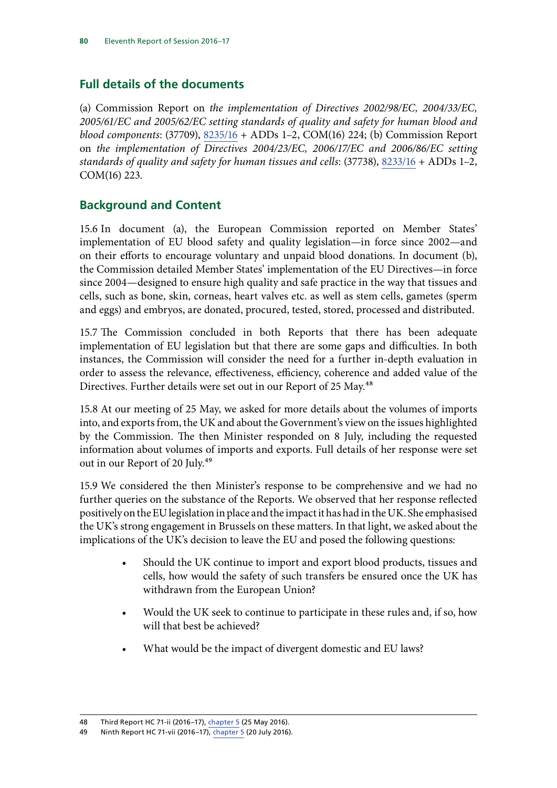# **Full details of the documents**

(a) Commission Report on *the implementation of Directives 2002/98/EC, 2004/33/EC, 2005/61/EC and 2005/62/EC setting standards of quality and safety for human blood and blood components*: (37709), [8235/16](http://data.consilium.europa.eu/doc/document/ST-8235-2016-INIT/en/pdf) + ADDs 1–2, COM(16) 224; (b) Commission Report on *the implementation of Directives 2004/23/EC, 2006/17/EC and 2006/86/EC setting standards of quality and safety for human tissues and cells*: (37738), [8233/16](http://data.consilium.europa.eu/doc/document/ST-8233-2016-INIT/en/pdf) + ADDs 1–2, COM(16) 223.

# **Background and Content**

15.6 In document (a), the European Commission reported on Member States' implementation of EU blood safety and quality legislation—in force since 2002—and on their efforts to encourage voluntary and unpaid blood donations. In document (b), the Commission detailed Member States' implementation of the EU Directives—in force since 2004—designed to ensure high quality and safe practice in the way that tissues and cells, such as bone, skin, corneas, heart valves etc. as well as stem cells, gametes (sperm and eggs) and embryos, are donated, procured, tested, stored, processed and distributed.

15.7 The Commission concluded in both Reports that there has been adequate implementation of EU legislation but that there are some gaps and difficulties. In both instances, the Commission will consider the need for a further in-depth evaluation in order to assess the relevance, effectiveness, efficiency, coherence and added value of the Directives. Further details were set out in our Report of 25 May.<sup>48</sup>

15.8 At our meeting of 25 May, we asked for more details about the volumes of imports into, and exports from, the UK and about the Government's view on the issues highlighted by the Commission. The then Minister responded on 8 July, including the requested information about volumes of imports and exports. Full details of her response were set out in our Report of 20 July.<sup>49</sup>

15.9 We considered the then Minister's response to be comprehensive and we had no further queries on the substance of the Reports. We observed that her response reflected positively on the EU legislation in place and the impact it has had in the UK. She emphasised the UK's strong engagement in Brussels on these matters. In that light, we asked about the implications of the UK's decision to leave the EU and posed the following questions:

- Should the UK continue to import and export blood products, tissues and cells, how would the safety of such transfers be ensured once the UK has withdrawn from the European Union?
- Would the UK seek to continue to participate in these rules and, if so, how will that best be achieved?
- What would be the impact of divergent domestic and EU laws?

<sup>48</sup> Third Report HC 71-ii (2016–17), chapter 5 (25 May 2016).

<sup>49</sup> Ninth Report HC 71-vii (2016–17), chapter 5 (20 July 2016).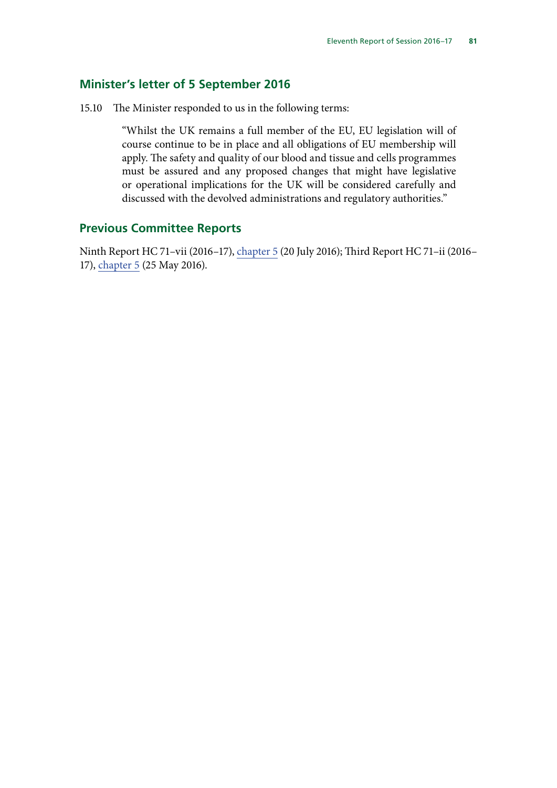#### **Minister's letter of 5 September 2016**

15.10 The Minister responded to us in the following terms:

"Whilst the UK remains a full member of the EU, EU legislation will of course continue to be in place and all obligations of EU membership will apply. The safety and quality of our blood and tissue and cells programmes must be assured and any proposed changes that might have legislative or operational implications for the UK will be considered carefully and discussed with the devolved administrations and regulatory authorities."

#### **Previous Committee Reports**

Ninth Report HC 71–vii (2016–17), chapter 5 (20 July 2016); Third Report HC 71–ii (2016– 17), chapter 5 (25 May 2016).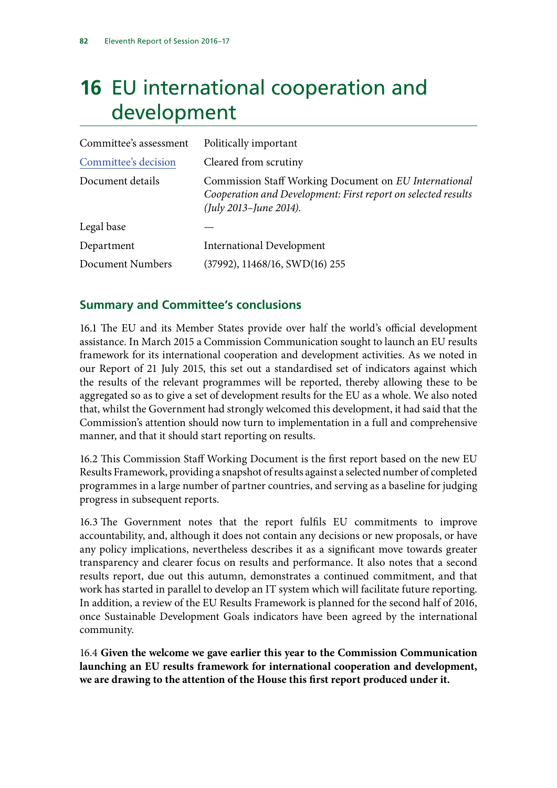# **16** EU international cooperation and development

| Committee's assessment | Politically important                                                                                                                            |
|------------------------|--------------------------------------------------------------------------------------------------------------------------------------------------|
| Committee's decision   | Cleared from scrutiny                                                                                                                            |
| Document details       | Commission Staff Working Document on EU International<br>Cooperation and Development: First report on selected results<br>(July 2013-June 2014). |
| Legal base             |                                                                                                                                                  |
| Department             | <b>International Development</b>                                                                                                                 |
| Document Numbers       | $(37992)$ , 11468/16, SWD(16) 255                                                                                                                |

# **Summary and Committee's conclusions**

16.1 The EU and its Member States provide over half the world's official development assistance. In March 2015 a Commission Communication sought to launch an EU results framework for its international cooperation and development activities. As we noted in our Report of 21 July 2015, this set out a standardised set of indicators against which the results of the relevant programmes will be reported, thereby allowing these to be aggregated so as to give a set of development results for the EU as a whole. We also noted that, whilst the Government had strongly welcomed this development, it had said that the Commission's attention should now turn to implementation in a full and comprehensive manner, and that it should start reporting on results.

16.2 This Commission Staff Working Document is the first report based on the new EU Results Framework, providing a snapshot of results against a selected number of completed programmes in a large number of partner countries, and serving as a baseline for judging progress in subsequent reports.

16.3 The Government notes that the report fulfils EU commitments to improve accountability, and, although it does not contain any decisions or new proposals, or have any policy implications, nevertheless describes it as a significant move towards greater transparency and clearer focus on results and performance. It also notes that a second results report, due out this autumn, demonstrates a continued commitment, and that work has started in parallel to develop an IT system which will facilitate future reporting. In addition, a review of the EU Results Framework is planned for the second half of 2016, once Sustainable Development Goals indicators have been agreed by the international community.

16.4 **Given the welcome we gave earlier this year to the Commission Communication launching an EU results framework for international cooperation and development, we are drawing to the attention of the House this first report produced under it.**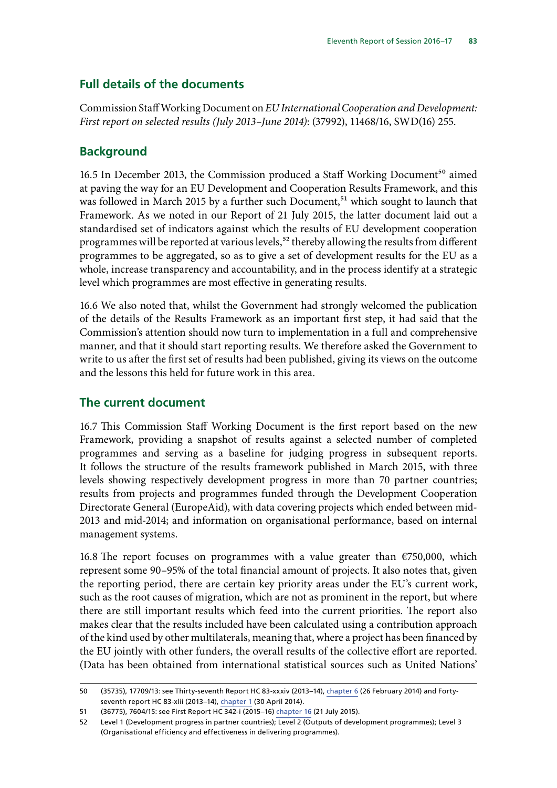# **Full details of the documents**

Commission Staff Working Document on *EU International Cooperation and Development: First report on selected results (July 2013–June 2014)*: (37992), 11468/16, SWD(16) 255.

## **Background**

16.5 In December 2013, the Commission produced a Staff Working Document<sup>50</sup> aimed at paving the way for an EU Development and Cooperation Results Framework, and this was followed in March 2015 by a further such Document,<sup>51</sup> which sought to launch that Framework. As we noted in our Report of 21 July 2015, the latter document laid out a standardised set of indicators against which the results of EU development cooperation programmes will be reported at various levels,<sup>52</sup> thereby allowing the results from different programmes to be aggregated, so as to give a set of development results for the EU as a whole, increase transparency and accountability, and in the process identify at a strategic level which programmes are most effective in generating results.

16.6 We also noted that, whilst the Government had strongly welcomed the publication of the details of the Results Framework as an important first step, it had said that the Commission's attention should now turn to implementation in a full and comprehensive manner, and that it should start reporting results. We therefore asked the Government to write to us after the first set of results had been published, giving its views on the outcome and the lessons this held for future work in this area.

## **The current document**

16.7 This Commission Staff Working Document is the first report based on the new Framework, providing a snapshot of results against a selected number of completed programmes and serving as a baseline for judging progress in subsequent reports. It follows the structure of the results framework published in March 2015, with three levels showing respectively development progress in more than 70 partner countries; results from projects and programmes funded through the Development Cooperation Directorate General (EuropeAid), with data covering projects which ended between mid-2013 and mid-2014; and information on organisational performance, based on internal management systems.

16.8 The report focuses on programmes with a value greater than €750,000, which represent some 90–95% of the total financial amount of projects. It also notes that, given the reporting period, there are certain key priority areas under the EU's current work, such as the root causes of migration, which are not as prominent in the report, but where there are still important results which feed into the current priorities. The report also makes clear that the results included have been calculated using a contribution approach of the kind used by other multilaterals, meaning that, where a project has been financed by the EU jointly with other funders, the overall results of the collective effort are reported. (Data has been obtained from international statistical sources such as United Nations'

<sup>50</sup> (35735), 17709/13: see Thirty-seventh Report HC 83-xxxiv (2013–14), [chapter 6](http://www.publications.parliament.uk/pa/cm201314/cmselect/cmeuleg/83-xxxiv/8310.htm) (26 February 2014) and Fortyseventh report HC 83-xlii (2013–14), [chapter 1](http://www.publications.parliament.uk/pa/cm201314/cmselect/cmeuleg/83-xlii/8304.htm) (30 April 2014).

<sup>51</sup> (36775), 7604/15: see First Report HC 342-i (2015–16) [chapter 16](http://www.publications.parliament.uk/pa/cm201516/cmselect/cmeuleg/342-i/34219.htm) (21 July 2015).

<sup>52</sup> Level 1 (Development progress in partner countries); Level 2 (Outputs of development programmes); Level 3 (Organisational efficiency and effectiveness in delivering programmes).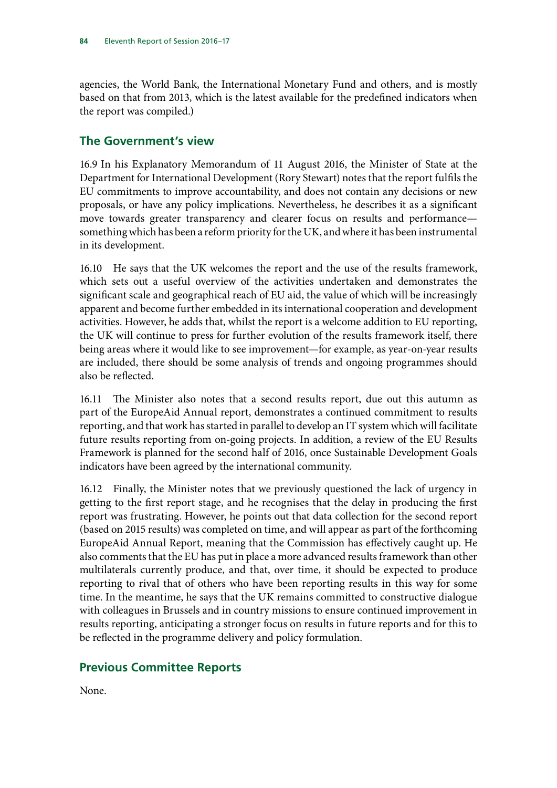agencies, the World Bank, the International Monetary Fund and others, and is mostly based on that from 2013, which is the latest available for the predefined indicators when the report was compiled.)

## **The Government's view**

16.9 In his Explanatory Memorandum of 11 August 2016, the Minister of State at the Department for International Development (Rory Stewart) notes that the report fulfils the EU commitments to improve accountability, and does not contain any decisions or new proposals, or have any policy implications. Nevertheless, he describes it as a significant move towards greater transparency and clearer focus on results and performance something which has been a reform priority for the UK, and where it has been instrumental in its development.

16.10 He says that the UK welcomes the report and the use of the results framework, which sets out a useful overview of the activities undertaken and demonstrates the significant scale and geographical reach of EU aid, the value of which will be increasingly apparent and become further embedded in its international cooperation and development activities. However, he adds that, whilst the report is a welcome addition to EU reporting, the UK will continue to press for further evolution of the results framework itself, there being areas where it would like to see improvement—for example, as year-on-year results are included, there should be some analysis of trends and ongoing programmes should also be reflected.

16.11 The Minister also notes that a second results report, due out this autumn as part of the EuropeAid Annual report, demonstrates a continued commitment to results reporting, and that work has started in parallel to develop an IT system which will facilitate future results reporting from on-going projects. In addition, a review of the EU Results Framework is planned for the second half of 2016, once Sustainable Development Goals indicators have been agreed by the international community.

16.12 Finally, the Minister notes that we previously questioned the lack of urgency in getting to the first report stage, and he recognises that the delay in producing the first report was frustrating. However, he points out that data collection for the second report (based on 2015 results) was completed on time, and will appear as part of the forthcoming EuropeAid Annual Report, meaning that the Commission has effectively caught up. He also comments that the EU has put in place a more advanced results framework than other multilaterals currently produce, and that, over time, it should be expected to produce reporting to rival that of others who have been reporting results in this way for some time. In the meantime, he says that the UK remains committed to constructive dialogue with colleagues in Brussels and in country missions to ensure continued improvement in results reporting, anticipating a stronger focus on results in future reports and for this to be reflected in the programme delivery and policy formulation.

# **Previous Committee Reports**

None.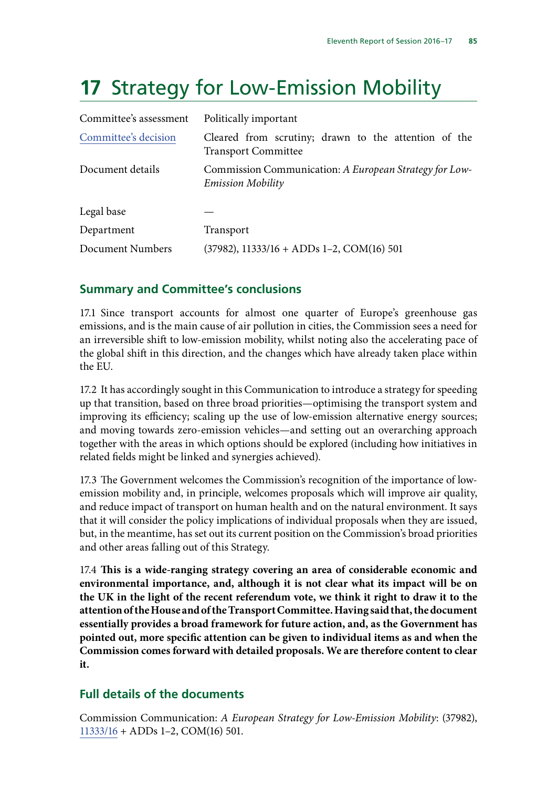# **17** Strategy for Low-Emission Mobility

| Committee's assessment | Politically important                                                              |
|------------------------|------------------------------------------------------------------------------------|
| Committee's decision   | Cleared from scrutiny; drawn to the attention of the<br><b>Transport Committee</b> |
| Document details       | Commission Communication: A European Strategy for Low-<br><b>Emission Mobility</b> |
| Legal base             |                                                                                    |
| Department             | Transport                                                                          |
| Document Numbers       | $(37982)$ , 11333/16 + ADDs 1-2, COM(16) 501                                       |

# **Summary and Committee's conclusions**

17.1 Since transport accounts for almost one quarter of Europe's greenhouse gas emissions, and is the main cause of air pollution in cities, the Commission sees a need for an irreversible shift to low-emission mobility, whilst noting also the accelerating pace of the global shift in this direction, and the changes which have already taken place within the EU.

17.2 It has accordingly sought in this Communication to introduce a strategy for speeding up that transition, based on three broad priorities—optimising the transport system and improving its efficiency; scaling up the use of low-emission alternative energy sources; and moving towards zero-emission vehicles—and setting out an overarching approach together with the areas in which options should be explored (including how initiatives in related fields might be linked and synergies achieved).

17.3 The Government welcomes the Commission's recognition of the importance of lowemission mobility and, in principle, welcomes proposals which will improve air quality, and reduce impact of transport on human health and on the natural environment. It says that it will consider the policy implications of individual proposals when they are issued, but, in the meantime, has set out its current position on the Commission's broad priorities and other areas falling out of this Strategy.

17.4 **This is a wide-ranging strategy covering an area of considerable economic and environmental importance, and, although it is not clear what its impact will be on the UK in the light of the recent referendum vote, we think it right to draw it to the attention of the House and of the Transport Committee. Having said that, the document essentially provides a broad framework for future action, and, as the Government has pointed out, more specific attention can be given to individual items as and when the Commission comes forward with detailed proposals. We are therefore content to clear it.**

# **Full details of the documents**

Commission Communication: *A European Strategy for Low-Emission Mobility*: (37982), [11333/16](http://data.consilium.europa.eu/doc/document/ST-11333-2016-INIT/en/pdf) + ADDs 1–2, COM(16) 501.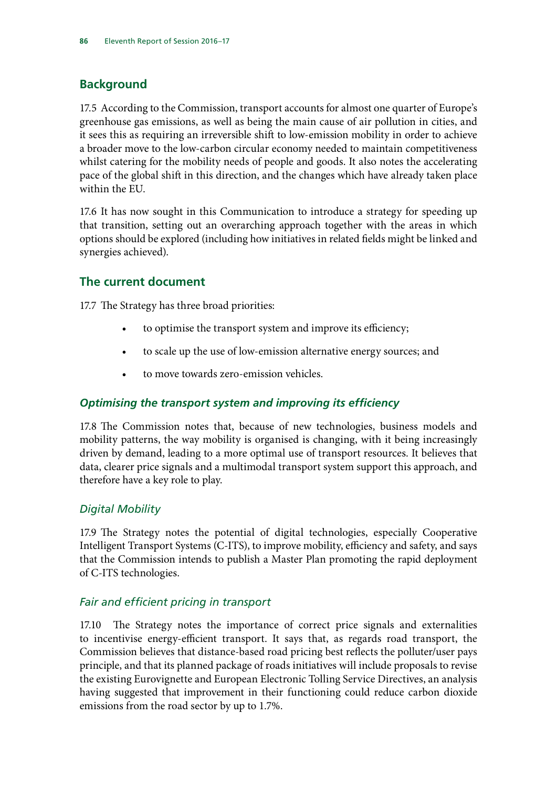# **Background**

17.5 According to the Commission, transport accounts for almost one quarter of Europe's greenhouse gas emissions, as well as being the main cause of air pollution in cities, and it sees this as requiring an irreversible shift to low-emission mobility in order to achieve a broader move to the low-carbon circular economy needed to maintain competitiveness whilst catering for the mobility needs of people and goods. It also notes the accelerating pace of the global shift in this direction, and the changes which have already taken place within the EU.

17.6 It has now sought in this Communication to introduce a strategy for speeding up that transition, setting out an overarching approach together with the areas in which options should be explored (including how initiatives in related fields might be linked and synergies achieved).

# **The current document**

17.7 The Strategy has three broad priorities:

- to optimise the transport system and improve its efficiency;
- to scale up the use of low-emission alternative energy sources; and
- to move towards zero-emission vehicles.

## *Optimising the transport system and improving its efficiency*

17.8 The Commission notes that, because of new technologies, business models and mobility patterns, the way mobility is organised is changing, with it being increasingly driven by demand, leading to a more optimal use of transport resources. It believes that data, clearer price signals and a multimodal transport system support this approach, and therefore have a key role to play.

## *Digital Mobility*

17.9 The Strategy notes the potential of digital technologies, especially Cooperative Intelligent Transport Systems (C-ITS), to improve mobility, efficiency and safety, and says that the Commission intends to publish a Master Plan promoting the rapid deployment of C-ITS technologies.

## *Fair and efficient pricing in transport*

17.10 The Strategy notes the importance of correct price signals and externalities to incentivise energy-efficient transport. It says that, as regards road transport, the Commission believes that distance-based road pricing best reflects the polluter/user pays principle, and that its planned package of roads initiatives will include proposals to revise the existing Eurovignette and European Electronic Tolling Service Directives, an analysis having suggested that improvement in their functioning could reduce carbon dioxide emissions from the road sector by up to 1.7%.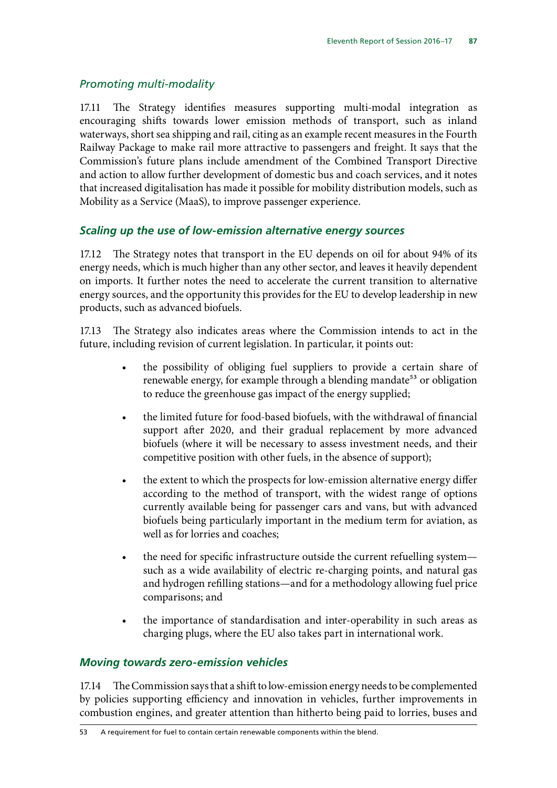## *Promoting multi-modality*

17.11 The Strategy identifies measures supporting multi-modal integration as encouraging shifts towards lower emission methods of transport, such as inland waterways, short sea shipping and rail, citing as an example recent measures in the Fourth Railway Package to make rail more attractive to passengers and freight. It says that the Commission's future plans include amendment of the Combined Transport Directive and action to allow further development of domestic bus and coach services, and it notes that increased digitalisation has made it possible for mobility distribution models, such as Mobility as a Service (MaaS), to improve passenger experience.

#### *Scaling up the use of low-emission alternative energy sources*

17.12 The Strategy notes that transport in the EU depends on oil for about 94% of its energy needs, which is much higher than any other sector, and leaves it heavily dependent on imports. It further notes the need to accelerate the current transition to alternative energy sources, and the opportunity this provides for the EU to develop leadership in new products, such as advanced biofuels.

17.13 The Strategy also indicates areas where the Commission intends to act in the future, including revision of current legislation. In particular, it points out:

- the possibility of obliging fuel suppliers to provide a certain share of renewable energy, for example through a blending mandate<sup>53</sup> or obligation to reduce the greenhouse gas impact of the energy supplied;
- the limited future for food-based biofuels, with the withdrawal of financial support after 2020, and their gradual replacement by more advanced biofuels (where it will be necessary to assess investment needs, and their competitive position with other fuels, in the absence of support);
- the extent to which the prospects for low-emission alternative energy differ according to the method of transport, with the widest range of options currently available being for passenger cars and vans, but with advanced biofuels being particularly important in the medium term for aviation, as well as for lorries and coaches;
- the need for specific infrastructure outside the current refuelling system such as a wide availability of electric re-charging points, and natural gas and hydrogen refilling stations—and for a methodology allowing fuel price comparisons; and
- the importance of standardisation and inter-operability in such areas as charging plugs, where the EU also takes part in international work.

#### *Moving towards zero-emission vehicles*

17.14 The Commission says that a shift to low-emission energy needs to be complemented by policies supporting efficiency and innovation in vehicles, further improvements in combustion engines, and greater attention than hitherto being paid to lorries, buses and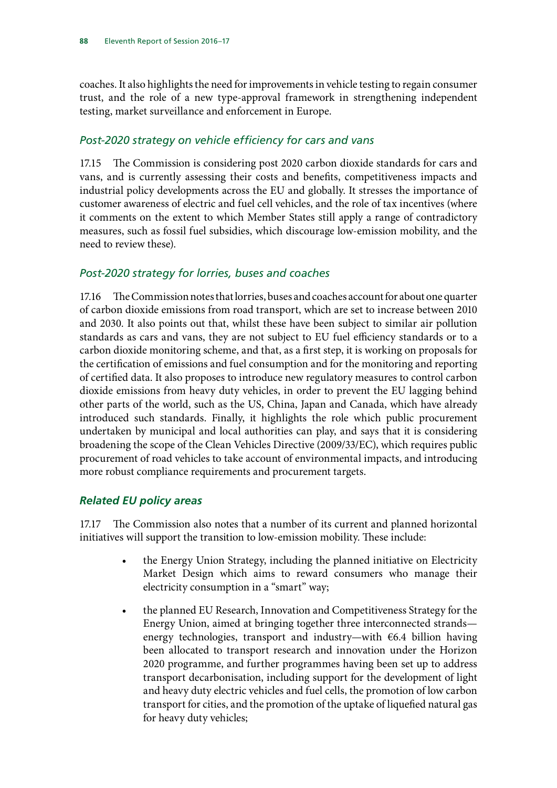coaches. It also highlights the need for improvements in vehicle testing to regain consumer trust, and the role of a new type-approval framework in strengthening independent testing, market surveillance and enforcement in Europe.

#### *Post-2020 strategy on vehicle efficiency for cars and vans*

17.15 The Commission is considering post 2020 carbon dioxide standards for cars and vans, and is currently assessing their costs and benefits, competitiveness impacts and industrial policy developments across the EU and globally. It stresses the importance of customer awareness of electric and fuel cell vehicles, and the role of tax incentives (where it comments on the extent to which Member States still apply a range of contradictory measures, such as fossil fuel subsidies, which discourage low-emission mobility, and the need to review these).

#### *Post-2020 strategy for lorries, buses and coaches*

17.16 The Commission notes that lorries, buses and coaches account for about one quarter of carbon dioxide emissions from road transport, which are set to increase between 2010 and 2030. It also points out that, whilst these have been subject to similar air pollution standards as cars and vans, they are not subject to EU fuel efficiency standards or to a carbon dioxide monitoring scheme, and that, as a first step, it is working on proposals for the certification of emissions and fuel consumption and for the monitoring and reporting of certified data. It also proposes to introduce new regulatory measures to control carbon dioxide emissions from heavy duty vehicles, in order to prevent the EU lagging behind other parts of the world, such as the US, China, Japan and Canada, which have already introduced such standards. Finally, it highlights the role which public procurement undertaken by municipal and local authorities can play, and says that it is considering broadening the scope of the Clean Vehicles Directive (2009/33/EC), which requires public procurement of road vehicles to take account of environmental impacts, and introducing more robust compliance requirements and procurement targets.

#### *Related EU policy areas*

17.17 The Commission also notes that a number of its current and planned horizontal initiatives will support the transition to low-emission mobility. These include:

- the Energy Union Strategy, including the planned initiative on Electricity Market Design which aims to reward consumers who manage their electricity consumption in a "smart" way;
- the planned EU Research, Innovation and Competitiveness Strategy for the Energy Union, aimed at bringing together three interconnected strands energy technologies, transport and industry—with €6.4 billion having been allocated to transport research and innovation under the Horizon 2020 programme, and further programmes having been set up to address transport decarbonisation, including support for the development of light and heavy duty electric vehicles and fuel cells, the promotion of low carbon transport for cities, and the promotion of the uptake of liquefied natural gas for heavy duty vehicles;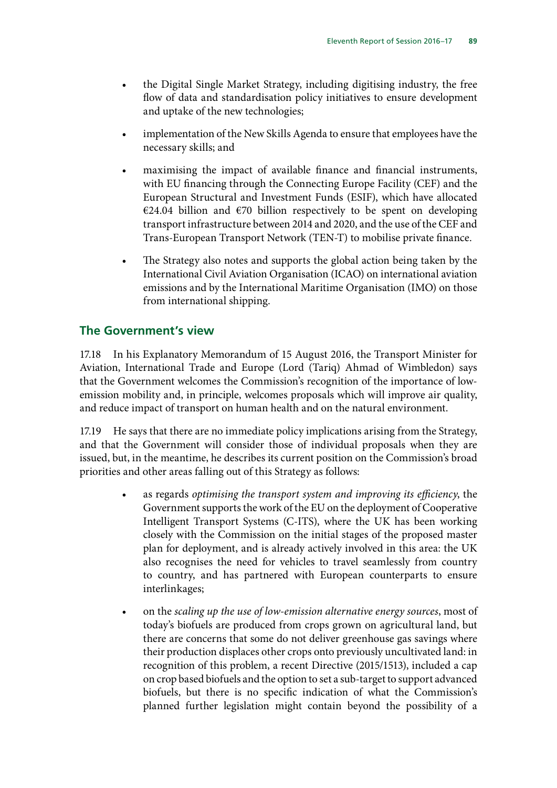- the Digital Single Market Strategy, including digitising industry, the free flow of data and standardisation policy initiatives to ensure development and uptake of the new technologies;
- implementation of the New Skills Agenda to ensure that employees have the necessary skills; and
- maximising the impact of available finance and financial instruments, with EU financing through the Connecting Europe Facility (CEF) and the European Structural and Investment Funds (ESIF), which have allocated €24.04 billion and €70 billion respectively to be spent on developing transport infrastructure between 2014 and 2020, and the use of the CEF and Trans-European Transport Network (TEN-T) to mobilise private finance.
- The Strategy also notes and supports the global action being taken by the International Civil Aviation Organisation (ICAO) on international aviation emissions and by the International Maritime Organisation (IMO) on those from international shipping.

## **The Government's view**

17.18 In his Explanatory Memorandum of 15 August 2016, the Transport Minister for Aviation, International Trade and Europe (Lord (Tariq) Ahmad of Wimbledon) says that the Government welcomes the Commission's recognition of the importance of lowemission mobility and, in principle, welcomes proposals which will improve air quality, and reduce impact of transport on human health and on the natural environment.

17.19 He says that there are no immediate policy implications arising from the Strategy, and that the Government will consider those of individual proposals when they are issued, but, in the meantime, he describes its current position on the Commission's broad priorities and other areas falling out of this Strategy as follows:

- as regards *optimising the transport system and improving its efficiency*, the Government supports the work of the EU on the deployment of Cooperative Intelligent Transport Systems (C-ITS), where the UK has been working closely with the Commission on the initial stages of the proposed master plan for deployment, and is already actively involved in this area: the UK also recognises the need for vehicles to travel seamlessly from country to country, and has partnered with European counterparts to ensure interlinkages;
- on the *scaling up the use of low-emission alternative energy sources*, most of today's biofuels are produced from crops grown on agricultural land, but there are concerns that some do not deliver greenhouse gas savings where their production displaces other crops onto previously uncultivated land: in recognition of this problem, a recent Directive (2015/1513), included a cap on crop based biofuels and the option to set a sub-target to support advanced biofuels, but there is no specific indication of what the Commission's planned further legislation might contain beyond the possibility of a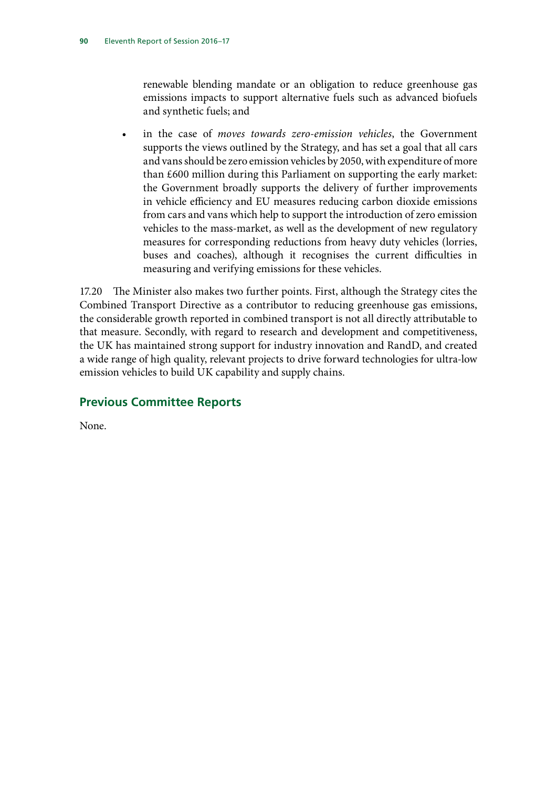renewable blending mandate or an obligation to reduce greenhouse gas emissions impacts to support alternative fuels such as advanced biofuels and synthetic fuels; and

• in the case of *moves towards zero-emission vehicles*, the Government supports the views outlined by the Strategy, and has set a goal that all cars and vans should be zero emission vehicles by 2050, with expenditure of more than £600 million during this Parliament on supporting the early market: the Government broadly supports the delivery of further improvements in vehicle efficiency and EU measures reducing carbon dioxide emissions from cars and vans which help to support the introduction of zero emission vehicles to the mass-market, as well as the development of new regulatory measures for corresponding reductions from heavy duty vehicles (lorries, buses and coaches), although it recognises the current difficulties in measuring and verifying emissions for these vehicles.

17.20 The Minister also makes two further points. First, although the Strategy cites the Combined Transport Directive as a contributor to reducing greenhouse gas emissions, the considerable growth reported in combined transport is not all directly attributable to that measure. Secondly, with regard to research and development and competitiveness, the UK has maintained strong support for industry innovation and RandD, and created a wide range of high quality, relevant projects to drive forward technologies for ultra-low emission vehicles to build UK capability and supply chains.

# **Previous Committee Reports**

None.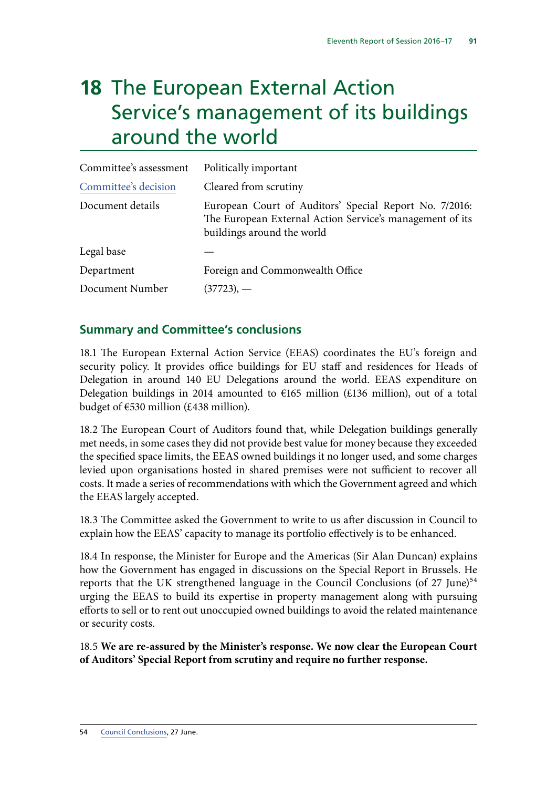# **18** The European External Action Service's management of its buildings around the world

| Committee's assessment | Politically important                                                                                                                            |
|------------------------|--------------------------------------------------------------------------------------------------------------------------------------------------|
| Committee's decision   | Cleared from scrutiny                                                                                                                            |
| Document details       | European Court of Auditors' Special Report No. 7/2016:<br>The European External Action Service's management of its<br>buildings around the world |
| Legal base             |                                                                                                                                                  |
| Department             | Foreign and Commonwealth Office                                                                                                                  |
| Document Number        | $(37723)$ , —                                                                                                                                    |

## **Summary and Committee's conclusions**

18.1 The European External Action Service (EEAS) coordinates the EU's foreign and security policy. It provides office buildings for EU staff and residences for Heads of Delegation in around 140 EU Delegations around the world. EEAS expenditure on Delegation buildings in 2014 amounted to  $E$ 165 million (£136 million), out of a total budget of  $\epsilon$ 530 million (£438 million).

18.2 The European Court of Auditors found that, while Delegation buildings generally met needs, in some cases they did not provide best value for money because they exceeded the specified space limits, the EEAS owned buildings it no longer used, and some charges levied upon organisations hosted in shared premises were not sufficient to recover all costs. It made a series of recommendations with which the Government agreed and which the EEAS largely accepted.

18.3 The Committee asked the Government to write to us after discussion in Council to explain how the EEAS' capacity to manage its portfolio effectively is to be enhanced.

18.4 In response, the Minister for Europe and the Americas (Sir Alan Duncan) explains how the Government has engaged in discussions on the Special Report in Brussels. He reports that the UK strengthened language in the Council Conclusions (of  $27 \text{ June}$ )<sup>54</sup> urging the EEAS to build its expertise in property management along with pursuing efforts to sell or to rent out unoccupied owned buildings to avoid the related maintenance or security costs.

18.5 **We are re-assured by the Minister's response. We now clear the European Court of Auditors' Special Report from scrutiny and require no further response.**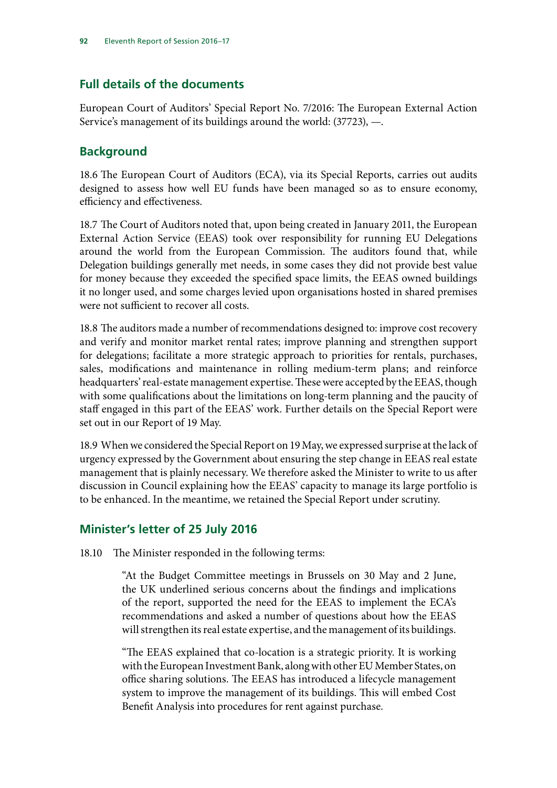# **Full details of the documents**

European Court of Auditors' Special Report No. 7/2016: The European External Action Service's management of its buildings around the world: (37723), —.

## **Background**

18.6 The European Court of Auditors (ECA), via its Special Reports, carries out audits designed to assess how well EU funds have been managed so as to ensure economy, efficiency and effectiveness.

18.7 The Court of Auditors noted that, upon being created in January 2011, the European External Action Service (EEAS) took over responsibility for running EU Delegations around the world from the European Commission. The auditors found that, while Delegation buildings generally met needs, in some cases they did not provide best value for money because they exceeded the specified space limits, the EEAS owned buildings it no longer used, and some charges levied upon organisations hosted in shared premises were not sufficient to recover all costs.

18.8 The auditors made a number of recommendations designed to: improve cost recovery and verify and monitor market rental rates; improve planning and strengthen support for delegations; facilitate a more strategic approach to priorities for rentals, purchases, sales, modifications and maintenance in rolling medium-term plans; and reinforce headquarters' real-estate management expertise. These were accepted by the EEAS, though with some qualifications about the limitations on long-term planning and the paucity of staff engaged in this part of the EEAS' work. Further details on the Special Report were set out in our Report of 19 May.

18.9 When we considered the Special Report on 19 May, we expressed surprise at the lack of urgency expressed by the Government about ensuring the step change in EEAS real estate management that is plainly necessary. We therefore asked the Minister to write to us after discussion in Council explaining how the EEAS' capacity to manage its large portfolio is to be enhanced. In the meantime, we retained the Special Report under scrutiny.

## **Minister's letter of 25 July 2016**

18.10 The Minister responded in the following terms:

"At the Budget Committee meetings in Brussels on 30 May and 2 June, the UK underlined serious concerns about the findings and implications of the report, supported the need for the EEAS to implement the ECA's recommendations and asked a number of questions about how the EEAS will strengthen its real estate expertise, and the management of its buildings.

"The EEAS explained that co-location is a strategic priority. It is working with the European Investment Bank, along with other EU Member States, on office sharing solutions. The EEAS has introduced a lifecycle management system to improve the management of its buildings. This will embed Cost Benefit Analysis into procedures for rent against purchase.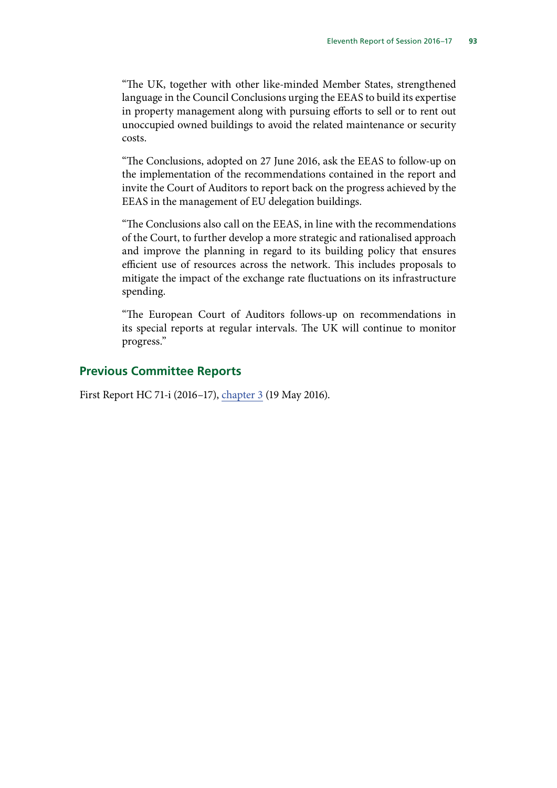"The UK, together with other like-minded Member States, strengthened language in the Council Conclusions urging the EEAS to build its expertise in property management along with pursuing efforts to sell or to rent out unoccupied owned buildings to avoid the related maintenance or security costs.

"The Conclusions, adopted on 27 June 2016, ask the EEAS to follow-up on the implementation of the recommendations contained in the report and invite the Court of Auditors to report back on the progress achieved by the EEAS in the management of EU delegation buildings.

"The Conclusions also call on the EEAS, in line with the recommendations of the Court, to further develop a more strategic and rationalised approach and improve the planning in regard to its building policy that ensures efficient use of resources across the network. This includes proposals to mitigate the impact of the exchange rate fluctuations on its infrastructure spending.

"The European Court of Auditors follows-up on recommendations in its special reports at regular intervals. The UK will continue to monitor progress."

#### **Previous Committee Reports**

First Report HC 71-i (2016–17), chapter 3 (19 May 2016).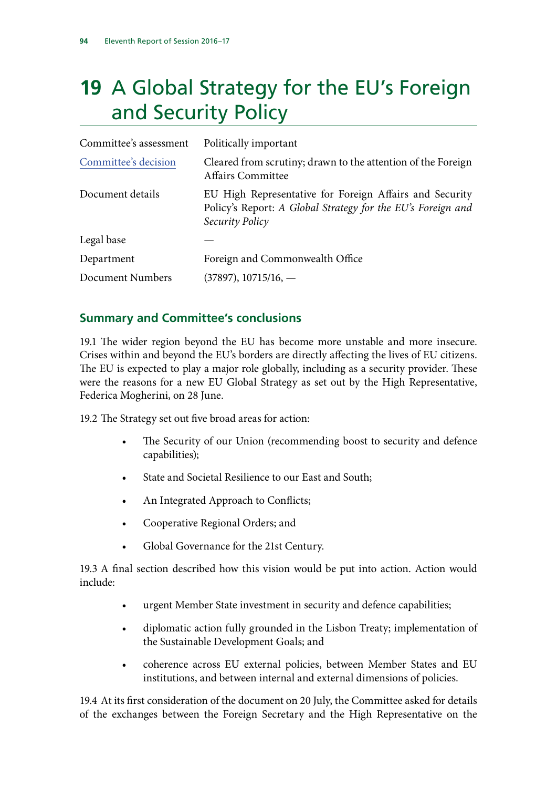# **19** A Global Strategy for the EU's Foreign and Security Policy

| Committee's assessment | Politically important                                                                                                                     |
|------------------------|-------------------------------------------------------------------------------------------------------------------------------------------|
| Committee's decision   | Cleared from scrutiny; drawn to the attention of the Foreign<br><b>Affairs Committee</b>                                                  |
| Document details       | EU High Representative for Foreign Affairs and Security<br>Policy's Report: A Global Strategy for the EU's Foreign and<br>Security Policy |
| Legal base             |                                                                                                                                           |
| Department             | Foreign and Commonwealth Office                                                                                                           |
| Document Numbers       | $(37897), 10715/16, -$                                                                                                                    |

# **Summary and Committee's conclusions**

19.1 The wider region beyond the EU has become more unstable and more insecure. Crises within and beyond the EU's borders are directly affecting the lives of EU citizens. The EU is expected to play a major role globally, including as a security provider. These were the reasons for a new EU Global Strategy as set out by the High Representative, Federica Mogherini, on 28 June.

19.2 The Strategy set out five broad areas for action:

- The Security of our Union (recommending boost to security and defence capabilities);
- State and Societal Resilience to our East and South;
- An Integrated Approach to Conflicts;
- Cooperative Regional Orders; and
- Global Governance for the 21st Century.

19.3 A final section described how this vision would be put into action. Action would include:

- urgent Member State investment in security and defence capabilities;
- diplomatic action fully grounded in the Lisbon Treaty; implementation of the Sustainable Development Goals; and
- coherence across EU external policies, between Member States and EU institutions, and between internal and external dimensions of policies.

19.4 At its first consideration of the document on 20 July, the Committee asked for details of the exchanges between the Foreign Secretary and the High Representative on the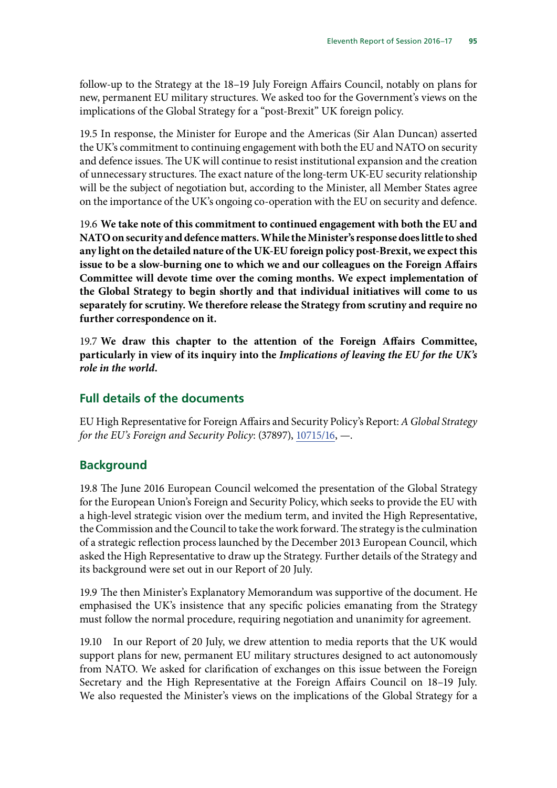follow-up to the Strategy at the 18–19 July Foreign Affairs Council, notably on plans for new, permanent EU military structures. We asked too for the Government's views on the implications of the Global Strategy for a "post-Brexit" UK foreign policy.

19.5 In response, the Minister for Europe and the Americas (Sir Alan Duncan) asserted the UK's commitment to continuing engagement with both the EU and NATO on security and defence issues. The UK will continue to resist institutional expansion and the creation of unnecessary structures. The exact nature of the long-term UK-EU security relationship will be the subject of negotiation but, according to the Minister, all Member States agree on the importance of the UK's ongoing co-operation with the EU on security and defence.

19.6 **We take note of this commitment to continued engagement with both the EU and NATO on security and defence matters. While the Minister's response does little to shed any light on the detailed nature of the UK-EU foreign policy post-Brexit, we expect this issue to be a slow-burning one to which we and our colleagues on the Foreign Affairs Committee will devote time over the coming months. We expect implementation of the Global Strategy to begin shortly and that individual initiatives will come to us separately for scrutiny. We therefore release the Strategy from scrutiny and require no further correspondence on it.**

19.7 **We draw this chapter to the attention of the Foreign Affairs Committee, particularly in view of its inquiry into the** *Implications of leaving the EU for the UK's role in the world***.**

#### **Full details of the documents**

EU High Representative for Foreign Affairs and Security Policy's Report: *A Global Strategy for the EU's Foreign and Security Policy*: (37897), [10715/16](http://data.consilium.europa.eu/doc/document/ST-10715-2016-INIT/en/pdf), —.

#### **Background**

19.8 The June 2016 European Council welcomed the presentation of the Global Strategy for the European Union's Foreign and Security Policy, which seeks to provide the EU with a high-level strategic vision over the medium term, and invited the High Representative, the Commission and the Council to take the work forward. The strategy is the culmination of a strategic reflection process launched by the December 2013 European Council, which asked the High Representative to draw up the Strategy. Further details of the Strategy and its background were set out in our Report of 20 July.

19.9 The then Minister's Explanatory Memorandum was supportive of the document. He emphasised the UK's insistence that any specific policies emanating from the Strategy must follow the normal procedure, requiring negotiation and unanimity for agreement.

19.10 In our Report of 20 July, we drew attention to media reports that the UK would support plans for new, permanent EU military structures designed to act autonomously from NATO. We asked for clarification of exchanges on this issue between the Foreign Secretary and the High Representative at the Foreign Affairs Council on 18–19 July. We also requested the Minister's views on the implications of the Global Strategy for a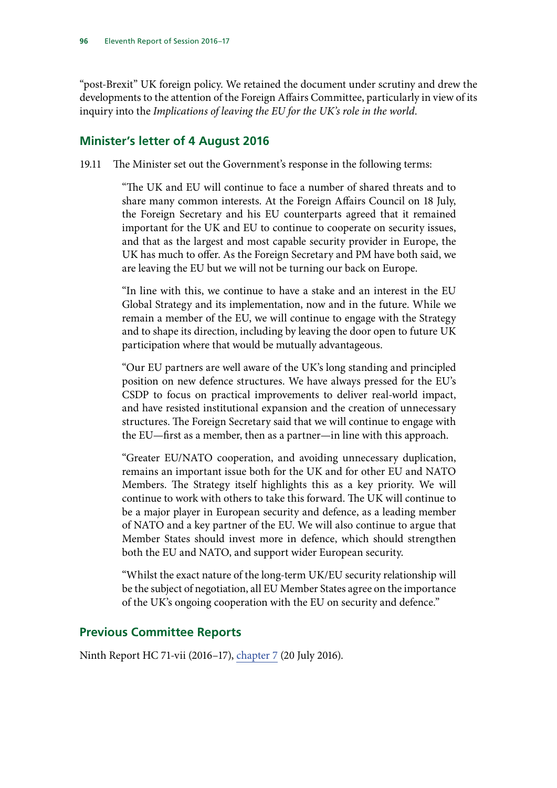"post-Brexit" UK foreign policy. We retained the document under scrutiny and drew the developments to the attention of the Foreign Affairs Committee, particularly in view of its inquiry into the *Implications of leaving the EU for the UK's role in the world*.

## **Minister's letter of 4 August 2016**

19.11 The Minister set out the Government's response in the following terms:

"The UK and EU will continue to face a number of shared threats and to share many common interests. At the Foreign Affairs Council on 18 July, the Foreign Secretary and his EU counterparts agreed that it remained important for the UK and EU to continue to cooperate on security issues, and that as the largest and most capable security provider in Europe, the UK has much to offer. As the Foreign Secretary and PM have both said, we are leaving the EU but we will not be turning our back on Europe.

"In line with this, we continue to have a stake and an interest in the EU Global Strategy and its implementation, now and in the future. While we remain a member of the EU, we will continue to engage with the Strategy and to shape its direction, including by leaving the door open to future UK participation where that would be mutually advantageous.

"Our EU partners are well aware of the UK's long standing and principled position on new defence structures. We have always pressed for the EU's CSDP to focus on practical improvements to deliver real-world impact, and have resisted institutional expansion and the creation of unnecessary structures. The Foreign Secretary said that we will continue to engage with the EU—first as a member, then as a partner—in line with this approach.

"Greater EU/NATO cooperation, and avoiding unnecessary duplication, remains an important issue both for the UK and for other EU and NATO Members. The Strategy itself highlights this as a key priority. We will continue to work with others to take this forward. The UK will continue to be a major player in European security and defence, as a leading member of NATO and a key partner of the EU. We will also continue to argue that Member States should invest more in defence, which should strengthen both the EU and NATO, and support wider European security.

"Whilst the exact nature of the long-term UK/EU security relationship will be the subject of negotiation, all EU Member States agree on the importance of the UK's ongoing cooperation with the EU on security and defence."

# **Previous Committee Reports**

Ninth Report HC 71-vii (2016–17), chapter 7 (20 July 2016).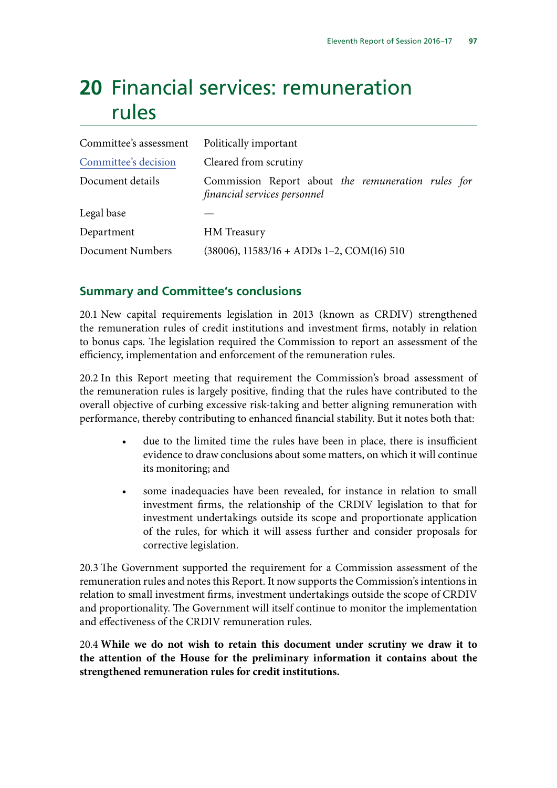# **20** Financial services: remuneration rules

| Committee's assessment | Politically important                                                              |
|------------------------|------------------------------------------------------------------------------------|
| Committee's decision   | Cleared from scrutiny                                                              |
| Document details       | Commission Report about the remuneration rules for<br>financial services personnel |
| Legal base             |                                                                                    |
| Department             | HM Treasury                                                                        |
| Document Numbers       | $(38006)$ , 11583/16 + ADDs 1–2, COM(16) 510                                       |

## **Summary and Committee's conclusions**

20.1 New capital requirements legislation in 2013 (known as CRDIV) strengthened the remuneration rules of credit institutions and investment firms, notably in relation to bonus caps. The legislation required the Commission to report an assessment of the efficiency, implementation and enforcement of the remuneration rules.

20.2 In this Report meeting that requirement the Commission's broad assessment of the remuneration rules is largely positive, finding that the rules have contributed to the overall objective of curbing excessive risk-taking and better aligning remuneration with performance, thereby contributing to enhanced financial stability. But it notes both that:

- due to the limited time the rules have been in place, there is insufficient evidence to draw conclusions about some matters, on which it will continue its monitoring; and
- some inadequacies have been revealed, for instance in relation to small investment firms, the relationship of the CRDIV legislation to that for investment undertakings outside its scope and proportionate application of the rules, for which it will assess further and consider proposals for corrective legislation.

20.3 The Government supported the requirement for a Commission assessment of the remuneration rules and notes this Report. It now supports the Commission's intentions in relation to small investment firms, investment undertakings outside the scope of CRDIV and proportionality. The Government will itself continue to monitor the implementation and effectiveness of the CRDIV remuneration rules.

20.4 **While we do not wish to retain this document under scrutiny we draw it to the attention of the House for the preliminary information it contains about the strengthened remuneration rules for credit institutions.**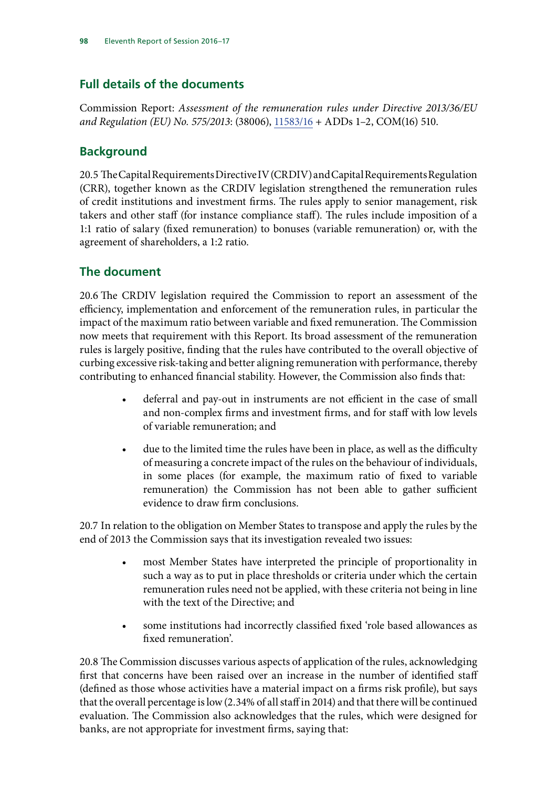# **Full details of the documents**

Commission Report: *Assessment of the remuneration rules under Directive 2013/36/EU and Regulation (EU) No. 575/2013*: (38006), [11583/16](http://data.consilium.europa.eu/doc/document/ST-11583-2016-INIT/en/pdf) + ADDs 1–2, COM(16) 510.

# **Background**

20.5 The Capital Requirements Directive IV (CRDIV) and Capital Requirements Regulation (CRR), together known as the CRDIV legislation strengthened the remuneration rules of credit institutions and investment firms. The rules apply to senior management, risk takers and other staff (for instance compliance staff). The rules include imposition of a 1:1 ratio of salary (fixed remuneration) to bonuses (variable remuneration) or, with the agreement of shareholders, a 1:2 ratio.

# **The document**

20.6 The CRDIV legislation required the Commission to report an assessment of the efficiency, implementation and enforcement of the remuneration rules, in particular the impact of the maximum ratio between variable and fixed remuneration. The Commission now meets that requirement with this Report. Its broad assessment of the remuneration rules is largely positive, finding that the rules have contributed to the overall objective of curbing excessive risk-taking and better aligning remuneration with performance, thereby contributing to enhanced financial stability. However, the Commission also finds that:

- deferral and pay-out in instruments are not efficient in the case of small and non-complex firms and investment firms, and for staff with low levels of variable remuneration; and
- due to the limited time the rules have been in place, as well as the difficulty of measuring a concrete impact of the rules on the behaviour of individuals, in some places (for example, the maximum ratio of fixed to variable remuneration) the Commission has not been able to gather sufficient evidence to draw firm conclusions.

20.7 In relation to the obligation on Member States to transpose and apply the rules by the end of 2013 the Commission says that its investigation revealed two issues:

- most Member States have interpreted the principle of proportionality in such a way as to put in place thresholds or criteria under which the certain remuneration rules need not be applied, with these criteria not being in line with the text of the Directive; and
- some institutions had incorrectly classified fixed 'role based allowances as fixed remuneration'.

20.8 The Commission discusses various aspects of application of the rules, acknowledging first that concerns have been raised over an increase in the number of identified staff (defined as those whose activities have a material impact on a firms risk profile), but says that the overall percentage is low (2.34% of all staff in 2014) and that there will be continued evaluation. The Commission also acknowledges that the rules, which were designed for banks, are not appropriate for investment firms, saying that: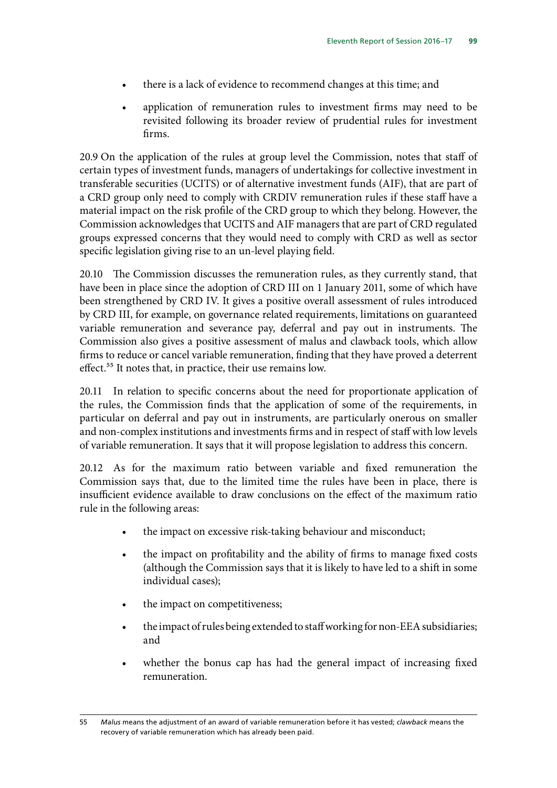- there is a lack of evidence to recommend changes at this time; and
- application of remuneration rules to investment firms may need to be revisited following its broader review of prudential rules for investment firms.

20.9 On the application of the rules at group level the Commission, notes that staff of certain types of investment funds, managers of undertakings for collective investment in transferable securities (UCITS) or of alternative investment funds (AIF), that are part of a CRD group only need to comply with CRDIV remuneration rules if these staff have a material impact on the risk profile of the CRD group to which they belong. However, the Commission acknowledges that UCITS and AIF managers that are part of CRD regulated groups expressed concerns that they would need to comply with CRD as well as sector specific legislation giving rise to an un-level playing field.

20.10 The Commission discusses the remuneration rules, as they currently stand, that have been in place since the adoption of CRD III on 1 January 2011, some of which have been strengthened by CRD IV. It gives a positive overall assessment of rules introduced by CRD III, for example, on governance related requirements, limitations on guaranteed variable remuneration and severance pay, deferral and pay out in instruments. The Commission also gives a positive assessment of malus and clawback tools, which allow firms to reduce or cancel variable remuneration, finding that they have proved a deterrent effect.<sup>55</sup> It notes that, in practice, their use remains low.

20.11 In relation to specific concerns about the need for proportionate application of the rules, the Commission finds that the application of some of the requirements, in particular on deferral and pay out in instruments, are particularly onerous on smaller and non-complex institutions and investments firms and in respect of staff with low levels of variable remuneration. It says that it will propose legislation to address this concern.

20.12 As for the maximum ratio between variable and fixed remuneration the Commission says that, due to the limited time the rules have been in place, there is insufficient evidence available to draw conclusions on the effect of the maximum ratio rule in the following areas:

- the impact on excessive risk-taking behaviour and misconduct;
- the impact on profitability and the ability of firms to manage fixed costs (although the Commission says that it is likely to have led to a shift in some individual cases);
- the impact on competitiveness;
- the impact of rules being extended to staff working for non-EEA subsidiaries; and
- whether the bonus cap has had the general impact of increasing fixed remuneration.

<sup>55</sup> *Malus* means the adjustment of an award of variable remuneration before it has vested; *clawback* means the recovery of variable remuneration which has already been paid.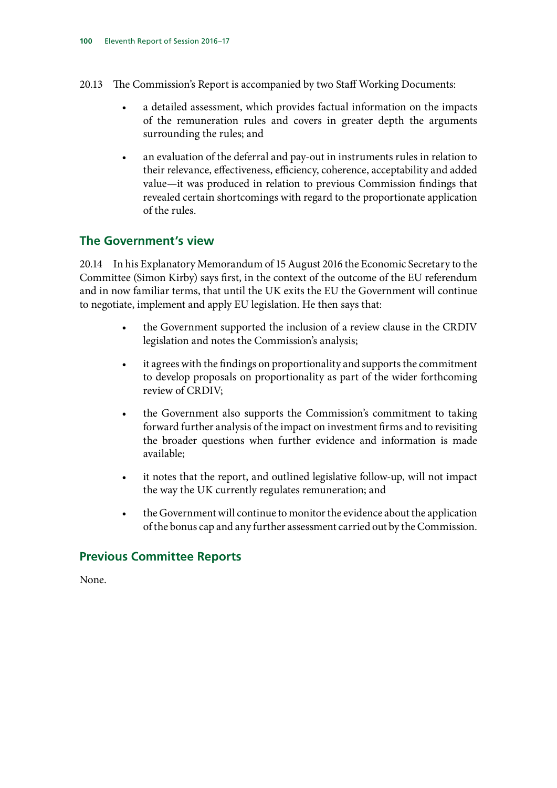- 20.13 The Commission's Report is accompanied by two Staff Working Documents:
	- a detailed assessment, which provides factual information on the impacts of the remuneration rules and covers in greater depth the arguments surrounding the rules; and
	- an evaluation of the deferral and pay-out in instruments rules in relation to their relevance, effectiveness, efficiency, coherence, acceptability and added value—it was produced in relation to previous Commission findings that revealed certain shortcomings with regard to the proportionate application of the rules.

#### **The Government's view**

20.14 In his Explanatory Memorandum of 15 August 2016 the Economic Secretary to the Committee (Simon Kirby) says first, in the context of the outcome of the EU referendum and in now familiar terms, that until the UK exits the EU the Government will continue to negotiate, implement and apply EU legislation. He then says that:

- the Government supported the inclusion of a review clause in the CRDIV legislation and notes the Commission's analysis;
- it agrees with the findings on proportionality and supports the commitment to develop proposals on proportionality as part of the wider forthcoming review of CRDIV;
- the Government also supports the Commission's commitment to taking forward further analysis of the impact on investment firms and to revisiting the broader questions when further evidence and information is made available;
- it notes that the report, and outlined legislative follow-up, will not impact the way the UK currently regulates remuneration; and
- the Government will continue to monitor the evidence about the application of the bonus cap and any further assessment carried out by the Commission.

#### **Previous Committee Reports**

None.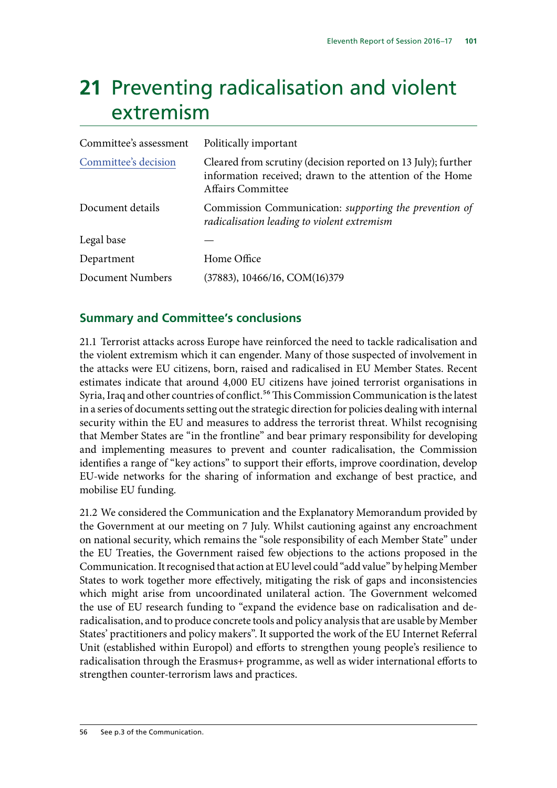# **21** Preventing radicalisation and violent extremism

| Committee's assessment | Politically important                                                                                                                                 |
|------------------------|-------------------------------------------------------------------------------------------------------------------------------------------------------|
| Committee's decision   | Cleared from scrutiny (decision reported on 13 July); further<br>information received; drawn to the attention of the Home<br><b>Affairs Committee</b> |
| Document details       | Commission Communication: supporting the prevention of<br>radicalisation leading to violent extremism                                                 |
| Legal base             |                                                                                                                                                       |
| Department             | Home Office                                                                                                                                           |
| Document Numbers       | (37883), 10466/16, COM(16)379                                                                                                                         |

## **Summary and Committee's conclusions**

21.1 Terrorist attacks across Europe have reinforced the need to tackle radicalisation and the violent extremism which it can engender. Many of those suspected of involvement in the attacks were EU citizens, born, raised and radicalised in EU Member States. Recent estimates indicate that around 4,000 EU citizens have joined terrorist organisations in Syria, Iraq and other countries of conflict.<sup>56</sup> This Commission Communication is the latest in a series of documents setting out the strategic direction for policies dealing with internal security within the EU and measures to address the terrorist threat. Whilst recognising that Member States are "in the frontline" and bear primary responsibility for developing and implementing measures to prevent and counter radicalisation, the Commission identifies a range of "key actions" to support their efforts, improve coordination, develop EU-wide networks for the sharing of information and exchange of best practice, and mobilise EU funding.

21.2 We considered the Communication and the Explanatory Memorandum provided by the Government at our meeting on 7 July. Whilst cautioning against any encroachment on national security, which remains the "sole responsibility of each Member State" under the EU Treaties, the Government raised few objections to the actions proposed in the Communication. It recognised that action at EU level could "add value" by helping Member States to work together more effectively, mitigating the risk of gaps and inconsistencies which might arise from uncoordinated unilateral action. The Government welcomed the use of EU research funding to "expand the evidence base on radicalisation and deradicalisation, and to produce concrete tools and policy analysis that are usable by Member States' practitioners and policy makers". It supported the work of the EU Internet Referral Unit (established within Europol) and efforts to strengthen young people's resilience to radicalisation through the Erasmus+ programme, as well as wider international efforts to strengthen counter-terrorism laws and practices.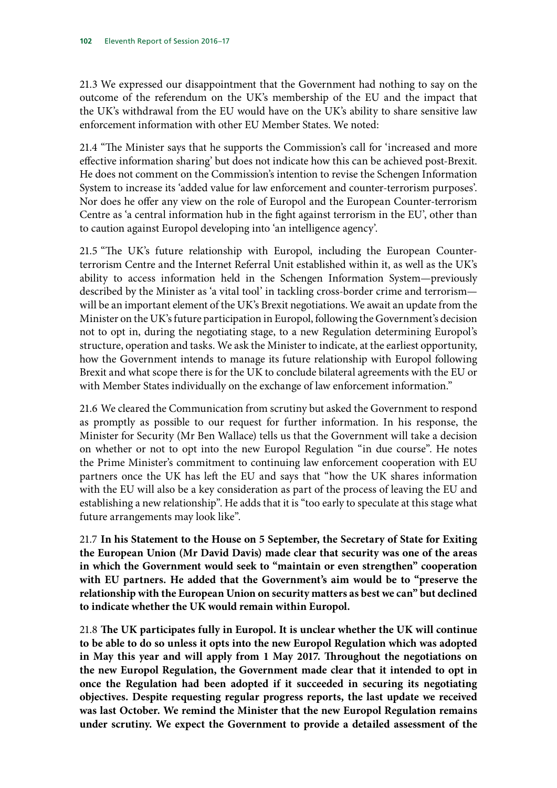21.3 We expressed our disappointment that the Government had nothing to say on the outcome of the referendum on the UK's membership of the EU and the impact that the UK's withdrawal from the EU would have on the UK's ability to share sensitive law enforcement information with other EU Member States. We noted:

21.4 "The Minister says that he supports the Commission's call for 'increased and more effective information sharing' but does not indicate how this can be achieved post-Brexit. He does not comment on the Commission's intention to revise the Schengen Information System to increase its 'added value for law enforcement and counter-terrorism purposes'. Nor does he offer any view on the role of Europol and the European Counter-terrorism Centre as 'a central information hub in the fight against terrorism in the EU', other than to caution against Europol developing into 'an intelligence agency'.

21.5 "The UK's future relationship with Europol, including the European Counterterrorism Centre and the Internet Referral Unit established within it, as well as the UK's ability to access information held in the Schengen Information System—previously described by the Minister as 'a vital tool' in tackling cross-border crime and terrorism will be an important element of the UK's Brexit negotiations. We await an update from the Minister on the UK's future participation in Europol, following the Government's decision not to opt in, during the negotiating stage, to a new Regulation determining Europol's structure, operation and tasks. We ask the Minister to indicate, at the earliest opportunity, how the Government intends to manage its future relationship with Europol following Brexit and what scope there is for the UK to conclude bilateral agreements with the EU or with Member States individually on the exchange of law enforcement information."

21.6 We cleared the Communication from scrutiny but asked the Government to respond as promptly as possible to our request for further information. In his response, the Minister for Security (Mr Ben Wallace) tells us that the Government will take a decision on whether or not to opt into the new Europol Regulation "in due course". He notes the Prime Minister's commitment to continuing law enforcement cooperation with EU partners once the UK has left the EU and says that "how the UK shares information with the EU will also be a key consideration as part of the process of leaving the EU and establishing a new relationship". He adds that it is "too early to speculate at this stage what future arrangements may look like".

21.7 **In his Statement to the House on 5 September, the Secretary of State for Exiting the European Union (Mr David Davis) made clear that security was one of the areas in which the Government would seek to "maintain or even strengthen" cooperation with EU partners. He added that the Government's aim would be to "preserve the relationship with the European Union on security matters as best we can" but declined to indicate whether the UK would remain within Europol.**

21.8 **The UK participates fully in Europol. It is unclear whether the UK will continue to be able to do so unless it opts into the new Europol Regulation which was adopted in May this year and will apply from 1 May 2017. Throughout the negotiations on the new Europol Regulation, the Government made clear that it intended to opt in once the Regulation had been adopted if it succeeded in securing its negotiating objectives. Despite requesting regular progress reports, the last update we received was last October. We remind the Minister that the new Europol Regulation remains under scrutiny. We expect the Government to provide a detailed assessment of the**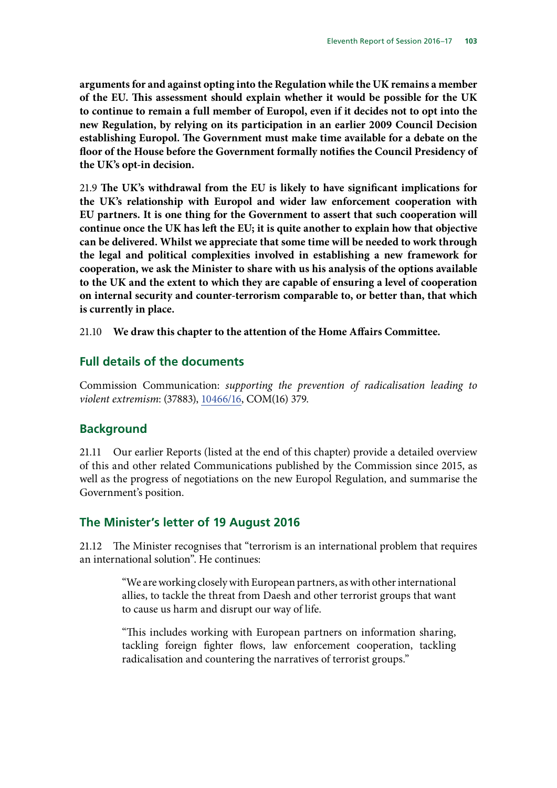**arguments for and against opting into the Regulation while the UK remains a member of the EU. This assessment should explain whether it would be possible for the UK to continue to remain a full member of Europol, even if it decides not to opt into the new Regulation, by relying on its participation in an earlier 2009 Council Decision establishing Europol. The Government must make time available for a debate on the floor of the House before the Government formally notifies the Council Presidency of the UK's opt-in decision.**

21.9 **The UK's withdrawal from the EU is likely to have significant implications for the UK's relationship with Europol and wider law enforcement cooperation with EU partners. It is one thing for the Government to assert that such cooperation will continue once the UK has left the EU; it is quite another to explain how that objective can be delivered. Whilst we appreciate that some time will be needed to work through the legal and political complexities involved in establishing a new framework for cooperation, we ask the Minister to share with us his analysis of the options available to the UK and the extent to which they are capable of ensuring a level of cooperation on internal security and counter-terrorism comparable to, or better than, that which is currently in place.**

21.10 **We draw this chapter to the attention of the Home Affairs Committee.**

#### **Full details of the documents**

Commission Communication: *supporting the prevention of radicalisation leading to violent extremism*: (37883), [10466/16,](http://data.consilium.europa.eu/doc/document/ST-10466-2016-INIT/en/pdf) COM(16) 379.

## **Background**

21.11 Our earlier Reports (listed at the end of this chapter) provide a detailed overview of this and other related Communications published by the Commission since 2015, as well as the progress of negotiations on the new Europol Regulation, and summarise the Government's position.

#### **The Minister's letter of 19 August 2016**

21.12 The Minister recognises that "terrorism is an international problem that requires an international solution". He continues:

> "We are working closely with European partners, as with other international allies, to tackle the threat from Daesh and other terrorist groups that want to cause us harm and disrupt our way of life.

> "This includes working with European partners on information sharing, tackling foreign fighter flows, law enforcement cooperation, tackling radicalisation and countering the narratives of terrorist groups."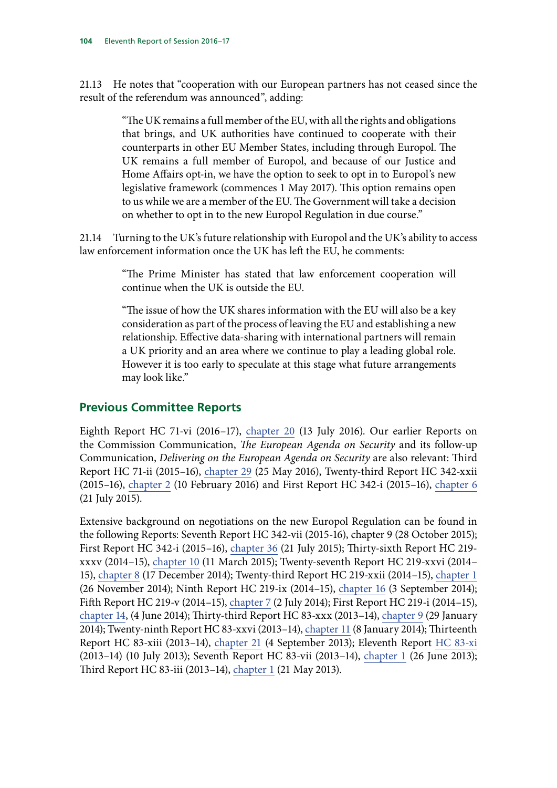21.13 He notes that "cooperation with our European partners has not ceased since the result of the referendum was announced", adding:

> "The UK remains a full member of the EU, with all the rights and obligations that brings, and UK authorities have continued to cooperate with their counterparts in other EU Member States, including through Europol. The UK remains a full member of Europol, and because of our Justice and Home Affairs opt-in, we have the option to seek to opt in to Europol's new legislative framework (commences 1 May 2017). This option remains open to us while we are a member of the EU. The Government will take a decision on whether to opt in to the new Europol Regulation in due course."

21.14 Turning to the UK's future relationship with Europol and the UK's ability to access law enforcement information once the UK has left the EU, he comments:

> "The Prime Minister has stated that law enforcement cooperation will continue when the UK is outside the EU.

> "The issue of how the UK shares information with the EU will also be a key consideration as part of the process of leaving the EU and establishing a new relationship. Effective data-sharing with international partners will remain a UK priority and an area where we continue to play a leading global role. However it is too early to speculate at this stage what future arrangements may look like."

## **Previous Committee Reports**

Eighth Report HC 71-vi (2016–17), [chapter 20](http://www.publications.parliament.uk/pa/cm201617/cmselect/cmeuleg/71-vi/7123.htm) (13 July 2016). Our earlier Reports on the Commission Communication, *The European Agenda on Security* and its follow-up Communication, *Delivering on the European Agenda on Security* are also relevant: Third Report HC 71-ii (2015–16), chapter 29 (25 May 2016), Twenty-third Report HC 342-xxii (2015–16), [chapter 2](http://www.publications.parliament.uk/pa/cm201516/cmselect/cmeuleg/342-xxii/34205.htm) (10 February 2016) and First Report HC 342-i (2015–16), [chapter 6](http://www.publications.parliament.uk/pa/cm201516/cmselect/cmeuleg/342-i/34209.htm) (21 July 2015).

Extensive background on negotiations on the new Europol Regulation can be found in the following Reports: Seventh Report HC 342-vii (2015-16), chapter 9 (28 October 2015); First Report HC 342-i (2015–16), [chapter 36](http://www.publications.parliament.uk/pa/cm201516/cmselect/cmeuleg/342-i/34239.htm) (21 July 2015); Thirty-sixth Report HC 219 xxxv (2014–15), [chapter 10](http://www.publications.parliament.uk/pa/cm201415/cmselect/cmeuleg/219-xxxv/21913.htm) (11 March 2015); Twenty-seventh Report HC 219-xxvi (2014– 15), [chapter 8](http://www.publications.parliament.uk/pa/cm201415/cmselect/cmeuleg/219-xxvi/21911.htm) (17 December 2014); Twenty-third Report HC 219-xxii (2014–15), [chapter 1](http://www.publications.parliament.uk/pa/cm201415/cmselect/cmeuleg/219-xxii/21903.htm) (26 November 2014); Ninth Report HC 219-ix (2014–15), [chapter 16](http://www.publications.parliament.uk/pa/cm201415/cmselect/cmeuleg/219-ix/21921.htm) (3 September 2014); Fifth Report HC 219-v (2014–15), [chapter 7](http://www.publications.parliament.uk/pa/cm201415/cmselect/cmeuleg/219-v/21911.htm) (2 July 2014); First Report HC 219-i (2014–15), chapter 14, (4 June 2014); Thirty-third Report HC 83-xxx (2013–14), [chapter 9](http://www.publications.parliament.uk/pa/cm201314/cmselect/cmeuleg/83-xxx/8312.htm) (29 January 2014); Twenty-ninth Report HC 83-xxvi (2013–14), [chapter 11](http://www.publications.parliament.uk/pa/cm201314/cmselect/cmeuleg/83-xxvi/8314.htm) (8 January 2014); Thirteenth Report HC 83-xiii (2013–14), [chapter 21](http://www.publications.parliament.uk/pa/cm201314/cmselect/cmeuleg/83-xiii/8326.htm) (4 September 2013); Eleventh Report [HC 83-xi](http://www.publications.parliament.uk/pa/cm201314/cmselect/cmeuleg/83-xi/8303.htm) (2013–14) (10 July 2013); Seventh Report HC 83-vii (2013–14), [chapter 1](http://www.publications.parliament.uk/pa/cm201314/cmselect/cmeuleg/83-vii/8304.htm) (26 June 2013); Third Report HC 83-iii (2013–14), [chapter 1](http://www.publications.parliament.uk/pa/cm201314/cmselect/cmeuleg/83-iii/8304.htm) (21 May 2013).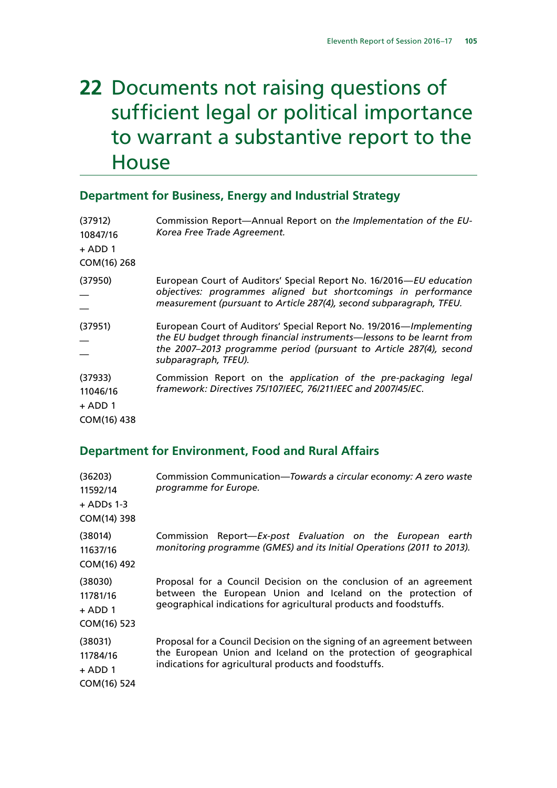## **22** Documents not raising questions of sufficient legal or political importance to warrant a substantive report to the **House**

#### **Department for Business, Energy and Industrial Strategy**

| (37912)<br>10847/16<br>$+$ ADD 1<br>COM(16) 268 | Commission Report-Annual Report on the Implementation of the EU-<br>Korea Free Trade Agreement.                                                                                                                                            |
|-------------------------------------------------|--------------------------------------------------------------------------------------------------------------------------------------------------------------------------------------------------------------------------------------------|
| (37950)                                         | European Court of Auditors' Special Report No. 16/2016-EU education<br>objectives: programmes aligned but shortcomings in performance<br>measurement (pursuant to Article 287(4), second subparagraph, TFEU.                               |
| (37951)                                         | European Court of Auditors' Special Report No. 19/2016—Implementing<br>the EU budget through financial instruments—lessons to be learnt from<br>the 2007–2013 programme period (pursuant to Article 287(4), second<br>subparagraph, TFEU). |
| (37933)<br>11046/16<br>$+$ ADD 1<br>COM(16) 438 | Commission Report on the application of the pre-packaging legal<br>framework: Directives 75/107/EEC, 76/211/EEC and 2007/45/EC.                                                                                                            |

#### **Department for Environment, Food and Rural Affairs**

| (36203)<br>11592/14<br>$+$ ADDs 1-3<br>COM(14) 398 | Commission Communication-Towards a circular economy: A zero waste<br>programme for Europe.                                                                                                             |
|----------------------------------------------------|--------------------------------------------------------------------------------------------------------------------------------------------------------------------------------------------------------|
| (38014)<br>11637/16<br>COM(16) 492                 | Commission Report-Ex-post Evaluation on the European earth<br>monitoring programme (GMES) and its Initial Operations (2011 to 2013).                                                                   |
| (38030)<br>11781/16<br>$+$ ADD 1<br>COM(16) 523    | Proposal for a Council Decision on the conclusion of an agreement<br>between the European Union and Iceland on the protection of<br>geographical indications for agricultural products and foodstuffs. |
| (38031)<br>11784/16<br>$+$ ADD 1<br>COM(16) 524    | Proposal for a Council Decision on the signing of an agreement between<br>the European Union and Iceland on the protection of geographical<br>indications for agricultural products and foodstuffs.    |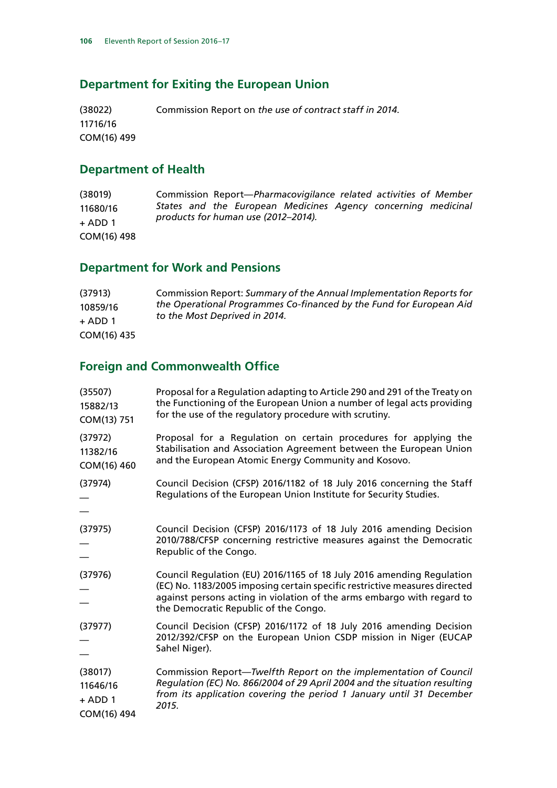### **Department for Exiting the European Union**

(38022) 11716/16 COM(16) 499 Commission Report on *the use of contract staff in 2014.*

#### **Department of Health**

| (38019)     | Commission Report-Pharmacovigilance related activities of Member |
|-------------|------------------------------------------------------------------|
| 11680/16    | States and the European Medicines Agency concerning medicinal    |
| $+$ ADD 1   | products for human use (2012-2014).                              |
| COM(16) 498 |                                                                  |

## **Department for Work and Pensions**

| (37913)     | Commission Report: Summary of the Annual Implementation Reports for |
|-------------|---------------------------------------------------------------------|
| 10859/16    | the Operational Programmes Co-financed by the Fund for European Aid |
| $+$ ADD 1   | to the Most Deprived in 2014.                                       |
| COM(16) 435 |                                                                     |

## **Foreign and Commonwealth Office**

| (35507)<br>15882/13<br>COM(13) 751              | Proposal for a Regulation adapting to Article 290 and 291 of the Treaty on<br>the Functioning of the European Union a number of legal acts providing<br>for the use of the regulatory procedure with scrutiny.                                                         |  |  |
|-------------------------------------------------|------------------------------------------------------------------------------------------------------------------------------------------------------------------------------------------------------------------------------------------------------------------------|--|--|
| (37972)<br>11382/16<br>COM(16) 460              | Proposal for a Regulation on certain procedures for applying the<br>Stabilisation and Association Agreement between the European Union<br>and the European Atomic Energy Community and Kosovo.                                                                         |  |  |
| (37974)                                         | Council Decision (CFSP) 2016/1182 of 18 July 2016 concerning the Staff<br>Regulations of the European Union Institute for Security Studies.                                                                                                                            |  |  |
| (37975)                                         | Council Decision (CFSP) 2016/1173 of 18 July 2016 amending Decision<br>2010/788/CFSP concerning restrictive measures against the Democratic<br>Republic of the Congo.                                                                                                  |  |  |
| (37976)                                         | Council Regulation (EU) 2016/1165 of 18 July 2016 amending Regulation<br>(EC) No. 1183/2005 imposing certain specific restrictive measures directed<br>against persons acting in violation of the arms embargo with regard to<br>the Democratic Republic of the Congo. |  |  |
| (37977)                                         | Council Decision (CFSP) 2016/1172 of 18 July 2016 amending Decision<br>2012/392/CFSP on the European Union CSDP mission in Niger (EUCAP<br>Sahel Niger).                                                                                                               |  |  |
| (38017)<br>11646/16<br>$+$ ADD 1<br>COM(16) 494 | Commission Report-Twelfth Report on the implementation of Council<br>Regulation (EC) No. 866/2004 of 29 April 2004 and the situation resulting<br>from its application covering the period 1 January until 31 December<br>2015.                                        |  |  |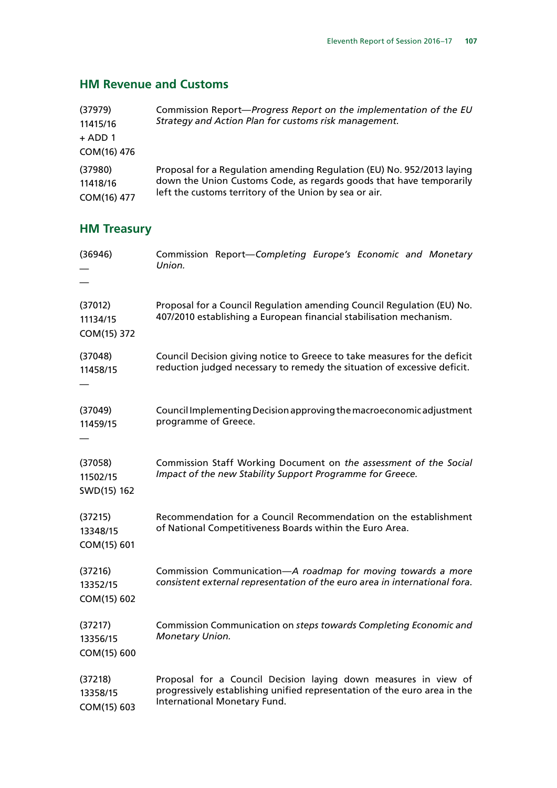#### **HM Revenue and Customs**

| (37979)<br>11415/16<br>$+$ ADD 1<br>COM(16) 476 | Commission Report-Progress Report on the implementation of the EU<br>Strategy and Action Plan for customs risk management. |
|-------------------------------------------------|----------------------------------------------------------------------------------------------------------------------------|
| (37980)                                         | Proposal for a Regulation amending Regulation (EU) No. 952/2013 laying                                                     |
| 11418/16                                        | down the Union Customs Code, as regards goods that have temporarily                                                        |
| COM(16) 477                                     | left the customs territory of the Union by sea or air.                                                                     |

## **HM Treasury**

| (36946)                            | Commission Report-Completing Europe's Economic and Monetary<br>Union.                                                                                                        |  |  |  |
|------------------------------------|------------------------------------------------------------------------------------------------------------------------------------------------------------------------------|--|--|--|
| (37012)<br>11134/15<br>COM(15) 372 | Proposal for a Council Regulation amending Council Regulation (EU) No.<br>407/2010 establishing a European financial stabilisation mechanism.                                |  |  |  |
| (37048)<br>11458/15                | Council Decision giving notice to Greece to take measures for the deficit<br>reduction judged necessary to remedy the situation of excessive deficit.                        |  |  |  |
| (37049)<br>11459/15                | Council Implementing Decision approving the macroeconomic adjustment<br>programme of Greece.                                                                                 |  |  |  |
| (37058)<br>11502/15<br>SWD(15) 162 | Commission Staff Working Document on the assessment of the Social<br>Impact of the new Stability Support Programme for Greece.                                               |  |  |  |
| (37215)<br>13348/15<br>COM(15) 601 | Recommendation for a Council Recommendation on the establishment<br>of National Competitiveness Boards within the Euro Area.                                                 |  |  |  |
| (37216)<br>13352/15<br>COM(15) 602 | Commission Communication-A roadmap for moving towards a more<br>consistent external representation of the euro area in international fora.                                   |  |  |  |
| (37217)<br>13356/15<br>COM(15) 600 | Commission Communication on steps towards Completing Economic and<br>Monetary Union.                                                                                         |  |  |  |
| (37218)<br>13358/15<br>COM(15) 603 | Proposal for a Council Decision laying down measures in view of<br>progressively establishing unified representation of the euro area in the<br>International Monetary Fund. |  |  |  |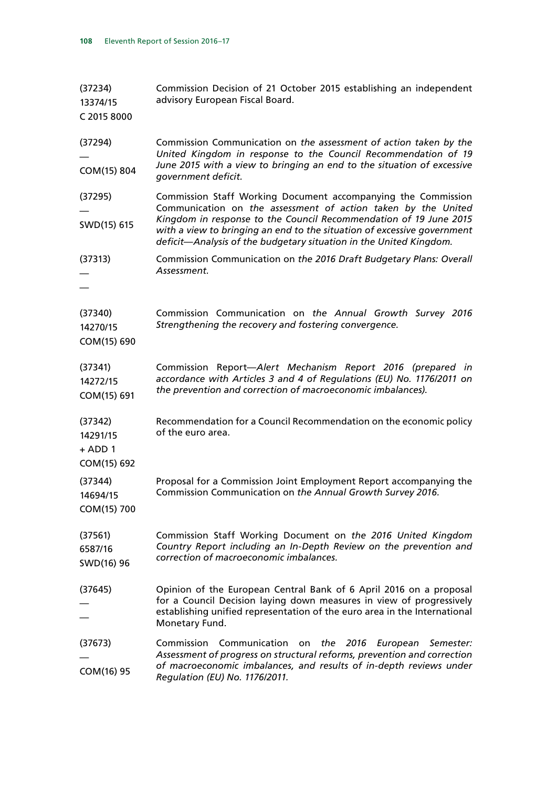| (37234)<br>13374/15<br>C 2015 8000              | Commission Decision of 21 October 2015 establishing an independent<br>advisory European Fiscal Board.                                                                                                                                                                                                                                                |  |  |  |
|-------------------------------------------------|------------------------------------------------------------------------------------------------------------------------------------------------------------------------------------------------------------------------------------------------------------------------------------------------------------------------------------------------------|--|--|--|
| (37294)<br>COM(15) 804                          | Commission Communication on the assessment of action taken by the<br>United Kingdom in response to the Council Recommendation of 19<br>June 2015 with a view to bringing an end to the situation of excessive<br>government deficit.                                                                                                                 |  |  |  |
| (37295)<br>SWD(15) 615                          | Commission Staff Working Document accompanying the Commission<br>Communication on the assessment of action taken by the United<br>Kingdom in response to the Council Recommendation of 19 June 2015<br>with a view to bringing an end to the situation of excessive government<br>deficit-Analysis of the budgetary situation in the United Kingdom. |  |  |  |
| (37313)                                         | Commission Communication on the 2016 Draft Budgetary Plans: Overall<br>Assessment.                                                                                                                                                                                                                                                                   |  |  |  |
| (37340)<br>14270/15<br>COM(15) 690              | Commission Communication on the Annual Growth Survey 2016<br>Strengthening the recovery and fostering convergence.                                                                                                                                                                                                                                   |  |  |  |
| (37341)<br>14272/15<br>COM(15) 691              | Commission Report-Alert Mechanism Report 2016 (prepared in<br>accordance with Articles 3 and 4 of Regulations (EU) No. 1176/2011 on<br>the prevention and correction of macroeconomic imbalances).                                                                                                                                                   |  |  |  |
| (37342)<br>14291/15<br>$+$ ADD 1<br>COM(15) 692 | Recommendation for a Council Recommendation on the economic policy<br>of the euro area.                                                                                                                                                                                                                                                              |  |  |  |
| (37344)<br>14694/15<br>COM(15) 700              | Proposal for a Commission Joint Employment Report accompanying the<br>Commission Communication on the Annual Growth Survey 2016.                                                                                                                                                                                                                     |  |  |  |
| (37561)<br>6587/16<br>SWD(16) 96                | Commission Staff Working Document on the 2016 United Kingdom<br>Country Report including an In-Depth Review on the prevention and<br>correction of macroeconomic imbalances.                                                                                                                                                                         |  |  |  |
| (37645)                                         | Opinion of the European Central Bank of 6 April 2016 on a proposal<br>for a Council Decision laying down measures in view of progressively<br>establishing unified representation of the euro area in the International<br>Monetary Fund.                                                                                                            |  |  |  |
| (37673)<br>COM(16) 95                           | Commission Communication<br>2016<br>the<br>European<br>on<br>Semester:<br>Assessment of progress on structural reforms, prevention and correction<br>of macroeconomic imbalances, and results of in-depth reviews under<br>Regulation (EU) No. 1176/2011.                                                                                            |  |  |  |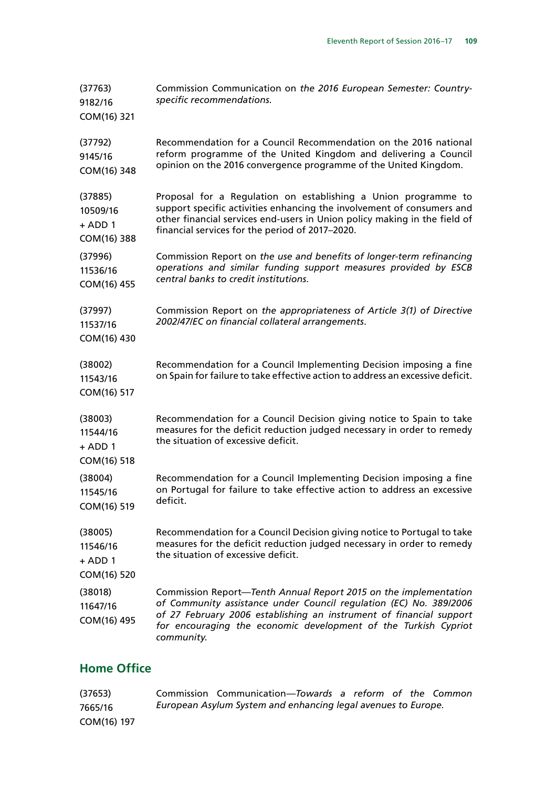| (37763)<br>9182/16<br>COM(16) 321               | Commission Communication on the 2016 European Semester: Country-<br>specific recommendations.                                                                                                                                                                                                  |  |  |  |
|-------------------------------------------------|------------------------------------------------------------------------------------------------------------------------------------------------------------------------------------------------------------------------------------------------------------------------------------------------|--|--|--|
| (37792)<br>9145/16<br>COM(16) 348               | Recommendation for a Council Recommendation on the 2016 national<br>reform programme of the United Kingdom and delivering a Council<br>opinion on the 2016 convergence programme of the United Kingdom.                                                                                        |  |  |  |
| (37885)<br>10509/16<br>$+$ ADD 1<br>COM(16) 388 | Proposal for a Regulation on establishing a Union programme to<br>support specific activities enhancing the involvement of consumers and<br>other financial services end-users in Union policy making in the field of<br>financial services for the period of 2017-2020.                       |  |  |  |
| (37996)<br>11536/16<br>COM(16) 455              | Commission Report on the use and benefits of longer-term refinancing<br>operations and similar funding support measures provided by ESCB<br>central banks to credit institutions.                                                                                                              |  |  |  |
| (37997)<br>11537/16<br>COM(16) 430              | Commission Report on the appropriateness of Article 3(1) of Directive<br>2002/47/EC on financial collateral arrangements.                                                                                                                                                                      |  |  |  |
| (38002)<br>11543/16<br>COM(16) 517              | Recommendation for a Council Implementing Decision imposing a fine<br>on Spain for failure to take effective action to address an excessive deficit.                                                                                                                                           |  |  |  |
| (38003)<br>11544/16<br>$+$ ADD 1<br>COM(16) 518 | Recommendation for a Council Decision giving notice to Spain to take<br>measures for the deficit reduction judged necessary in order to remedy<br>the situation of excessive deficit.                                                                                                          |  |  |  |
| (38004)<br>11545/16<br>COM(16) 519              | Recommendation for a Council Implementing Decision imposing a fine<br>on Portugal for failure to take effective action to address an excessive<br>deficit.                                                                                                                                     |  |  |  |
| (38005)<br>11546/16<br>$+$ ADD 1<br>COM(16) 520 | Recommendation for a Council Decision giving notice to Portugal to take<br>measures for the deficit reduction judged necessary in order to remedy<br>the situation of excessive deficit.                                                                                                       |  |  |  |
| (38018)<br>11647/16<br>COM(16) 495              | Commission Report-Tenth Annual Report 2015 on the implementation<br>of Community assistance under Council regulation (EC) No. 389/2006<br>of 27 February 2006 establishing an instrument of financial support<br>for encouraging the economic development of the Turkish Cypriot<br>community. |  |  |  |

### **Home Office**

| (37653)     | Commission Communication-Towards a reform of the Common       |  |  |  |
|-------------|---------------------------------------------------------------|--|--|--|
| 7665/16     | European Asylum System and enhancing legal avenues to Europe. |  |  |  |
| COM(16) 197 |                                                               |  |  |  |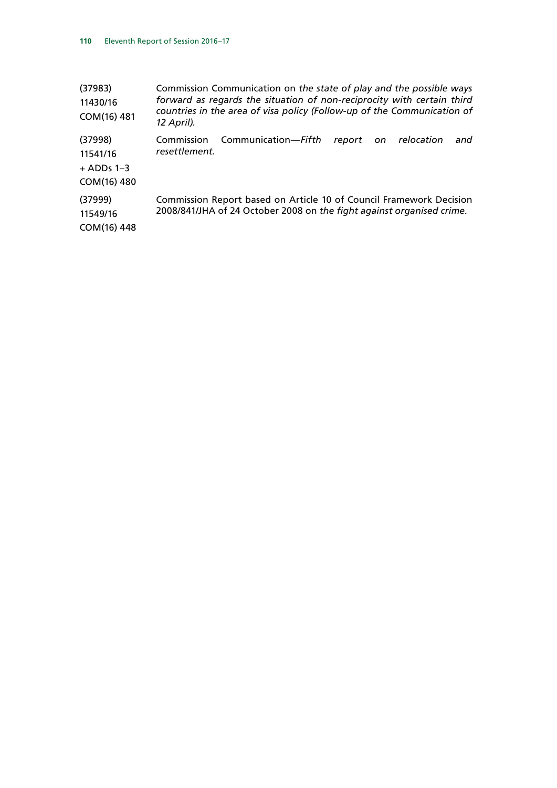| (37983)<br>11430/16<br>COM(16) 481                 | Commission Communication on the state of play and the possible ways<br>forward as regards the situation of non-reciprocity with certain third<br>countries in the area of visa policy (Follow-up of the Communication of<br>12 April). |
|----------------------------------------------------|----------------------------------------------------------------------------------------------------------------------------------------------------------------------------------------------------------------------------------------|
| (37998)<br>11541/16<br>$+$ ADDs 1–3<br>COM(16) 480 | Communication-Fifth<br>Commission<br>relocation<br>report<br>and<br>on.<br>resettlement.                                                                                                                                               |
| (37999)<br>11549/16<br>COM(16) 448                 | Commission Report based on Article 10 of Council Framework Decision<br>2008/841/JHA of 24 October 2008 on the fight against organised crime.                                                                                           |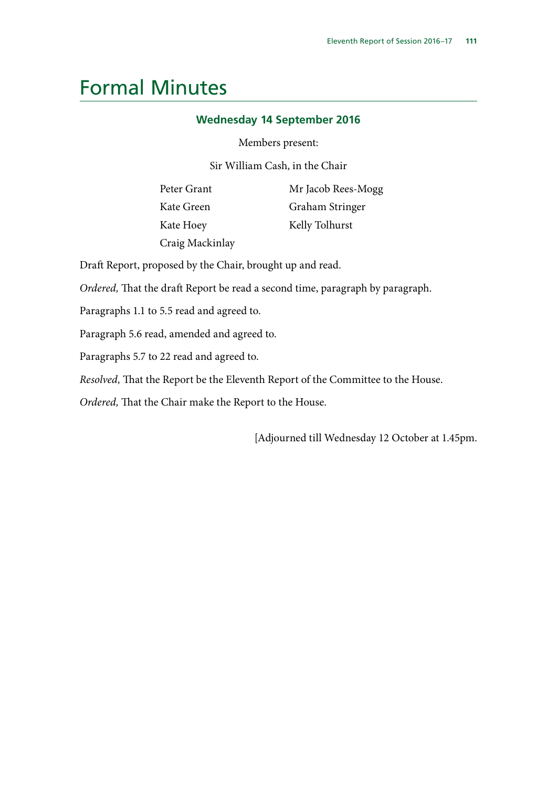## Formal Minutes

#### **Wednesday 14 September 2016**

Members present:

Sir William Cash, in the Chair

Peter Grant Kate Green Kate Hoey Craig Mackinlay Mr Jacob Rees-Mogg Graham Stringer Kelly Tolhurst

Draft Report, proposed by the Chair, brought up and read.

*Ordered,* That the draft Report be read a second time, paragraph by paragraph.

Paragraphs 1.1 to 5.5 read and agreed to.

Paragraph 5.6 read, amended and agreed to.

Paragraphs 5.7 to 22 read and agreed to.

*Resolved,* That the Report be the Eleventh Report of the Committee to the House.

*Ordered,* That the Chair make the Report to the House.

[Adjourned till Wednesday 12 October at 1.45pm.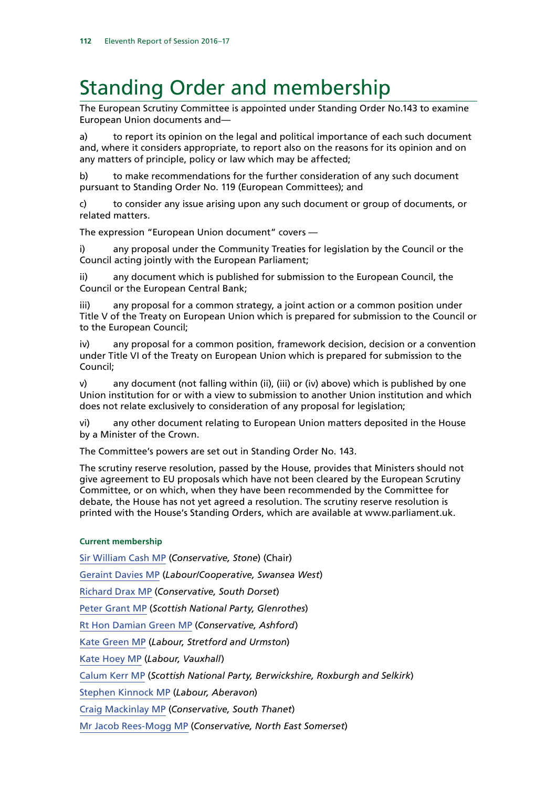# Standing Order and membership

The European Scrutiny Committee is appointed under Standing Order No.143 to examine European Union documents and—

a) to report its opinion on the legal and political importance of each such document and, where it considers appropriate, to report also on the reasons for its opinion and on any matters of principle, policy or law which may be affected;

b) to make recommendations for the further consideration of any such document pursuant to Standing Order No. 119 (European Committees); and

c) to consider any issue arising upon any such document or group of documents, or related matters.

The expression "European Union document" covers —

i) any proposal under the Community Treaties for legislation by the Council or the Council acting jointly with the European Parliament;

ii) any document which is published for submission to the European Council, the Council or the European Central Bank;

iii) any proposal for a common strategy, a joint action or a common position under Title V of the Treaty on European Union which is prepared for submission to the Council or to the European Council;

iv) any proposal for a common position, framework decision, decision or a convention under Title VI of the Treaty on European Union which is prepared for submission to the Council;

v) any document (not falling within (ii), (iii) or (iv) above) which is published by one Union institution for or with a view to submission to another Union institution and which does not relate exclusively to consideration of any proposal for legislation;

vi) any other document relating to European Union matters deposited in the House by a Minister of the Crown.

The Committee's powers are set out in Standing Order No. 143.

The scrutiny reserve resolution, passed by the House, provides that Ministers should not give agreement to EU proposals which have not been cleared by the European Scrutiny Committee, or on which, when they have been recommended by the Committee for debate, the House has not yet agreed a resolution. The scrutiny reserve resolution is printed with the House's Standing Orders, which are available at www.parliament.uk.

#### **Current membership**

[Sir William Cash MP](http://www.dodspeople.com/Page.aspx?pageid=420&id=25682&group=6) (*Conservative, Stone*) (Chair) [Geraint Davies MP](http://www.dodspeople.com/Page.aspx?pageid=420&id=25772&group=6) (*Labour/Cooperative, Swansea West*) [Richard Drax MP](http://www.dodspeople.com/Page.aspx?pageid=420&id=62850&group=6) (*Conservative, South Dorset*) [Peter Grant MP](http://www.dodspeople.com/Page.aspx?pageid=420&id=74701&group=6) (*Scottish National Party, Glenrothes*) Rt Hon [Damian Green MP](http://www.dodspeople.com/Page.aspx?pageid=420&id=25546&group=6) (*Conservative, Ashford*) [Kate Green MP](http://www.dodspeople.com/Page.aspx?pageid=420&id=84849&group=6) (*Labour, Stretford and Urmston*) [Kate Hoey MP](http://www.dodspeople.com/Page.aspx?pageid=420&id=25608&group=6) (*Labour, Vauxhall*) [Calum Kerr MP](http://www.dodspeople.com/Page.aspx?pageid=420&id=138151&group=6) (*Scottish National Party, Berwickshire, Roxburgh and Selkirk*) [Stephen Kinnock MP](http://www.dodspeople.com/Page.aspx?pageid=802&q=Kinnock&bc=current&bcname=Quick%20Search) (*Labour, Aberavon*) [Craig Mackinlay MP](http://www.dodspeople.com/Page.aspx?pageid=420&id=41654&group=6) (*Conservative, South Thanet*) [Mr Jacob Rees-Mogg MP](http://www.dodspeople.com/Page.aspx?pageid=420&id=42117&group=6) (*Conservative, North East Somerset*)